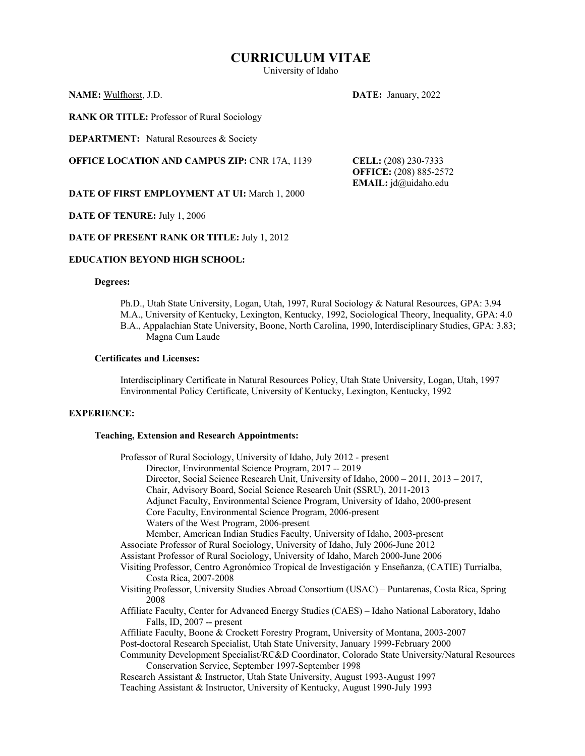## **CURRICULUM VITAE**

University of Idaho

## **NAME:** Wulfhorst, J.D. **DATE:** January, 2022

**RANK OR TITLE:** Professor of Rural Sociology

**DEPARTMENT:** Natural Resources & Society

**OFFICE LOCATION AND CAMPUS ZIP:** CNR 17A, 1139 **CELL:** (208) 230-7333

**OFFICE:** (208) 885-2572 **EMAIL:** jd@uidaho.edu

**DATE OF FIRST EMPLOYMENT AT UI:** March 1, 2000

## **DATE OF TENURE:** July 1, 2006

## **DATE OF PRESENT RANK OR TITLE:** July 1, 2012

## **EDUCATION BEYOND HIGH SCHOOL:**

## **Degrees:**

Ph.D., Utah State University, Logan, Utah, 1997, Rural Sociology & Natural Resources, GPA: 3.94 M.A., University of Kentucky, Lexington, Kentucky, 1992, Sociological Theory, Inequality, GPA: 4.0 B.A., Appalachian State University, Boone, North Carolina, 1990, Interdisciplinary Studies, GPA: 3.83; Magna Cum Laude

## **Certificates and Licenses:**

Interdisciplinary Certificate in Natural Resources Policy, Utah State University, Logan, Utah, 1997 Environmental Policy Certificate, University of Kentucky, Lexington, Kentucky, 1992

### **EXPERIENCE:**

## **Teaching, Extension and Research Appointments:**

| Professor of Rural Sociology, University of Idaho, July 2012 - present                                                                                |
|-------------------------------------------------------------------------------------------------------------------------------------------------------|
| Director, Environmental Science Program, 2017 -- 2019                                                                                                 |
| Director, Social Science Research Unit, University of Idaho, 2000 – 2011, 2013 – 2017,                                                                |
| Chair, Advisory Board, Social Science Research Unit (SSRU), 2011-2013                                                                                 |
| Adjunct Faculty, Environmental Science Program, University of Idaho, 2000-present                                                                     |
| Core Faculty, Environmental Science Program, 2006-present                                                                                             |
| Waters of the West Program, 2006-present                                                                                                              |
| Member, American Indian Studies Faculty, University of Idaho, 2003-present                                                                            |
| Associate Professor of Rural Sociology, University of Idaho, July 2006-June 2012                                                                      |
| Assistant Professor of Rural Sociology, University of Idaho, March 2000-June 2006                                                                     |
| Visiting Professor, Centro Agronómico Tropical de Investigación y Enseñanza, (CATIE) Turrialba,<br>Costa Rica, 2007-2008                              |
| Visiting Professor, University Studies Abroad Consortium (USAC) - Puntarenas, Costa Rica, Spring<br>2008                                              |
| Affiliate Faculty, Center for Advanced Energy Studies (CAES) – Idaho National Laboratory, Idaho<br>Falls, ID, 2007 -- present                         |
| Affiliate Faculty, Boone & Crockett Forestry Program, University of Montana, 2003-2007                                                                |
| Post-doctoral Research Specialist, Utah State University, January 1999-February 2000                                                                  |
| Community Development Specialist/RC&D Coordinator, Colorado State University/Natural Resources<br>Conservation Service, September 1997-September 1998 |
| Research Assistant & Instructor, Utah State University, August 1993-August 1997                                                                       |
| Teaching Assistant & Instructor, University of Kentucky, August 1990-July 1993                                                                        |
|                                                                                                                                                       |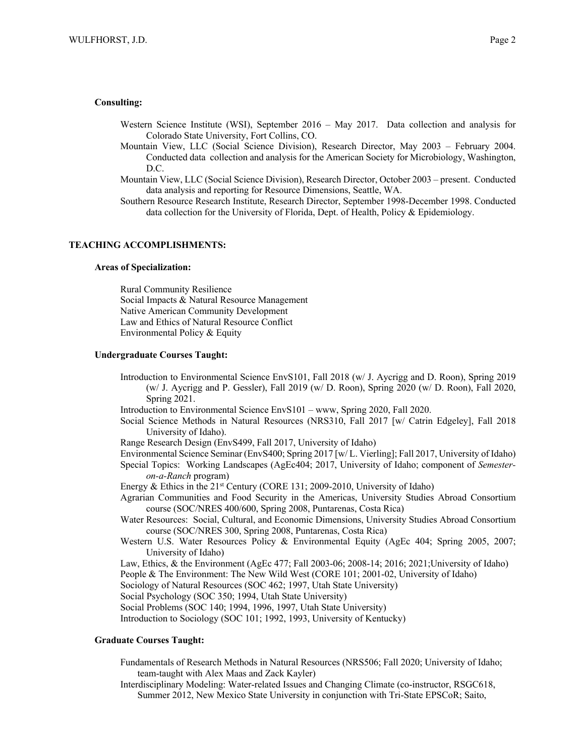#### **Consulting:**

- Western Science Institute (WSI), September 2016 May 2017. Data collection and analysis for Colorado State University, Fort Collins, CO.
- Mountain View, LLC (Social Science Division), Research Director, May 2003 February 2004. Conducted data collection and analysis for the American Society for Microbiology, Washington, D.C.
- Mountain View, LLC (Social Science Division), Research Director, October 2003 present. Conducted data analysis and reporting for Resource Dimensions, Seattle, WA.
- Southern Resource Research Institute, Research Director, September 1998-December 1998. Conducted data collection for the University of Florida, Dept. of Health, Policy & Epidemiology.

#### **TEACHING ACCOMPLISHMENTS:**

## **Areas of Specialization:**

Rural Community Resilience Social Impacts & Natural Resource Management Native American Community Development Law and Ethics of Natural Resource Conflict Environmental Policy & Equity

#### **Undergraduate Courses Taught:**

- Introduction to Environmental Science EnvS101, Fall 2018 (w/ J. Aycrigg and D. Roon), Spring 2019 (w/ J. Aycrigg and P. Gessler), Fall 2019 (w/ D. Roon), Spring 2020 (w/ D. Roon), Fall 2020, Spring 2021.
- Introduction to Environmental Science EnvS101 www, Spring 2020, Fall 2020.
- Social Science Methods in Natural Resources (NRS310, Fall 2017 [w/ Catrin Edgeley], Fall 2018 University of Idaho).
- Range Research Design (EnvS499, Fall 2017, University of Idaho)

Environmental Science Seminar (EnvS400; Spring 2017 [w/ L. Vierling]; Fall 2017, University of Idaho) Special Topics: Working Landscapes (AgEc404; 2017, University of Idaho; component of *Semesteron-a-Ranch* program)

- Energy & Ethics in the 21<sup>st</sup> Century (CORE 131; 2009-2010, University of Idaho)
- Agrarian Communities and Food Security in the Americas, University Studies Abroad Consortium course (SOC/NRES 400/600, Spring 2008, Puntarenas, Costa Rica)
- Water Resources: Social, Cultural, and Economic Dimensions, University Studies Abroad Consortium course (SOC/NRES 300, Spring 2008, Puntarenas, Costa Rica)
- Western U.S. Water Resources Policy & Environmental Equity (AgEc 404; Spring 2005, 2007; University of Idaho)
- Law, Ethics, & the Environment (AgEc 477; Fall 2003-06; 2008-14; 2016; 2021;University of Idaho)
- People & The Environment: The New Wild West (CORE 101; 2001-02, University of Idaho)
- Sociology of Natural Resources (SOC 462; 1997, Utah State University)
- Social Psychology (SOC 350; 1994, Utah State University)
- Social Problems (SOC 140; 1994, 1996, 1997, Utah State University)

Introduction to Sociology (SOC 101; 1992, 1993, University of Kentucky)

## **Graduate Courses Taught:**

- Fundamentals of Research Methods in Natural Resources (NRS506; Fall 2020; University of Idaho; team-taught with Alex Maas and Zack Kayler)
- Interdisciplinary Modeling: Water-related Issues and Changing Climate (co-instructor, RSGC618, Summer 2012, New Mexico State University in conjunction with Tri-State EPSCoR; Saito,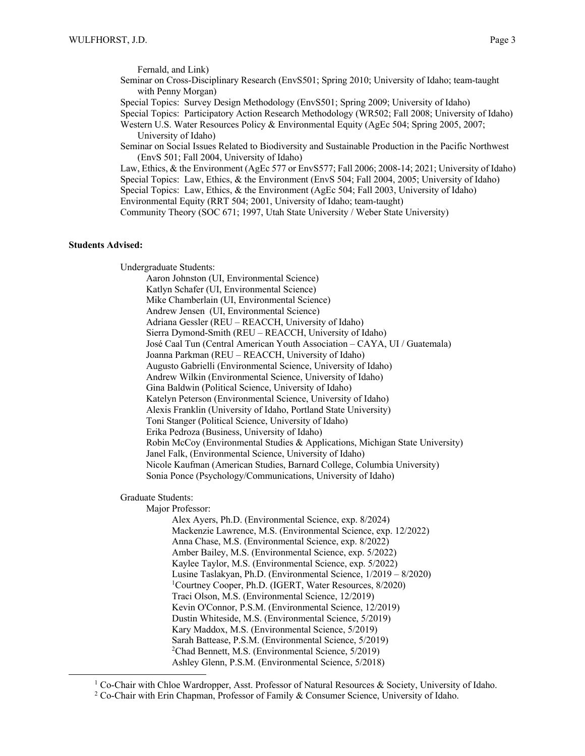Fernald, and Link) Seminar on Cross-Disciplinary Research (EnvS501; Spring 2010; University of Idaho; team-taught with Penny Morgan)

Special Topics: Survey Design Methodology (EnvS501; Spring 2009; University of Idaho)

Special Topics: Participatory Action Research Methodology (WR502; Fall 2008; University of Idaho)

Western U.S. Water Resources Policy & Environmental Equity (AgEc 504; Spring 2005, 2007; University of Idaho)

Seminar on Social Issues Related to Biodiversity and Sustainable Production in the Pacific Northwest (EnvS 501; Fall 2004, University of Idaho)

Law, Ethics, & the Environment (AgEc 577 or EnvS577; Fall 2006; 2008-14; 2021; University of Idaho) Special Topics: Law, Ethics, & the Environment (EnvS 504; Fall 2004, 2005; University of Idaho) Special Topics: Law, Ethics, & the Environment (AgEc 504; Fall 2003, University of Idaho) Environmental Equity (RRT 504; 2001, University of Idaho; team-taught)

Community Theory (SOC 671; 1997, Utah State University / Weber State University)

## **Students Advised:**

Undergraduate Students:

Aaron Johnston (UI, Environmental Science) Katlyn Schafer (UI, Environmental Science) Mike Chamberlain (UI, Environmental Science) Andrew Jensen (UI, Environmental Science) Adriana Gessler (REU – REACCH, University of Idaho) Sierra Dymond-Smith (REU – REACCH, University of Idaho) José Caal Tun (Central American Youth Association – CAYA, UI / Guatemala) Joanna Parkman (REU – REACCH, University of Idaho) Augusto Gabrielli (Environmental Science, University of Idaho) Andrew Wilkin (Environmental Science, University of Idaho) Gina Baldwin (Political Science, University of Idaho) Katelyn Peterson (Environmental Science, University of Idaho) Alexis Franklin (University of Idaho, Portland State University) Toni Stanger (Political Science, University of Idaho) Erika Pedroza (Business, University of Idaho) Robin McCoy (Environmental Studies & Applications, Michigan State University) Janel Falk, (Environmental Science, University of Idaho) Nicole Kaufman (American Studies, Barnard College, Columbia University) Sonia Ponce (Psychology/Communications, University of Idaho)

Graduate Students:

Major Professor:

Alex Ayers, Ph.D. (Environmental Science, exp. 8/2024) Mackenzie Lawrence, M.S. (Environmental Science, exp. 12/2022) Anna Chase, M.S. (Environmental Science, exp. 8/2022) Amber Bailey, M.S. (Environmental Science, exp. 5/2022) Kaylee Taylor, M.S. (Environmental Science, exp. 5/2022) Lusine Taslakyan, Ph.D. (Environmental Science, 1/2019 – 8/2020) 1 Courtney Cooper, Ph.D. (IGERT, Water Resources, 8/2020) Traci Olson, M.S. (Environmental Science, 12/2019) Kevin O'Connor, P.S.M. (Environmental Science, 12/2019) Dustin Whiteside, M.S. (Environmental Science, 5/2019) Kary Maddox, M.S. (Environmental Science, 5/2019) Sarah Battease, P.S.M. (Environmental Science, 5/2019) 2 Chad Bennett, M.S. (Environmental Science, 5/2019) Ashley Glenn, P.S.M. (Environmental Science, 5/2018)

<sup>1</sup> Co-Chair with Chloe Wardropper, Asst. Professor of Natural Resources & Society, University of Idaho. <sup>2</sup> Co-Chair with Erin Chapman, Professor of Family & Consumer Science, University of Idaho.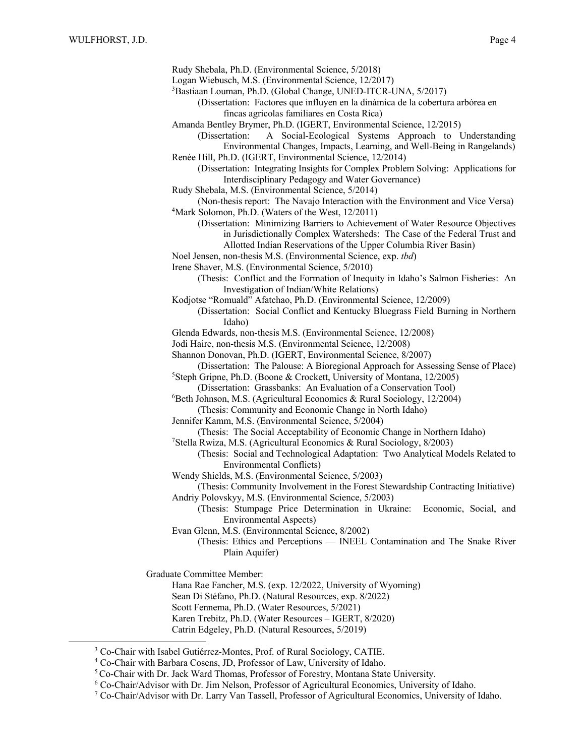| Rudy Shebala, Ph.D. (Environmental Science, 5/2018)<br>Logan Wiebusch, M.S. (Environmental Science, 12/2017) |
|--------------------------------------------------------------------------------------------------------------|
| <sup>3</sup> Bastiaan Louman, Ph.D. (Global Change, UNED-ITCR-UNA, 5/2017)                                   |
| (Dissertation: Factores que influyen en la dinámica de la cobertura arbórea en                               |
| fincas agricolas familiares en Costa Rica)                                                                   |
| Amanda Bentley Brymer, Ph.D. (IGERT, Environmental Science, 12/2015)                                         |
| A Social-Ecological Systems Approach to Understanding<br>(Dissertation:                                      |
| Environmental Changes, Impacts, Learning, and Well-Being in Rangelands)                                      |
| Renée Hill, Ph.D. (IGERT, Environmental Science, 12/2014)                                                    |
| (Dissertation: Integrating Insights for Complex Problem Solving: Applications for                            |
| Interdisciplinary Pedagogy and Water Governance)                                                             |
| Rudy Shebala, M.S. (Environmental Science, 5/2014)                                                           |
| (Non-thesis report: The Navajo Interaction with the Environment and Vice Versa)                              |
| <sup>4</sup> Mark Solomon, Ph.D. (Waters of the West, 12/2011)                                               |
| (Dissertation: Minimizing Barriers to Achievement of Water Resource Objectives                               |
| in Jurisdictionally Complex Watersheds: The Case of the Federal Trust and                                    |
| Allotted Indian Reservations of the Upper Columbia River Basin)                                              |
| Noel Jensen, non-thesis M.S. (Environmental Science, exp. tbd)                                               |
| Irene Shaver, M.S. (Environmental Science, 5/2010)                                                           |
| (Thesis: Conflict and the Formation of Inequity in Idaho's Salmon Fisheries: An                              |
| Investigation of Indian/White Relations)                                                                     |
| Kodjotse "Romuald" Afatchao, Ph.D. (Environmental Science, 12/2009)                                          |
| (Dissertation: Social Conflict and Kentucky Bluegrass Field Burning in Northern<br>Idaho)                    |
| Glenda Edwards, non-thesis M.S. (Environmental Science, 12/2008)                                             |
| Jodi Haire, non-thesis M.S. (Environmental Science, 12/2008)                                                 |
| Shannon Donovan, Ph.D. (IGERT, Environmental Science, 8/2007)                                                |
| (Dissertation: The Palouse: A Bioregional Approach for Assessing Sense of Place)                             |
| <sup>5</sup> Steph Gripne, Ph.D. (Boone & Crockett, University of Montana, 12/2005)                          |
| (Dissertation: Grassbanks: An Evaluation of a Conservation Tool)                                             |
| <sup>6</sup> Beth Johnson, M.S. (Agricultural Economics & Rural Sociology, 12/2004)                          |
| (Thesis: Community and Economic Change in North Idaho)                                                       |
| Jennifer Kamm, M.S. (Environmental Science, 5/2004)                                                          |
| (Thesis: The Social Acceptability of Economic Change in Northern Idaho)                                      |
| <sup>7</sup> Stella Rwiza, M.S. (Agricultural Economics & Rural Sociology, 8/2003)                           |
| (Thesis: Social and Technological Adaptation: Two Analytical Models Related to                               |
| <b>Environmental Conflicts</b> )                                                                             |
| Wendy Shields, M.S. (Environmental Science, 5/2003)                                                          |
| (Thesis: Community Involvement in the Forest Stewardship Contracting Initiative)                             |
| Andriy Polovskyy, M.S. (Environmental Science, 5/2003)                                                       |
| (Thesis: Stumpage Price Determination in Ukraine:<br>Economic, Social, and                                   |
| <b>Environmental Aspects)</b>                                                                                |
| Evan Glenn, M.S. (Environmental Science, 8/2002)                                                             |
| (Thesis: Ethics and Perceptions - INEEL Contamination and The Snake River<br>Plain Aquifer)                  |
| <b>Graduate Committee Member:</b>                                                                            |
| Hana Rae Fancher, M.S. (exp. 12/2022, University of Wyoming)                                                 |
| Sean Di Stéfano, Ph.D. (Natural Resources, exp. 8/2022)                                                      |
| Scott Fennema, Ph.D. (Water Resources, 5/2021)                                                               |
| Karen Trebitz, Ph.D. (Water Resources - IGERT, 8/2020)                                                       |

Catrin Edgeley, Ph.D. (Natural Resources, 5/2019)

<sup>&</sup>lt;sup>3</sup> Co-Chair with Isabel Gutiérrez-Montes, Prof. of Rural Sociology, CATIE.

<sup>4</sup> Co-Chair with Barbara Cosens, JD, Professor of Law, University of Idaho.

<sup>5</sup>Co-Chair with Dr. Jack Ward Thomas, Professor of Forestry, Montana State University.

<sup>6</sup> Co-Chair/Advisor with Dr. Jim Nelson, Professor of Agricultural Economics, University of Idaho.

<sup>7</sup> Co-Chair/Advisor with Dr. Larry Van Tassell, Professor of Agricultural Economics, University of Idaho.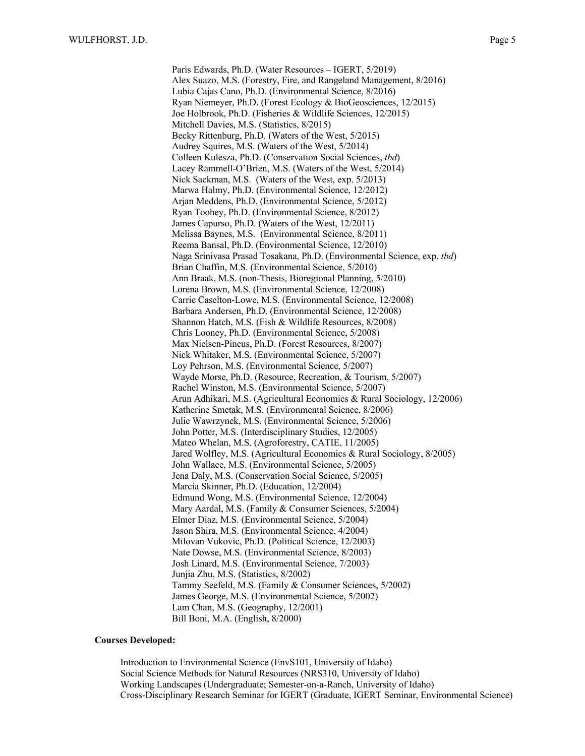Paris Edwards, Ph.D. (Water Resources – IGERT, 5/2019) Alex Suazo, M.S. (Forestry, Fire, and Rangeland Management, 8/2016) Lubia Cajas Cano, Ph.D. (Environmental Science, 8/2016) Ryan Niemeyer, Ph.D. (Forest Ecology & BioGeosciences, 12/2015) Joe Holbrook, Ph.D. (Fisheries & Wildlife Sciences, 12/2015) Mitchell Davies, M.S. (Statistics, 8/2015) Becky Rittenburg, Ph.D. (Waters of the West, 5/2015) Audrey Squires, M.S. (Waters of the West, 5/2014) Colleen Kulesza, Ph.D. (Conservation Social Sciences, *tbd*) Lacey Rammell-O'Brien, M.S. (Waters of the West, 5/2014) Nick Sackman, M.S. (Waters of the West, exp. 5/2013) Marwa Halmy, Ph.D. (Environmental Science, 12/2012) Arjan Meddens, Ph.D. (Environmental Science, 5/2012) Ryan Toohey, Ph.D. (Environmental Science, 8/2012) James Capurso, Ph.D. (Waters of the West, 12/2011) Melissa Baynes, M.S. (Environmental Science, 8/2011) Reema Bansal, Ph.D. (Environmental Science, 12/2010) Naga Srinivasa Prasad Tosakana, Ph.D. (Environmental Science, exp. *tbd*) Brian Chaffin, M.S. (Environmental Science, 5/2010) Ann Braak, M.S. (non-Thesis, Bioregional Planning, 5/2010) Lorena Brown, M.S. (Environmental Science, 12/2008) Carrie Caselton-Lowe, M.S. (Environmental Science, 12/2008) Barbara Andersen, Ph.D. (Environmental Science, 12/2008) Shannon Hatch, M.S. (Fish & Wildlife Resources, 8/2008) Chris Looney, Ph.D. (Environmental Science, 5/2008) Max Nielsen-Pincus, Ph.D. (Forest Resources, 8/2007) Nick Whitaker, M.S. (Environmental Science, 5/2007) Loy Pehrson, M.S. (Environmental Science, 5/2007) Wayde Morse, Ph.D. (Resource, Recreation, & Tourism, 5/2007) Rachel Winston, M.S. (Environmental Science, 5/2007) Arun Adhikari, M.S. (Agricultural Economics & Rural Sociology, 12/2006) Katherine Smetak, M.S. (Environmental Science, 8/2006) Julie Wawrzynek, M.S. (Environmental Science, 5/2006) John Potter, M.S. (Interdisciplinary Studies, 12/2005) Mateo Whelan, M.S. (Agroforestry, CATIE, 11/2005) Jared Wolfley, M.S. (Agricultural Economics & Rural Sociology, 8/2005) John Wallace, M.S. (Environmental Science, 5/2005) Jena Daly, M.S. (Conservation Social Science, 5/2005) Marcia Skinner, Ph.D. (Education, 12/2004) Edmund Wong, M.S. (Environmental Science, 12/2004) Mary Aardal, M.S. (Family & Consumer Sciences, 5/2004) Elmer Diaz, M.S. (Environmental Science, 5/2004) Jason Shira, M.S. (Environmental Science, 4/2004) Milovan Vukovic, Ph.D. (Political Science, 12/2003) Nate Dowse, M.S. (Environmental Science, 8/2003) Josh Linard, M.S. (Environmental Science, 7/2003) Junjia Zhu, M.S. (Statistics, 8/2002) Tammy Seefeld, M.S. (Family & Consumer Sciences, 5/2002) James George, M.S. (Environmental Science, 5/2002) Lam Chan, M.S. (Geography, 12/2001) Bill Boni, M.A. (English, 8/2000)

## **Courses Developed:**

Introduction to Environmental Science (EnvS101, University of Idaho) Social Science Methods for Natural Resources (NRS310, University of Idaho) Working Landscapes (Undergraduate; Semester-on-a-Ranch, University of Idaho) Cross-Disciplinary Research Seminar for IGERT (Graduate, IGERT Seminar, Environmental Science)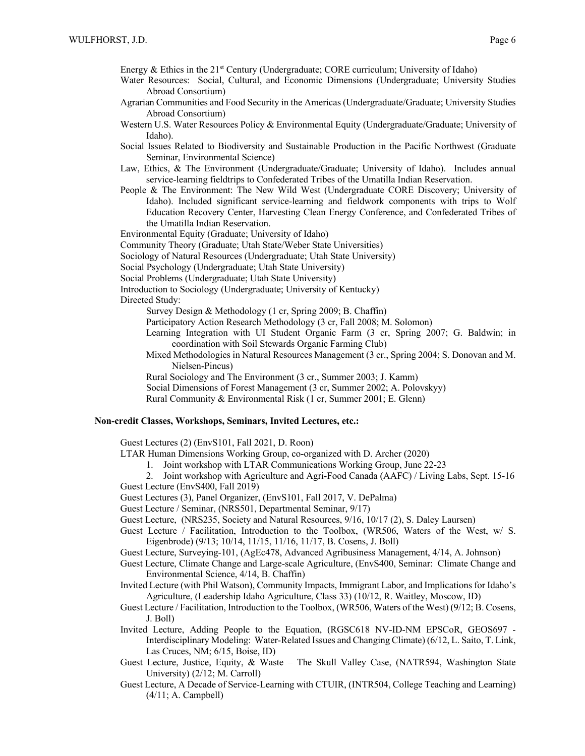- Energy & Ethics in the  $21<sup>st</sup>$  Century (Undergraduate; CORE curriculum; University of Idaho)
- Water Resources: Social, Cultural, and Economic Dimensions (Undergraduate; University Studies Abroad Consortium)
- Agrarian Communities and Food Security in the Americas (Undergraduate/Graduate; University Studies Abroad Consortium)
- Western U.S. Water Resources Policy & Environmental Equity (Undergraduate/Graduate; University of Idaho).
- Social Issues Related to Biodiversity and Sustainable Production in the Pacific Northwest (Graduate Seminar, Environmental Science)
- Law, Ethics, & The Environment (Undergraduate/Graduate; University of Idaho). Includes annual service-learning fieldtrips to Confederated Tribes of the Umatilla Indian Reservation.
- People & The Environment: The New Wild West (Undergraduate CORE Discovery; University of Idaho). Included significant service-learning and fieldwork components with trips to Wolf Education Recovery Center, Harvesting Clean Energy Conference, and Confederated Tribes of the Umatilla Indian Reservation.

Environmental Equity (Graduate; University of Idaho)

Community Theory (Graduate; Utah State/Weber State Universities)

Sociology of Natural Resources (Undergraduate; Utah State University)

Social Psychology (Undergraduate; Utah State University)

Social Problems (Undergraduate; Utah State University)

Introduction to Sociology (Undergraduate; University of Kentucky)

Directed Study:

Survey Design & Methodology (1 cr, Spring 2009; B. Chaffin)

Participatory Action Research Methodology (3 cr, Fall 2008; M. Solomon)

Learning Integration with UI Student Organic Farm (3 cr, Spring 2007; G. Baldwin; in coordination with Soil Stewards Organic Farming Club)

Mixed Methodologies in Natural Resources Management (3 cr., Spring 2004; S. Donovan and M. Nielsen-Pincus)

Rural Sociology and The Environment (3 cr., Summer 2003; J. Kamm)

Social Dimensions of Forest Management (3 cr, Summer 2002; A. Polovskyy)

Rural Community & Environmental Risk (1 cr, Summer 2001; E. Glenn)

## **Non-credit Classes, Workshops, Seminars, Invited Lectures, etc.:**

Guest Lectures (2) (EnvS101, Fall 2021, D. Roon)

- LTAR Human Dimensions Working Group, co-organized with D. Archer (2020)
	- 1. Joint workshop with LTAR Communications Working Group, June 22-23
- 2. Joint workshop with Agriculture and Agri-Food Canada (AAFC) / Living Labs, Sept. 15-16 Guest Lecture (EnvS400, Fall 2019)
- Guest Lectures (3), Panel Organizer, (EnvS101, Fall 2017, V. DePalma)

Guest Lecture / Seminar, (NRS501, Departmental Seminar, 9/17)

- Guest Lecture, (NRS235, Society and Natural Resources, 9/16, 10/17 (2), S. Daley Laursen)
- Guest Lecture / Facilitation, Introduction to the Toolbox, (WR506, Waters of the West, w/ S. Eigenbrode) (9/13; 10/14, 11/15, 11/16, 11/17, B. Cosens, J. Boll)
- Guest Lecture, Surveying-101, (AgEc478, Advanced Agribusiness Management, 4/14, A. Johnson)

Guest Lecture, Climate Change and Large-scale Agriculture, (EnvS400, Seminar: Climate Change and Environmental Science, 4/14, B. Chaffin)

- Invited Lecture (with Phil Watson), Community Impacts, Immigrant Labor, and Implications for Idaho's Agriculture, (Leadership Idaho Agriculture, Class 33) (10/12, R. Waitley, Moscow, ID)
- Guest Lecture / Facilitation, Introduction to the Toolbox, (WR506, Waters of the West) (9/12; B. Cosens, J. Boll)
- Invited Lecture, Adding People to the Equation, (RGSC618 NV-ID-NM EPSCoR, GEOS697 Interdisciplinary Modeling: Water-Related Issues and Changing Climate) (6/12, L. Saito, T. Link, Las Cruces, NM; 6/15, Boise, ID)
- Guest Lecture, Justice, Equity, & Waste The Skull Valley Case, (NATR594, Washington State University) (2/12; M. Carroll)
- Guest Lecture, A Decade of Service-Learning with CTUIR, (INTR504, College Teaching and Learning) (4/11; A. Campbell)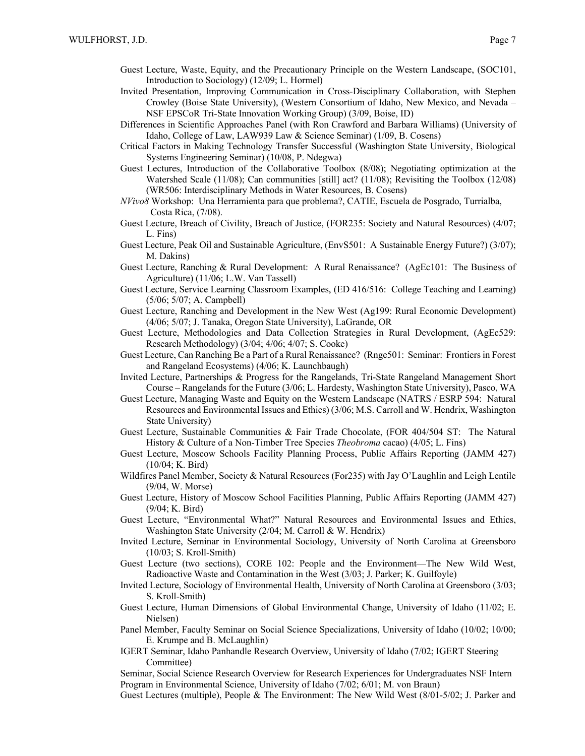- Guest Lecture, Waste, Equity, and the Precautionary Principle on the Western Landscape, (SOC101, Introduction to Sociology) (12/09; L. Hormel)
- Invited Presentation, Improving Communication in Cross-Disciplinary Collaboration, with Stephen Crowley (Boise State University), (Western Consortium of Idaho, New Mexico, and Nevada – NSF EPSCoR Tri-State Innovation Working Group) (3/09, Boise, ID)
- Differences in Scientific Approaches Panel (with Ron Crawford and Barbara Williams) (University of Idaho, College of Law, LAW939 Law & Science Seminar) (1/09, B. Cosens)
- Critical Factors in Making Technology Transfer Successful (Washington State University, Biological Systems Engineering Seminar) (10/08, P. Ndegwa)
- Guest Lectures, Introduction of the Collaborative Toolbox (8/08); Negotiating optimization at the Watershed Scale (11/08); Can communities [still] act? (11/08); Revisiting the Toolbox (12/08) (WR506: Interdisciplinary Methods in Water Resources, B. Cosens)
- *NVivo8* Workshop: Una Herramienta para que problema?, CATIE, Escuela de Posgrado, Turrialba, Costa Rica, (7/08).
- Guest Lecture, Breach of Civility, Breach of Justice, (FOR235: Society and Natural Resources) (4/07; L. Fins)
- Guest Lecture, Peak Oil and Sustainable Agriculture, (EnvS501: A Sustainable Energy Future?) (3/07); M. Dakins)
- Guest Lecture, Ranching & Rural Development: A Rural Renaissance? (AgEc101: The Business of Agriculture) (11/06; L.W. Van Tassell)
- Guest Lecture, Service Learning Classroom Examples, (ED 416/516: College Teaching and Learning) (5/06; 5/07; A. Campbell)
- Guest Lecture, Ranching and Development in the New West (Ag199: Rural Economic Development) (4/06; 5/07; J. Tanaka, Oregon State University), LaGrande, OR
- Guest Lecture, Methodologies and Data Collection Strategies in Rural Development, (AgEc529: Research Methodology) (3/04; 4/06; 4/07; S. Cooke)
- Guest Lecture, Can Ranching Be a Part of a Rural Renaissance? (Rnge501: Seminar: Frontiers in Forest and Rangeland Ecosystems) (4/06; K. Launchbaugh)
- Invited Lecture, Partnerships & Progress for the Rangelands, Tri-State Rangeland Management Short Course – Rangelands for the Future (3/06; L. Hardesty, Washington State University), Pasco, WA
- Guest Lecture, Managing Waste and Equity on the Western Landscape (NATRS / ESRP 594: Natural Resources and Environmental Issues and Ethics) (3/06; M.S. Carroll and W. Hendrix, Washington State University)
- Guest Lecture, Sustainable Communities & Fair Trade Chocolate, (FOR 404/504 ST: The Natural History & Culture of a Non-Timber Tree Species *Theobroma* cacao) (4/05; L. Fins)
- Guest Lecture, Moscow Schools Facility Planning Process, Public Affairs Reporting (JAMM 427) (10/04; K. Bird)
- Wildfires Panel Member, Society & Natural Resources (For235) with Jay O'Laughlin and Leigh Lentile (9/04, W. Morse)
- Guest Lecture, History of Moscow School Facilities Planning, Public Affairs Reporting (JAMM 427) (9/04; K. Bird)
- Guest Lecture, "Environmental What?" Natural Resources and Environmental Issues and Ethics, Washington State University (2/04; M. Carroll & W. Hendrix)
- Invited Lecture, Seminar in Environmental Sociology, University of North Carolina at Greensboro (10/03; S. Kroll-Smith)
- Guest Lecture (two sections), CORE 102: People and the Environment—The New Wild West, Radioactive Waste and Contamination in the West (3/03; J. Parker; K. Guilfoyle)
- Invited Lecture, Sociology of Environmental Health, University of North Carolina at Greensboro (3/03; S. Kroll-Smith)
- Guest Lecture, Human Dimensions of Global Environmental Change, University of Idaho (11/02; E. Nielsen)
- Panel Member, Faculty Seminar on Social Science Specializations, University of Idaho (10/02; 10/00; E. Krumpe and B. McLaughlin)
- IGERT Seminar, Idaho Panhandle Research Overview, University of Idaho (7/02; IGERT Steering Committee)

Seminar, Social Science Research Overview for Research Experiences for Undergraduates NSF Intern Program in Environmental Science, University of Idaho (7/02; 6/01; M. von Braun)

Guest Lectures (multiple), People & The Environment: The New Wild West (8/01-5/02; J. Parker and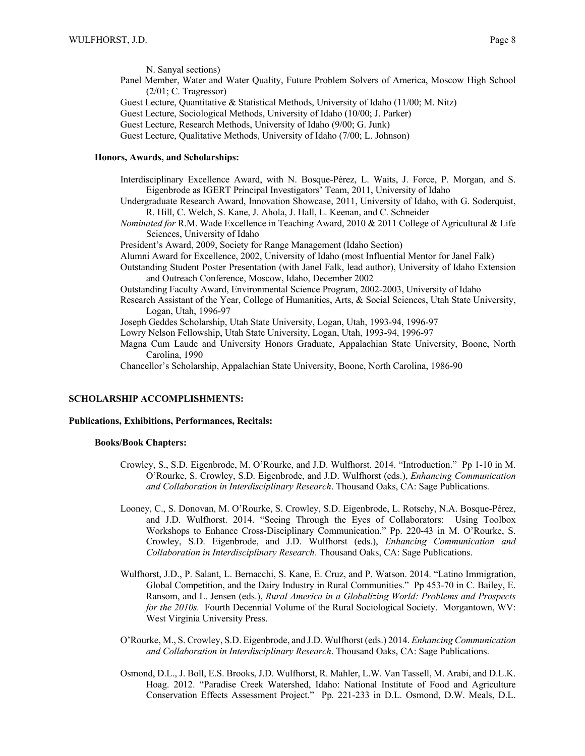N. Sanyal sections) Panel Member, Water and Water Quality, Future Problem Solvers of America, Moscow High School  $(2/01; C. Tragressor)$ Guest Lecture, Quantitative & Statistical Methods, University of Idaho (11/00; M. Nitz) Guest Lecture, Sociological Methods, University of Idaho (10/00; J. Parker) Guest Lecture, Research Methods, University of Idaho (9/00; G. Junk) Guest Lecture, Qualitative Methods, University of Idaho (7/00; L. Johnson)

# **Honors, Awards, and Scholarships:**

Interdisciplinary Excellence Award, with N. Bosque-Pérez, L. Waits, J. Force, P. Morgan, and S. Eigenbrode as IGERT Principal Investigators' Team, 2011, University of Idaho

Undergraduate Research Award, Innovation Showcase, 2011, University of Idaho, with G. Soderquist, R. Hill, C. Welch, S. Kane, J. Ahola, J. Hall, L. Keenan, and C. Schneider

*Nominated for* R.M. Wade Excellence in Teaching Award, 2010 & 2011 College of Agricultural & Life Sciences, University of Idaho

President's Award, 2009, Society for Range Management (Idaho Section)

Alumni Award for Excellence, 2002, University of Idaho (most Influential Mentor for Janel Falk)

Outstanding Student Poster Presentation (with Janel Falk, lead author), University of Idaho Extension and Outreach Conference, Moscow, Idaho, December 2002

Outstanding Faculty Award, Environmental Science Program, 2002-2003, University of Idaho

Research Assistant of the Year, College of Humanities, Arts, & Social Sciences, Utah State University, Logan, Utah, 1996-97

Joseph Geddes Scholarship, Utah State University, Logan, Utah, 1993-94, 1996-97

Lowry Nelson Fellowship, Utah State University, Logan, Utah, 1993-94, 1996-97

Magna Cum Laude and University Honors Graduate, Appalachian State University, Boone, North Carolina, 1990

Chancellor's Scholarship, Appalachian State University, Boone, North Carolina, 1986-90

## **SCHOLARSHIP ACCOMPLISHMENTS:**

## **Publications, Exhibitions, Performances, Recitals:**

#### **Books/Book Chapters:**

- Crowley, S., S.D. Eigenbrode, M. O'Rourke, and J.D. Wulfhorst. 2014. "Introduction." Pp 1-10 in M. O'Rourke, S. Crowley, S.D. Eigenbrode, and J.D. Wulfhorst (eds.), *Enhancing Communication and Collaboration in Interdisciplinary Research*. Thousand Oaks, CA: Sage Publications.
- Looney, C., S. Donovan, M. O'Rourke, S. Crowley, S.D. Eigenbrode, L. Rotschy, N.A. Bosque-Pérez, and J.D. Wulfhorst. 2014. "Seeing Through the Eyes of Collaborators: Using Toolbox Workshops to Enhance Cross-Disciplinary Communication." Pp. 220-43 in M. O'Rourke, S. Crowley, S.D. Eigenbrode, and J.D. Wulfhorst (eds.), *Enhancing Communication and Collaboration in Interdisciplinary Research*. Thousand Oaks, CA: Sage Publications.
- Wulfhorst, J.D., P. Salant, L. Bernacchi, S. Kane, E. Cruz, and P. Watson. 2014. "Latino Immigration, Global Competition, and the Dairy Industry in Rural Communities." Pp 453-70 in C. Bailey, E. Ransom, and L. Jensen (eds.), *Rural America in a Globalizing World: Problems and Prospects for the 2010s.* Fourth Decennial Volume of the Rural Sociological Society. Morgantown, WV: West Virginia University Press.
- O'Rourke, M., S. Crowley, S.D. Eigenbrode, and J.D. Wulfhorst (eds.) 2014. *Enhancing Communication and Collaboration in Interdisciplinary Research*. Thousand Oaks, CA: Sage Publications.
- Osmond, D.L., J. Boll, E.S. Brooks, J.D. Wulfhorst, R. Mahler, L.W. Van Tassell, M. Arabi, and D.L.K. Hoag. 2012. "Paradise Creek Watershed, Idaho: National Institute of Food and Agriculture Conservation Effects Assessment Project." Pp. 221-233 in D.L. Osmond, D.W. Meals, D.L.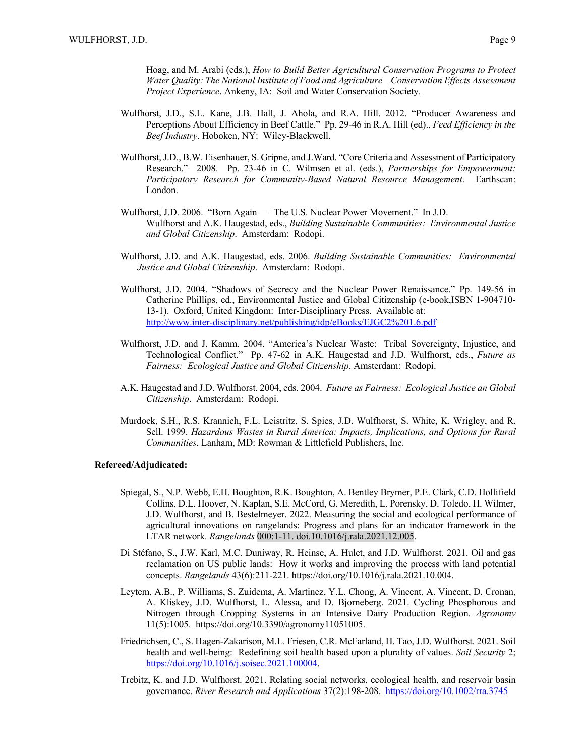Hoag, and M. Arabi (eds.), *How to Build Better Agricultural Conservation Programs to Protect Water Quality: The National Institute of Food and Agriculture—Conservation Effects Assessment Project Experience*. Ankeny, IA: Soil and Water Conservation Society.

- Wulfhorst, J.D., S.L. Kane, J.B. Hall, J. Ahola, and R.A. Hill. 2012. "Producer Awareness and Perceptions About Efficiency in Beef Cattle." Pp. 29-46 in R.A. Hill (ed)., *Feed Efficiency in the Beef Industry*. Hoboken, NY: Wiley-Blackwell.
- Wulfhorst, J.D., B.W. Eisenhauer, S. Gripne, and J.Ward. "Core Criteria and Assessment of Participatory Research." 2008. Pp. 23-46 in C. Wilmsen et al. (eds.), *Partnerships for Empowerment: Participatory Research for Community-Based Natural Resource Management*. Earthscan: London.
- Wulfhorst, J.D. 2006. "Born Again The U.S. Nuclear Power Movement." In J.D. Wulfhorst and A.K. Haugestad, eds., *Building Sustainable Communities: Environmental Justice and Global Citizenship*. Amsterdam: Rodopi.
- Wulfhorst, J.D. and A.K. Haugestad, eds. 2006. *Building Sustainable Communities: Environmental Justice and Global Citizenship*. Amsterdam: Rodopi.
- Wulfhorst, J.D. 2004. "Shadows of Secrecy and the Nuclear Power Renaissance." Pp. 149-56 in Catherine Phillips, ed., Environmental Justice and Global Citizenship (e-book,ISBN 1-904710- 13-1). Oxford, United Kingdom: Inter-Disciplinary Press. Available at: http://www.inter-disciplinary.net/publishing/idp/eBooks/EJGC2%201.6.pdf
- Wulfhorst, J.D. and J. Kamm. 2004. "America's Nuclear Waste: Tribal Sovereignty, Injustice, and Technological Conflict." Pp. 47-62 in A.K. Haugestad and J.D. Wulfhorst, eds., *Future as Fairness: Ecological Justice and Global Citizenship*. Amsterdam: Rodopi.
- A.K. Haugestad and J.D. Wulfhorst. 2004, eds. 2004. *Future as Fairness: Ecological Justice an Global Citizenship*. Amsterdam: Rodopi.
- Murdock, S.H., R.S. Krannich, F.L. Leistritz, S. Spies, J.D. Wulfhorst, S. White, K. Wrigley, and R. Sell. 1999. *Hazardous Wastes in Rural America: Impacts, Implications, and Options for Rural Communities*. Lanham, MD: Rowman & Littlefield Publishers, Inc.

#### **Refereed/Adjudicated:**

- Spiegal, S., N.P. Webb, E.H. Boughton, R.K. Boughton, A. Bentley Brymer, P.E. Clark, C.D. Hollifield Collins, D.L. Hoover, N. Kaplan, S.E. McCord, G. Meredith, L. Porensky, D. Toledo, H. Wilmer, J.D. Wulfhorst, and B. Bestelmeyer. 2022. Measuring the social and ecological performance of agricultural innovations on rangelands: Progress and plans for an indicator framework in the LTAR network. *Rangelands* 000:1-11. doi.10.1016/j.rala.2021.12.005.
- Di Stéfano, S., J.W. Karl, M.C. Duniway, R. Heinse, A. Hulet, and J.D. Wulfhorst. 2021. Oil and gas reclamation on US public lands: How it works and improving the process with land potential concepts. *Rangelands* 43(6):211-221. https://doi.org/10.1016/j.rala.2021.10.004.
- Leytem, A.B., P. Williams, S. Zuidema, A. Martinez, Y.L. Chong, A. Vincent, A. Vincent, D. Cronan, A. Kliskey, J.D. Wulfhorst, L. Alessa, and D. Bjorneberg. 2021. Cycling Phosphorous and Nitrogen through Cropping Systems in an Intensive Dairy Production Region. *Agronomy* 11(5):1005. https://doi.org/10.3390/agronomy11051005.
- Friedrichsen, C., S. Hagen-Zakarison, M.L. Friesen, C.R. McFarland, H. Tao, J.D. Wulfhorst. 2021. Soil health and well-being: Redefining soil health based upon a plurality of values. *Soil Security* 2; https://doi.org/10.1016/j.soisec.2021.100004.
- Trebitz, K. and J.D. Wulfhorst. 2021. Relating social networks, ecological health, and reservoir basin governance. *River Research and Applications* 37(2):198-208. https://doi.org/10.1002/rra.3745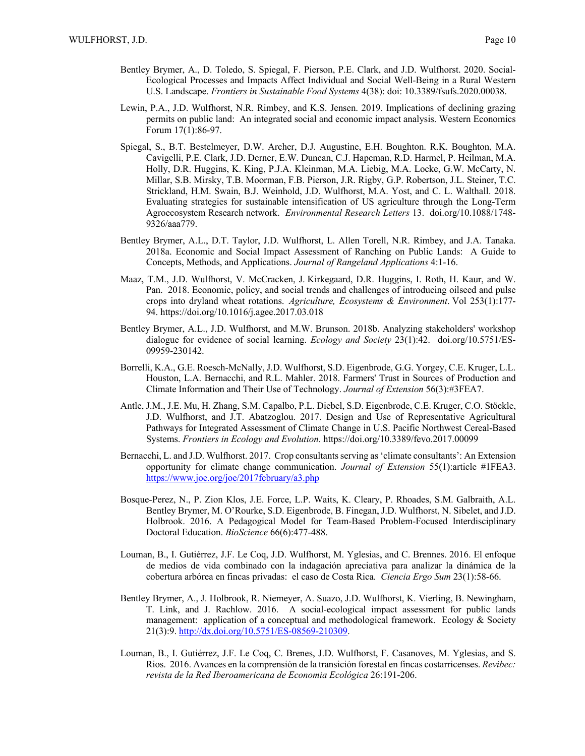- Bentley Brymer, A., D. Toledo, S. Spiegal, F. Pierson, P.E. Clark, and J.D. Wulfhorst. 2020. Social-Ecological Processes and Impacts Affect Individual and Social Well-Being in a Rural Western U.S. Landscape. *Frontiers in Sustainable Food Systems* 4(38): doi: 10.3389/fsufs.2020.00038.
- Lewin, P.A., J.D. Wulfhorst, N.R. Rimbey, and K.S. Jensen. 2019. Implications of declining grazing permits on public land: An integrated social and economic impact analysis. Western Economics Forum 17(1):86-97.
- Spiegal, S., B.T. Bestelmeyer, D.W. Archer, D.J. Augustine, E.H. Boughton. R.K. Boughton, M.A. Cavigelli, P.E. Clark, J.D. Derner, E.W. Duncan, C.J. Hapeman, R.D. Harmel, P. Heilman, M.A. Holly, D.R. Huggins, K. King, P.J.A. Kleinman, M.A. Liebig, M.A. Locke, G.W. McCarty, N. Millar, S.B. Mirsky, T.B. Moorman, F.B. Pierson, J.R. Rigby, G.P. Robertson, J.L. Steiner, T.C. Strickland, H.M. Swain, B.J. Weinhold, J.D. Wulfhorst, M.A. Yost, and C. L. Walthall. 2018. Evaluating strategies for sustainable intensification of US agriculture through the Long-Term Agroecosystem Research network. *Environmental Research Letters* 13. doi.org/10.1088/1748- 9326/aaa779.
- Bentley Brymer, A.L., D.T. Taylor, J.D. Wulfhorst, L. Allen Torell, N.R. Rimbey, and J.A. Tanaka. 2018a. Economic and Social Impact Assessment of Ranching on Public Lands: A Guide to Concepts, Methods, and Applications. *Journal of Rangeland Applications* 4:1-16.
- Maaz, T.M., J.D. Wulfhorst, V. McCracken, J. Kirkegaard, D.R. Huggins, I. Roth, H. Kaur, and W. Pan. 2018. Economic, policy, and social trends and challenges of introducing oilseed and pulse crops into dryland wheat rotations. *Agriculture, Ecosystems & Environment*. Vol 253(1):177- 94. https://doi.org/10.1016/j.agee.2017.03.018
- Bentley Brymer, A.L., J.D. Wulfhorst, and M.W. Brunson. 2018b. Analyzing stakeholders' workshop dialogue for evidence of social learning. *Ecology and Society* 23(1):42. doi.org/10.5751/ES-09959-230142.
- Borrelli, K.A., G.E. Roesch-McNally, J.D. Wulfhorst, S.D. Eigenbrode, G.G. Yorgey, C.E. Kruger, L.L. Houston, L.A. Bernacchi, and R.L. Mahler. 2018. Farmers' Trust in Sources of Production and Climate Information and Their Use of Technology. *Journal of Extension* 56(3):#3FEA7.
- Antle, J.M., J.E. Mu, H. Zhang, S.M. Capalbo, P.L. Diebel, S.D. Eigenbrode, C.E. Kruger, C.O. Stöckle, J.D. Wulfhorst, and J.T. Abatzoglou. 2017. Design and Use of Representative Agricultural Pathways for Integrated Assessment of Climate Change in U.S. Pacific Northwest Cereal-Based Systems. *Frontiers in Ecology and Evolution*. https://doi.org/10.3389/fevo.2017.00099
- Bernacchi, L. and J.D. Wulfhorst. 2017. Crop consultants serving as 'climate consultants': An Extension opportunity for climate change communication. *Journal of Extension* 55(1):article #1FEA3. https://www.joe.org/joe/2017february/a3.php
- Bosque-Perez, N., P. Zion Klos, J.E. Force, L.P. Waits, K. Cleary, P. Rhoades, S.M. Galbraith, A.L. Bentley Brymer, M. O'Rourke, S.D. Eigenbrode, B. Finegan, J.D. Wulfhorst, N. Sibelet, and J.D. Holbrook. 2016. A Pedagogical Model for Team-Based Problem-Focused Interdisciplinary Doctoral Education. *BioScience* 66(6):477-488.
- Louman, B., I. Gutiérrez, J.F. Le Coq, J.D. Wulfhorst, M. Yglesias, and C. Brennes. 2016. El enfoque de medios de vida combinado con la indagación apreciativa para analizar la dinámica de la cobertura arbórea en fincas privadas: el caso de Costa Rica*. Ciencia Ergo Sum* 23(1):58-66.
- Bentley Brymer, A., J. Holbrook, R. Niemeyer, A. Suazo, J.D. Wulfhorst, K. Vierling, B. Newingham, T. Link, and J. Rachlow. 2016. A social-ecological impact assessment for public lands management: application of a conceptual and methodological framework. Ecology & Society 21(3):9. http://dx.doi.org/10.5751/ES-08569-210309.
- Louman, B., I. Gutiérrez, J.F. Le Coq, C. Brenes, J.D. Wulfhorst, F. Casanoves, M. Yglesias, and S. Rios. 2016. Avances en la comprensión de la transición forestal en fincas costarricenses. *Revibec: revista de la Red Iberoamericana de Economia Ecológica* 26:191-206.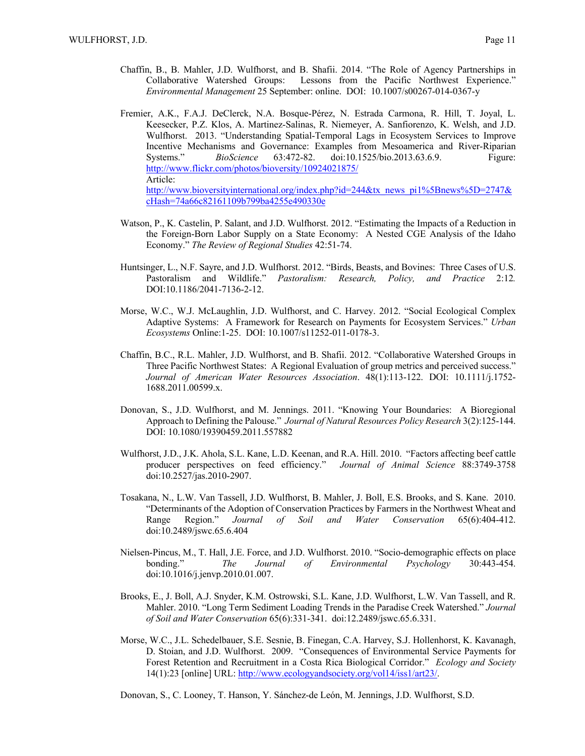- Chaffin, B., B. Mahler, J.D. Wulfhorst, and B. Shafii. 2014. "The Role of Agency Partnerships in Collaborative Watershed Groups: Lessons from the Pacific Northwest Experience." *Environmental Management* 25 September: online. DOI: 10.1007/s00267-014-0367-y
- Fremier, A.K., F.A.J. DeClerck, N.A. Bosque-Pérez, N. Estrada Carmona, R. Hill, T. Joyal, L. Keesecker, P.Z. Klos, A. Martinez-Salinas, R. Niemeyer, A. Sanfiorenzo, K. Welsh, and J.D. Wulfhorst. 2013. "Understanding Spatial-Temporal Lags in Ecosystem Services to Improve Incentive Mechanisms and Governance: Examples from Mesoamerica and River-Riparian Systems." *BioScience* 63:472-82. doi:10.1525/bio.2013.63.6.9. Figure: http://www.flickr.com/photos/bioversity/10924021875/ Article: http://www.bioversityinternational.org/index.php?id=244&tx\_news\_pi1%5Bnews%5D=2747& cHash=74a66c82161109b799ba4255e490330e
- Watson, P., K. Castelin, P. Salant, and J.D. Wulfhorst. 2012. "Estimating the Impacts of a Reduction in the Foreign-Born Labor Supply on a State Economy: A Nested CGE Analysis of the Idaho Economy." *The Review of Regional Studies* 42:51-74.
- Huntsinger, L., N.F. Sayre, and J.D. Wulfhorst. 2012. "Birds, Beasts, and Bovines: Three Cases of U.S. Pastoralism and Wildlife." *Pastoralism: Research, Policy, and Practice* 2:12*.* DOI:10.1186/2041-7136-2-12.
- Morse, W.C., W.J. McLaughlin, J.D. Wulfhorst, and C. Harvey. 2012. "Social Ecological Complex Adaptive Systems: A Framework for Research on Payments for Ecosystem Services." *Urban Ecosystems* Online:1-25. DOI: 10.1007/s11252-011-0178-3.
- Chaffin, B.C., R.L. Mahler, J.D. Wulfhorst, and B. Shafii. 2012. "Collaborative Watershed Groups in Three Pacific Northwest States: A Regional Evaluation of group metrics and perceived success." *Journal of American Water Resources Association*. 48(1):113-122. DOI: 10.1111/j.1752- 1688.2011.00599.x.
- Donovan, S., J.D. Wulfhorst, and M. Jennings. 2011. "Knowing Your Boundaries: A Bioregional Approach to Defining the Palouse." *Journal of Natural Resources Policy Research* 3(2):125-144. DOI: 10.1080/19390459.2011.557882
- Wulfhorst, J.D., J.K. Ahola, S.L. Kane, L.D. Keenan, and R.A. Hill. 2010. "Factors affecting beef cattle producer perspectives on feed efficiency." *Journal of Animal Science* 88:3749-3758 doi:10.2527/jas.2010-2907.
- Tosakana, N., L.W. Van Tassell, J.D. Wulfhorst, B. Mahler, J. Boll, E.S. Brooks, and S. Kane. 2010. "Determinants of the Adoption of Conservation Practices by Farmers in the Northwest Wheat and Range Region." *Journal of Soil and Water Conservation* 65(6):404-412. doi:10.2489/jswc.65.6.404
- Nielsen-Pincus, M., T. Hall, J.E. Force, and J.D. Wulfhorst. 2010. "Socio-demographic effects on place bonding." *The Journal of Environmental Psychology* 30:443-454. doi:10.1016/j.jenvp.2010.01.007.
- Brooks, E., J. Boll, A.J. Snyder, K.M. Ostrowski, S.L. Kane, J.D. Wulfhorst, L.W. Van Tassell, and R. Mahler. 2010. "Long Term Sediment Loading Trends in the Paradise Creek Watershed." *Journal of Soil and Water Conservation* 65(6):331-341. doi:12.2489/jswc.65.6.331.
- Morse, W.C., J.L. Schedelbauer, S.E. Sesnie, B. Finegan, C.A. Harvey, S.J. Hollenhorst, K. Kavanagh, D. Stoian, and J.D. Wulfhorst. 2009. "Consequences of Environmental Service Payments for Forest Retention and Recruitment in a Costa Rica Biological Corridor." *Ecology and Society* 14(1):23 [online] URL: http://www.ecologyandsociety.org/vol14/iss1/art23/.
- Donovan, S., C. Looney, T. Hanson, Y. Sánchez-de León, M. Jennings, J.D. Wulfhorst, S.D.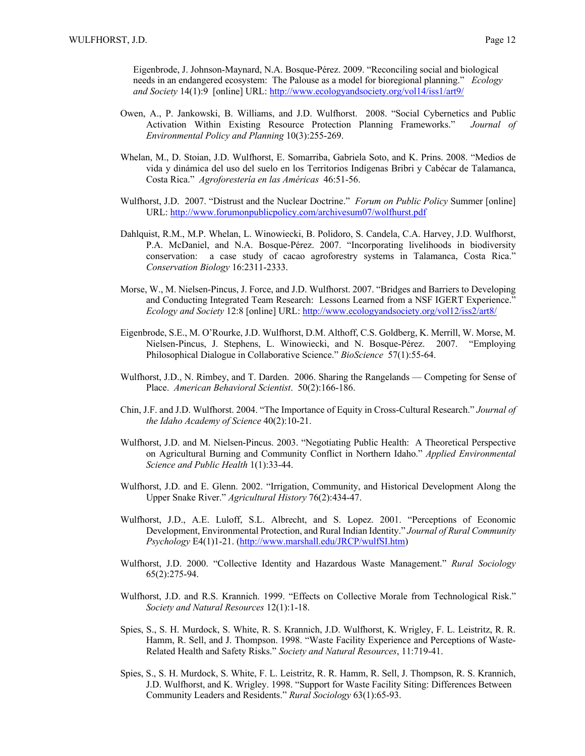Eigenbrode, J. Johnson-Maynard, N.A. Bosque-Pérez. 2009. "Reconciling social and biological needs in an endangered ecosystem: The Palouse as a model for bioregional planning." *Ecology and Society* 14(1):9 [online] URL: http://www.ecologyandsociety.org/vol14/iss1/art9/

- Owen, A., P. Jankowski, B. Williams, and J.D. Wulfhorst. 2008. "Social Cybernetics and Public Activation Within Existing Resource Protection Planning Frameworks." *Journal of Environmental Policy and Planning* 10(3):255-269.
- Whelan, M., D. Stoian, J.D. Wulfhorst, E. Somarriba, Gabriela Soto, and K. Prins. 2008. "Medios de vida y dinámica del uso del suelo en los Territorios Indígenas Bribri y Cabécar de Talamanca, Costa Rica." *Agroforestería en las Américas* 46:51-56.
- Wulfhorst, J.D. 2007. "Distrust and the Nuclear Doctrine." *Forum on Public Policy* Summer [online] URL: http://www.forumonpublicpolicy.com/archivesum07/wolfhurst.pdf
- Dahlquist, R.M., M.P. Whelan, L. Winowiecki, B. Polidoro, S. Candela, C.A. Harvey, J.D. Wulfhorst, P.A. McDaniel, and N.A. Bosque-Pérez. 2007. "Incorporating livelihoods in biodiversity conservation: a case study of cacao agroforestry systems in Talamanca, Costa Rica." *Conservation Biology* 16:2311-2333.
- Morse, W., M. Nielsen-Pincus, J. Force, and J.D. Wulfhorst. 2007. "Bridges and Barriers to Developing and Conducting Integrated Team Research: Lessons Learned from a NSF IGERT Experience." *Ecology and Society* 12:8 [online] URL: http://www.ecologyandsociety.org/vol12/iss2/art8/
- Eigenbrode, S.E., M. O'Rourke, J.D. Wulfhorst, D.M. Althoff, C.S. Goldberg, K. Merrill, W. Morse, M. Nielsen-Pincus, J. Stephens, L. Winowiecki, and N. Bosque-Pérez. 2007. "Employing Philosophical Dialogue in Collaborative Science." *BioScience* 57(1):55-64.
- Wulfhorst, J.D., N. Rimbey, and T. Darden. 2006. Sharing the Rangelands Competing for Sense of Place. *American Behavioral Scientist*. 50(2):166-186.
- Chin, J.F. and J.D. Wulfhorst. 2004. "The Importance of Equity in Cross-Cultural Research." *Journal of the Idaho Academy of Science* 40(2):10-21.
- Wulfhorst, J.D. and M. Nielsen-Pincus. 2003. "Negotiating Public Health: A Theoretical Perspective on Agricultural Burning and Community Conflict in Northern Idaho." *Applied Environmental Science and Public Health* 1(1):33-44.
- Wulfhorst, J.D. and E. Glenn. 2002. "Irrigation, Community, and Historical Development Along the Upper Snake River." *Agricultural History* 76(2):434-47.
- Wulfhorst, J.D., A.E. Luloff, S.L. Albrecht, and S. Lopez. 2001. "Perceptions of Economic Development, Environmental Protection, and Rural Indian Identity." *Journal of Rural Community Psychology* E4(1)1-21. (http://www.marshall.edu/JRCP/wulfSI.htm)
- Wulfhorst, J.D. 2000. "Collective Identity and Hazardous Waste Management." *Rural Sociology* 65(2):275-94.
- Wulfhorst, J.D. and R.S. Krannich. 1999. "Effects on Collective Morale from Technological Risk." *Society and Natural Resources* 12(1):1-18.
- Spies, S., S. H. Murdock, S. White, R. S. Krannich, J.D. Wulfhorst, K. Wrigley, F. L. Leistritz, R. R. Hamm, R. Sell, and J. Thompson. 1998. "Waste Facility Experience and Perceptions of Waste-Related Health and Safety Risks." *Society and Natural Resources*, 11:719-41.
- Spies, S., S. H. Murdock, S. White, F. L. Leistritz, R. R. Hamm, R. Sell, J. Thompson, R. S. Krannich, J.D. Wulfhorst, and K. Wrigley. 1998. "Support for Waste Facility Siting: Differences Between Community Leaders and Residents." *Rural Sociology* 63(1):65-93.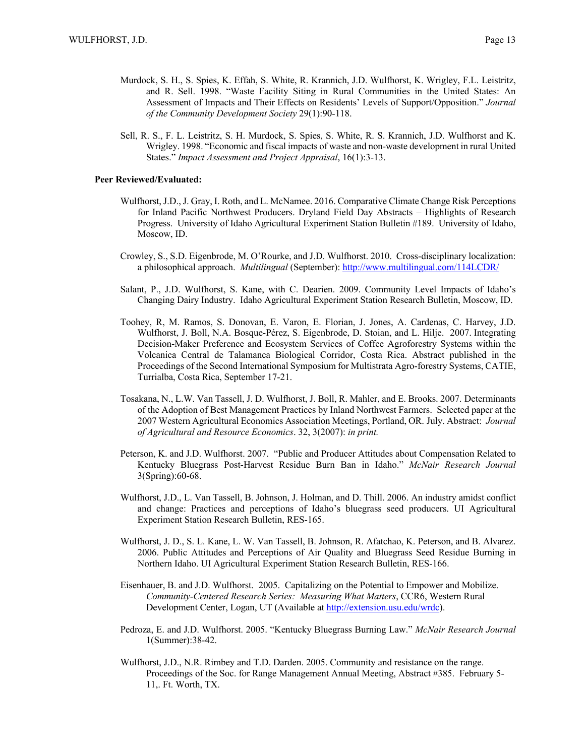- Murdock, S. H., S. Spies, K. Effah, S. White, R. Krannich, J.D. Wulfhorst, K. Wrigley, F.L. Leistritz, and R. Sell. 1998. "Waste Facility Siting in Rural Communities in the United States: An Assessment of Impacts and Their Effects on Residents' Levels of Support/Opposition." *Journal of the Community Development Society* 29(1):90-118.
- Sell, R. S., F. L. Leistritz, S. H. Murdock, S. Spies, S. White, R. S. Krannich, J.D. Wulfhorst and K. Wrigley. 1998. "Economic and fiscal impacts of waste and non-waste development in rural United States." *Impact Assessment and Project Appraisal*, 16(1):3-13.

## **Peer Reviewed/Evaluated:**

- Wulfhorst, J.D., J. Gray, I. Roth, and L. McNamee. 2016. Comparative Climate Change Risk Perceptions for Inland Pacific Northwest Producers. Dryland Field Day Abstracts – Highlights of Research Progress. University of Idaho Agricultural Experiment Station Bulletin #189. University of Idaho, Moscow, ID.
- Crowley, S., S.D. Eigenbrode, M. O'Rourke, and J.D. Wulfhorst. 2010. Cross-disciplinary localization: a philosophical approach. *Multilingual* (September): http://www.multilingual.com/114LCDR/
- Salant, P., J.D. Wulfhorst, S. Kane, with C. Dearien. 2009. Community Level Impacts of Idaho's Changing Dairy Industry. Idaho Agricultural Experiment Station Research Bulletin, Moscow, ID.
- Toohey, R, M. Ramos, S. Donovan, E. Varon, E. Florian, J. Jones, A. Cardenas, C. Harvey, J.D. Wulfhorst, J. Boll, N.A. Bosque-Pérez, S. Eigenbrode, D. Stoian, and L. Hilje. 2007. Integrating Decision-Maker Preference and Ecosystem Services of Coffee Agroforestry Systems within the Volcanica Central de Talamanca Biological Corridor, Costa Rica. Abstract published in the Proceedings of the Second International Symposium for Multistrata Agro-forestry Systems, CATIE, Turrialba, Costa Rica, September 17-21.
- Tosakana, N., L.W. Van Tassell, J. D. Wulfhorst, J. Boll, R. Mahler, and E. Brooks. 2007. Determinants of the Adoption of Best Management Practices by Inland Northwest Farmers. Selected paper at the 2007 Western Agricultural Economics Association Meetings, Portland, OR. July. Abstract: *Journal of Agricultural and Resource Economics*. 32, 3(2007): *in print.*
- Peterson, K. and J.D. Wulfhorst. 2007. "Public and Producer Attitudes about Compensation Related to Kentucky Bluegrass Post-Harvest Residue Burn Ban in Idaho." *McNair Research Journal* 3(Spring):60-68.
- Wulfhorst, J.D., L. Van Tassell, B. Johnson, J. Holman, and D. Thill. 2006. An industry amidst conflict and change: Practices and perceptions of Idaho's bluegrass seed producers. UI Agricultural Experiment Station Research Bulletin, RES-165.
- Wulfhorst, J. D., S. L. Kane, L. W. Van Tassell, B. Johnson, R. Afatchao, K. Peterson, and B. Alvarez. 2006. Public Attitudes and Perceptions of Air Quality and Bluegrass Seed Residue Burning in Northern Idaho. UI Agricultural Experiment Station Research Bulletin, RES-166.
- Eisenhauer, B. and J.D. Wulfhorst. 2005. Capitalizing on the Potential to Empower and Mobilize. *Community-Centered Research Series: Measuring What Matters*, CCR6, Western Rural Development Center, Logan, UT (Available at http://extension.usu.edu/wrdc).
- Pedroza, E. and J.D. Wulfhorst. 2005. "Kentucky Bluegrass Burning Law." *McNair Research Journal*  1(Summer):38-42.
- Wulfhorst, J.D., N.R. Rimbey and T.D. Darden. 2005. Community and resistance on the range. Proceedings of the Soc. for Range Management Annual Meeting, Abstract #385. February 5- 11,. Ft. Worth, TX.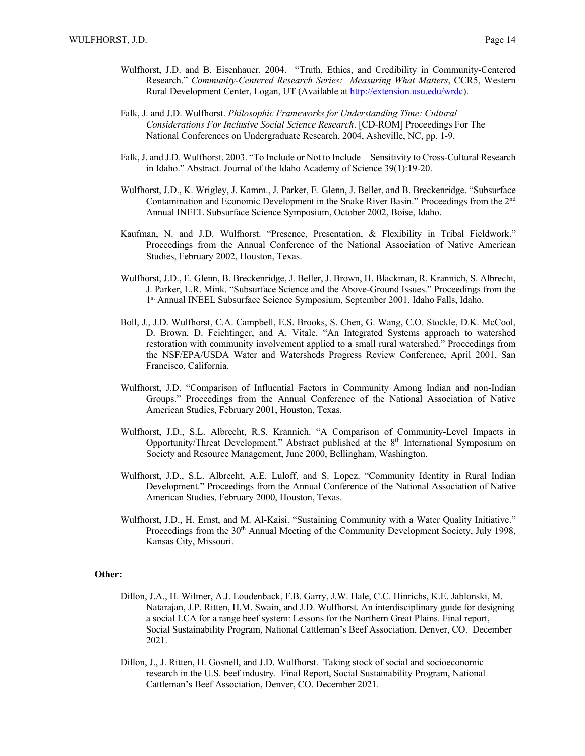- Wulfhorst, J.D. and B. Eisenhauer. 2004. "Truth, Ethics, and Credibility in Community-Centered Research." *Community-Centered Research Series: Measuring What Matters*, CCR5, Western Rural Development Center, Logan, UT (Available at http://extension.usu.edu/wrdc).
- Falk, J. and J.D. Wulfhorst. *Philosophic Frameworks for Understanding Time: Cultural Considerations For Inclusive Social Science Research*. [CD-ROM] Proceedings For The National Conferences on Undergraduate Research, 2004, Asheville, NC, pp. 1-9.
- Falk, J. and J.D. Wulfhorst. 2003. "To Include or Not to Include—Sensitivity to Cross-Cultural Research in Idaho." Abstract. Journal of the Idaho Academy of Science 39(1):19-20.
- Wulfhorst, J.D., K. Wrigley, J. Kamm., J. Parker, E. Glenn, J. Beller, and B. Breckenridge. "Subsurface Contamination and Economic Development in the Snake River Basin." Proceedings from the 2nd Annual INEEL Subsurface Science Symposium, October 2002, Boise, Idaho.
- Kaufman, N. and J.D. Wulfhorst. "Presence, Presentation, & Flexibility in Tribal Fieldwork." Proceedings from the Annual Conference of the National Association of Native American Studies, February 2002, Houston, Texas.
- Wulfhorst, J.D., E. Glenn, B. Breckenridge, J. Beller, J. Brown, H. Blackman, R. Krannich, S. Albrecht, J. Parker, L.R. Mink. "Subsurface Science and the Above-Ground Issues." Proceedings from the 1<sup>st</sup> Annual INEEL Subsurface Science Symposium, September 2001, Idaho Falls, Idaho.
- Boll, J., J.D. Wulfhorst, C.A. Campbell, E.S. Brooks, S. Chen, G. Wang, C.O. Stockle, D.K. McCool, D. Brown, D. Feichtinger, and A. Vitale. "An Integrated Systems approach to watershed restoration with community involvement applied to a small rural watershed." Proceedings from the NSF/EPA/USDA Water and Watersheds Progress Review Conference, April 2001, San Francisco, California.
- Wulfhorst, J.D. "Comparison of Influential Factors in Community Among Indian and non-Indian Groups." Proceedings from the Annual Conference of the National Association of Native American Studies, February 2001, Houston, Texas.
- Wulfhorst, J.D., S.L. Albrecht, R.S. Krannich. "A Comparison of Community-Level Impacts in Opportunity/Threat Development." Abstract published at the  $8<sup>th</sup>$  International Symposium on Society and Resource Management, June 2000, Bellingham, Washington.
- Wulfhorst, J.D., S.L. Albrecht, A.E. Luloff, and S. Lopez. "Community Identity in Rural Indian Development." Proceedings from the Annual Conference of the National Association of Native American Studies, February 2000, Houston, Texas.
- Wulfhorst, J.D., H. Ernst, and M. Al-Kaisi. "Sustaining Community with a Water Quality Initiative." Proceedings from the 30<sup>th</sup> Annual Meeting of the Community Development Society, July 1998, Kansas City, Missouri.

## **Other:**

- Dillon, J.A., H. Wilmer, A.J. Loudenback, F.B. Garry, J.W. Hale, C.C. Hinrichs, K.E. Jablonski, M. Natarajan, J.P. Ritten, H.M. Swain, and J.D. Wulfhorst. An interdisciplinary guide for designing a social LCA for a range beef system: Lessons for the Northern Great Plains. Final report, Social Sustainability Program, National Cattleman's Beef Association, Denver, CO. December 2021.
- Dillon, J., J. Ritten, H. Gosnell, and J.D. Wulfhorst. Taking stock of social and socioeconomic research in the U.S. beef industry. Final Report, Social Sustainability Program, National Cattleman's Beef Association, Denver, CO. December 2021.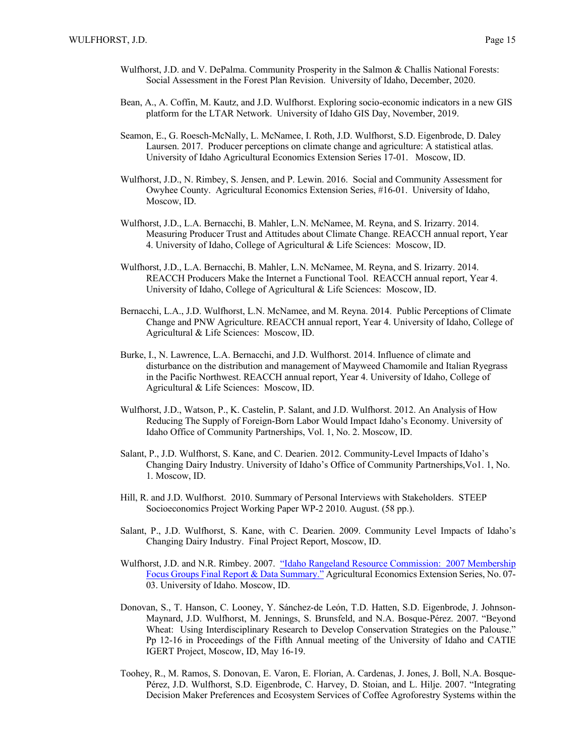- Wulfhorst, J.D. and V. DePalma. Community Prosperity in the Salmon & Challis National Forests: Social Assessment in the Forest Plan Revision. University of Idaho, December, 2020.
- Bean, A., A. Coffin, M. Kautz, and J.D. Wulfhorst. Exploring socio-economic indicators in a new GIS platform for the LTAR Network. University of Idaho GIS Day, November, 2019.
- Seamon, E., G. Roesch-McNally, L. McNamee, I. Roth, J.D. Wulfhorst, S.D. Eigenbrode, D. Daley Laursen. 2017. Producer perceptions on climate change and agriculture: A statistical atlas. University of Idaho Agricultural Economics Extension Series 17-01. Moscow, ID.
- Wulfhorst, J.D., N. Rimbey, S. Jensen, and P. Lewin. 2016. Social and Community Assessment for Owyhee County. Agricultural Economics Extension Series, #16-01. University of Idaho, Moscow, ID.
- Wulfhorst, J.D., L.A. Bernacchi, B. Mahler, L.N. McNamee, M. Reyna, and S. Irizarry. 2014. Measuring Producer Trust and Attitudes about Climate Change. REACCH annual report, Year 4. University of Idaho, College of Agricultural & Life Sciences: Moscow, ID.
- Wulfhorst, J.D., L.A. Bernacchi, B. Mahler, L.N. McNamee, M. Reyna, and S. Irizarry. 2014. REACCH Producers Make the Internet a Functional Tool. REACCH annual report, Year 4. University of Idaho, College of Agricultural & Life Sciences: Moscow, ID.
- Bernacchi, L.A., J.D. Wulfhorst, L.N. McNamee, and M. Reyna. 2014. Public Perceptions of Climate Change and PNW Agriculture. REACCH annual report, Year 4. University of Idaho, College of Agricultural & Life Sciences: Moscow, ID.
- Burke, I., N. Lawrence, L.A. Bernacchi, and J.D. Wulfhorst. 2014. Influence of climate and disturbance on the distribution and management of Mayweed Chamomile and Italian Ryegrass in the Pacific Northwest. REACCH annual report, Year 4. University of Idaho, College of Agricultural & Life Sciences: Moscow, ID.
- Wulfhorst, J.D., Watson, P., K. Castelin, P. Salant, and J.D. Wulfhorst. 2012. An Analysis of How Reducing The Supply of Foreign-Born Labor Would Impact Idaho's Economy. University of Idaho Office of Community Partnerships, Vol. 1, No. 2. Moscow, ID.
- Salant, P., J.D. Wulfhorst, S. Kane, and C. Dearien. 2012. Community-Level Impacts of Idaho's Changing Dairy Industry. University of Idaho's Office of Community Partnerships,Vo1. 1, No. 1. Moscow, ID.
- Hill, R. and J.D. Wulfhorst. 2010. Summary of Personal Interviews with Stakeholders. STEEP Socioeconomics Project Working Paper WP-2 2010. August. (58 pp.).
- Salant, P., J.D. Wulfhorst, S. Kane, with C. Dearien. 2009. Community Level Impacts of Idaho's Changing Dairy Industry. Final Project Report, Moscow, ID.
- Wulfhorst, J.D. and N.R. Rimbey. 2007. "Idaho Rangeland Resource Commission: 2007 Membership Focus Groups Final Report & Data Summary." Agricultural Economics Extension Series, No. 07- 03. University of Idaho. Moscow, ID.
- Donovan, S., T. Hanson, C. Looney, Y. Sánchez-de León, T.D. Hatten, S.D. Eigenbrode, J. Johnson-Maynard, J.D. Wulfhorst, M. Jennings, S. Brunsfeld, and N.A. Bosque-Pérez. 2007. "Beyond Wheat: Using Interdisciplinary Research to Develop Conservation Strategies on the Palouse." Pp 12-16 in Proceedings of the Fifth Annual meeting of the University of Idaho and CATIE IGERT Project, Moscow, ID, May 16-19.
- Toohey, R., M. Ramos, S. Donovan, E. Varon, E. Florian, A. Cardenas, J. Jones, J. Boll, N.A. Bosque-Pérez, J.D. Wulfhorst, S.D. Eigenbrode, C. Harvey, D. Stoian, and L. Hilje. 2007. "Integrating Decision Maker Preferences and Ecosystem Services of Coffee Agroforestry Systems within the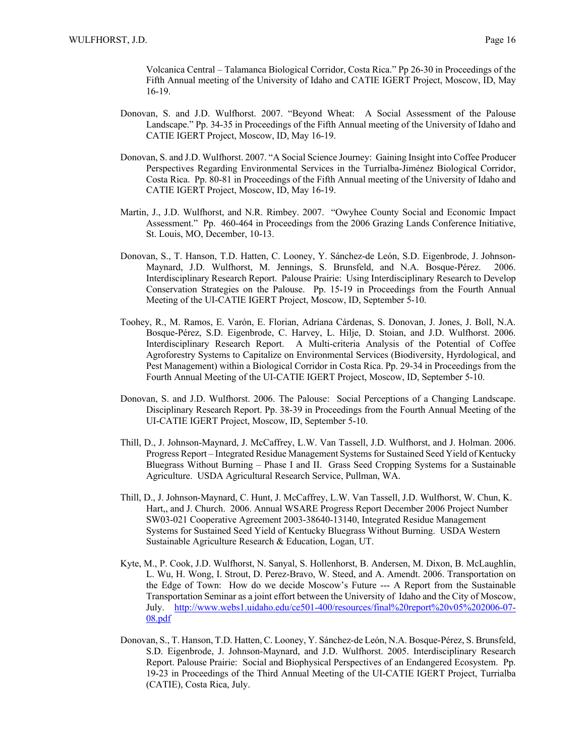Volcanica Central – Talamanca Biological Corridor, Costa Rica." Pp 26-30 in Proceedings of the Fifth Annual meeting of the University of Idaho and CATIE IGERT Project, Moscow, ID, May 16-19.

- Donovan, S. and J.D. Wulfhorst. 2007. "Beyond Wheat: A Social Assessment of the Palouse Landscape." Pp. 34-35 in Proceedings of the Fifth Annual meeting of the University of Idaho and CATIE IGERT Project, Moscow, ID, May 16-19.
- Donovan, S. and J.D. Wulfhorst. 2007. "A Social Science Journey: Gaining Insight into Coffee Producer Perspectives Regarding Environmental Services in the Turrialba-Jiménez Biological Corridor, Costa Rica. Pp. 80-81 in Proceedings of the Fifth Annual meeting of the University of Idaho and CATIE IGERT Project, Moscow, ID, May 16-19.
- Martin, J., J.D. Wulfhorst, and N.R. Rimbey. 2007. "Owyhee County Social and Economic Impact Assessment." Pp. 460-464 in Proceedings from the 2006 Grazing Lands Conference Initiative, St. Louis, MO, December, 10-13.
- Donovan, S., T. Hanson, T.D. Hatten, C. Looney, Y. Sánchez-de León, S.D. Eigenbrode, J. Johnson-Maynard, J.D. Wulfhorst, M. Jennings, S. Brunsfeld, and N.A. Bosque-Pérez. 2006. Interdisciplinary Research Report. Palouse Prairie: Using Interdisciplinary Research to Develop Conservation Strategies on the Palouse. Pp. 15-19 in Proceedings from the Fourth Annual Meeting of the UI-CATIE IGERT Project, Moscow, ID, September 5-10.
- Toohey, R., M. Ramos, E. Varón, E. Florian, Adríana Cárdenas, S. Donovan, J. Jones, J. Boll, N.A. Bosque-Pérez, S.D. Eigenbrode, C. Harvey, L. Hilje, D. Stoian, and J.D. Wulfhorst. 2006. Interdisciplinary Research Report. A Multi-criteria Analysis of the Potential of Coffee Agroforestry Systems to Capitalize on Environmental Services (Biodiversity, Hyrdological, and Pest Management) within a Biological Corridor in Costa Rica. Pp. 29-34 in Proceedings from the Fourth Annual Meeting of the UI-CATIE IGERT Project, Moscow, ID, September 5-10.
- Donovan, S. and J.D. Wulfhorst. 2006. The Palouse: Social Perceptions of a Changing Landscape. Disciplinary Research Report. Pp. 38-39 in Proceedings from the Fourth Annual Meeting of the UI-CATIE IGERT Project, Moscow, ID, September 5-10.
- Thill, D., J. Johnson-Maynard, J. McCaffrey, L.W. Van Tassell, J.D. Wulfhorst, and J. Holman. 2006. Progress Report – Integrated Residue Management Systems for Sustained Seed Yield of Kentucky Bluegrass Without Burning – Phase I and II. Grass Seed Cropping Systems for a Sustainable Agriculture. USDA Agricultural Research Service, Pullman, WA.
- Thill, D., J. Johnson-Maynard, C. Hunt, J. McCaffrey, L.W. Van Tassell, J.D. Wulfhorst, W. Chun, K. Hart,, and J. Church. 2006. Annual WSARE Progress Report December 2006 Project Number SW03-021 Cooperative Agreement 2003-38640-13140, Integrated Residue Management Systems for Sustained Seed Yield of Kentucky Bluegrass Without Burning. USDA Western Sustainable Agriculture Research & Education, Logan, UT.
- Kyte, M., P. Cook, J.D. Wulfhorst, N. Sanyal, S. Hollenhorst, B. Andersen, M. Dixon, B. McLaughlin, L. Wu, H. Wong, I. Strout, D. Perez-Bravo, W. Steed, and A. Amendt. 2006. Transportation on the Edge of Town: How do we decide Moscow's Future --- A Report from the Sustainable Transportation Seminar as a joint effort between the University of Idaho and the City of Moscow, July. http://www.webs1.uidaho.edu/ce501-400/resources/final%20report%20v05%202006-07- 08.pdf
- Donovan, S., T. Hanson, T.D. Hatten, C. Looney, Y. Sánchez-de León, N.A. Bosque-Pérez, S. Brunsfeld, S.D. Eigenbrode, J. Johnson-Maynard, and J.D. Wulfhorst. 2005. Interdisciplinary Research Report. Palouse Prairie: Social and Biophysical Perspectives of an Endangered Ecosystem. Pp. 19-23 in Proceedings of the Third Annual Meeting of the UI-CATIE IGERT Project, Turrialba (CATIE), Costa Rica, July.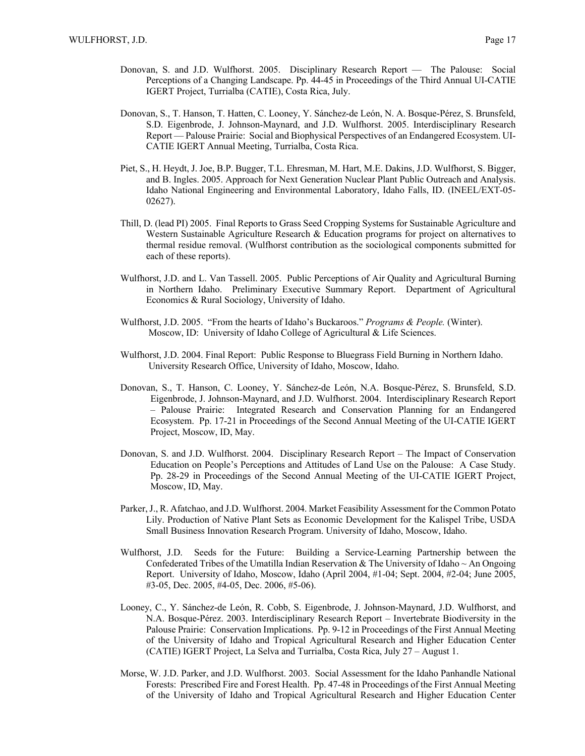- Donovan, S. and J.D. Wulfhorst. 2005. Disciplinary Research Report The Palouse: Social Perceptions of a Changing Landscape. Pp. 44-45 in Proceedings of the Third Annual UI-CATIE IGERT Project, Turrialba (CATIE), Costa Rica, July.
- Donovan, S., T. Hanson, T. Hatten, C. Looney, Y. Sánchez-de León, N. A. Bosque-Pérez, S. Brunsfeld, S.D. Eigenbrode, J. Johnson-Maynard, and J.D. Wulfhorst. 2005. Interdisciplinary Research Report — Palouse Prairie: Social and Biophysical Perspectives of an Endangered Ecosystem. UI-CATIE IGERT Annual Meeting, Turrialba, Costa Rica.
- Piet, S., H. Heydt, J. Joe, B.P. Bugger, T.L. Ehresman, M. Hart, M.E. Dakins, J.D. Wulfhorst, S. Bigger, and B. Ingles. 2005. Approach for Next Generation Nuclear Plant Public Outreach and Analysis. Idaho National Engineering and Environmental Laboratory, Idaho Falls, ID. (INEEL/EXT-05- 02627).
- Thill, D. (lead PI) 2005. Final Reports to Grass Seed Cropping Systems for Sustainable Agriculture and Western Sustainable Agriculture Research & Education programs for project on alternatives to thermal residue removal. (Wulfhorst contribution as the sociological components submitted for each of these reports).
- Wulfhorst, J.D. and L. Van Tassell. 2005. Public Perceptions of Air Quality and Agricultural Burning in Northern Idaho. Preliminary Executive Summary Report. Department of Agricultural Economics & Rural Sociology, University of Idaho.
- Wulfhorst, J.D. 2005. "From the hearts of Idaho's Buckaroos." *Programs & People.* (Winter). Moscow, ID: University of Idaho College of Agricultural & Life Sciences.
- Wulfhorst, J.D. 2004. Final Report: Public Response to Bluegrass Field Burning in Northern Idaho. University Research Office, University of Idaho, Moscow, Idaho.
- Donovan, S., T. Hanson, C. Looney, Y. Sánchez-de León, N.A. Bosque-Pérez, S. Brunsfeld, S.D. Eigenbrode, J. Johnson-Maynard, and J.D. Wulfhorst. 2004. Interdisciplinary Research Report – Palouse Prairie: Integrated Research and Conservation Planning for an Endangered Ecosystem. Pp. 17-21 in Proceedings of the Second Annual Meeting of the UI-CATIE IGERT Project, Moscow, ID, May.
- Donovan, S. and J.D. Wulfhorst. 2004. Disciplinary Research Report The Impact of Conservation Education on People's Perceptions and Attitudes of Land Use on the Palouse: A Case Study. Pp. 28-29 in Proceedings of the Second Annual Meeting of the UI-CATIE IGERT Project, Moscow, ID, May.
- Parker, J., R. Afatchao, and J.D. Wulfhorst. 2004. Market Feasibility Assessment for the Common Potato Lily. Production of Native Plant Sets as Economic Development for the Kalispel Tribe, USDA Small Business Innovation Research Program. University of Idaho, Moscow, Idaho.
- Wulfhorst, J.D. Seeds for the Future: Building a Service-Learning Partnership between the Confederated Tribes of the Umatilla Indian Reservation & The University of Idaho  $\sim$  An Ongoing Report. University of Idaho, Moscow, Idaho (April 2004, #1-04; Sept. 2004, #2-04; June 2005, #3-05, Dec. 2005, #4-05, Dec. 2006, #5-06).
- Looney, C., Y. Sánchez-de León, R. Cobb, S. Eigenbrode, J. Johnson-Maynard, J.D. Wulfhorst, and N.A. Bosque-Pérez. 2003. Interdisciplinary Research Report – Invertebrate Biodiversity in the Palouse Prairie: Conservation Implications. Pp. 9-12 in Proceedings of the First Annual Meeting of the University of Idaho and Tropical Agricultural Research and Higher Education Center (CATIE) IGERT Project, La Selva and Turrialba, Costa Rica, July 27 – August 1.
- Morse, W. J.D. Parker, and J.D. Wulfhorst. 2003. Social Assessment for the Idaho Panhandle National Forests: Prescribed Fire and Forest Health. Pp. 47-48 in Proceedings of the First Annual Meeting of the University of Idaho and Tropical Agricultural Research and Higher Education Center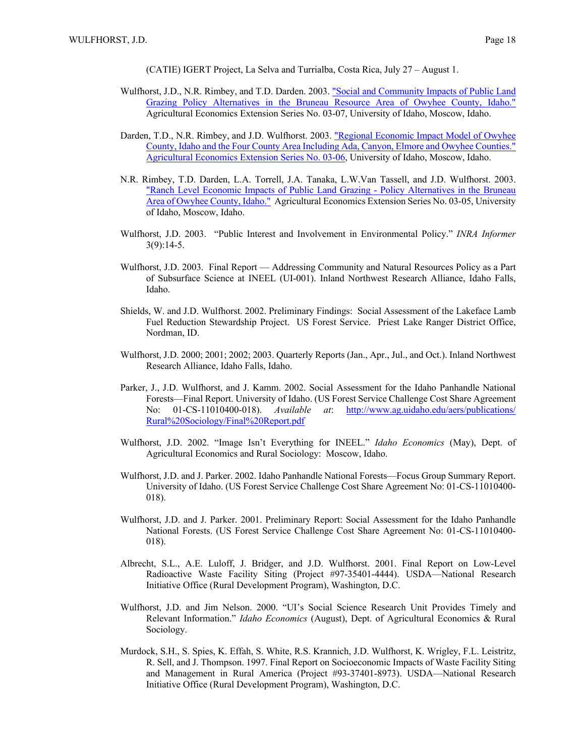(CATIE) IGERT Project, La Selva and Turrialba, Costa Rica, July 27 – August 1.

- Wulfhorst, J.D., N.R. Rimbey, and T.D. Darden. 2003. "Social and Community Impacts of Public Land Grazing Policy Alternatives in the Bruneau Resource Area of Owyhee County, Idaho." Agricultural Economics Extension Series No. 03-07, University of Idaho, Moscow, Idaho.
- Darden, T.D., N.R. Rimbey, and J.D. Wulfhorst. 2003. "Regional Economic Impact Model of Owyhee County, Idaho and the Four County Area Including Ada, Canyon, Elmore and Owyhee Counties." Agricultural Economics Extension Series No. 03-06, University of Idaho, Moscow, Idaho.
- N.R. Rimbey, T.D. Darden, L.A. Torrell, J.A. Tanaka, L.W.Van Tassell, and J.D. Wulfhorst. 2003. "Ranch Level Economic Impacts of Public Land Grazing - Policy Alternatives in the Bruneau Area of Owyhee County, Idaho." Agricultural Economics Extension Series No. 03-05, University of Idaho, Moscow, Idaho.
- Wulfhorst, J.D. 2003. "Public Interest and Involvement in Environmental Policy." *INRA Informer* 3(9):14-5.
- Wulfhorst, J.D. 2003. Final Report Addressing Community and Natural Resources Policy as a Part of Subsurface Science at INEEL (UI-001). Inland Northwest Research Alliance, Idaho Falls, Idaho.
- Shields, W. and J.D. Wulfhorst. 2002. Preliminary Findings: Social Assessment of the Lakeface Lamb Fuel Reduction Stewardship Project. US Forest Service. Priest Lake Ranger District Office, Nordman, ID.
- Wulfhorst, J.D. 2000; 2001; 2002; 2003. Quarterly Reports (Jan., Apr., Jul., and Oct.). Inland Northwest Research Alliance, Idaho Falls, Idaho.
- Parker, J., J.D. Wulfhorst, and J. Kamm. 2002. Social Assessment for the Idaho Panhandle National Forests—Final Report. University of Idaho. (US Forest Service Challenge Cost Share Agreement No: 01-CS-11010400-018). *Available at*: http://www.ag.uidaho.edu/aers/publications/ Rural%20Sociology/Final%20Report.pdf
- Wulfhorst, J.D. 2002. "Image Isn't Everything for INEEL." *Idaho Economics* (May), Dept. of Agricultural Economics and Rural Sociology: Moscow, Idaho.
- Wulfhorst, J.D. and J. Parker. 2002. Idaho Panhandle National Forests—Focus Group Summary Report. University of Idaho. (US Forest Service Challenge Cost Share Agreement No: 01-CS-11010400- 018).
- Wulfhorst, J.D. and J. Parker. 2001. Preliminary Report: Social Assessment for the Idaho Panhandle National Forests. (US Forest Service Challenge Cost Share Agreement No: 01-CS-11010400- 018).
- Albrecht, S.L., A.E. Luloff, J. Bridger, and J.D. Wulfhorst. 2001. Final Report on Low-Level Radioactive Waste Facility Siting (Project #97-35401-4444). USDA—National Research Initiative Office (Rural Development Program), Washington, D.C.
- Wulfhorst, J.D. and Jim Nelson. 2000. "UI's Social Science Research Unit Provides Timely and Relevant Information." *Idaho Economics* (August), Dept. of Agricultural Economics & Rural Sociology.
- Murdock, S.H., S. Spies, K. Effah, S. White, R.S. Krannich, J.D. Wulfhorst, K. Wrigley, F.L. Leistritz, R. Sell, and J. Thompson. 1997. Final Report on Socioeconomic Impacts of Waste Facility Siting and Management in Rural America (Project #93-37401-8973). USDA—National Research Initiative Office (Rural Development Program), Washington, D.C.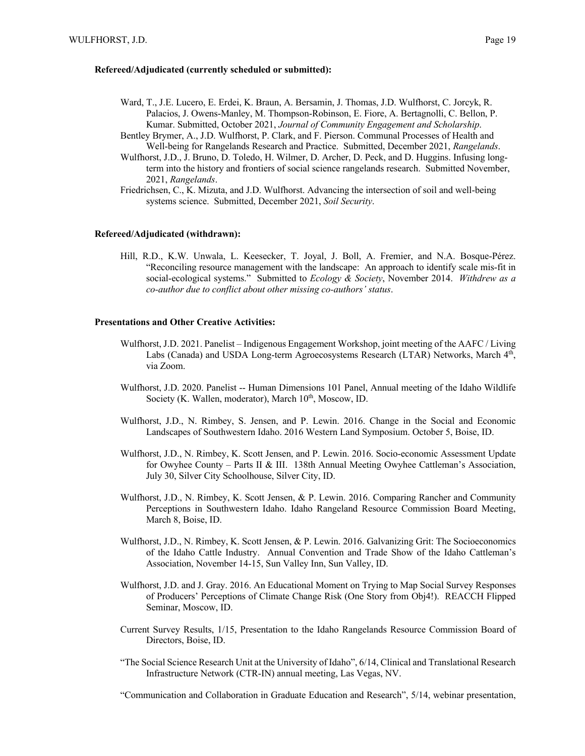#### **Refereed/Adjudicated (currently scheduled or submitted):**

- Ward, T., J.E. Lucero, E. Erdei, K. Braun, A. Bersamin, J. Thomas, J.D. Wulfhorst, C. Jorcyk, R. Palacios, J. Owens-Manley, M. Thompson-Robinson, E. Fiore, A. Bertagnolli, C. Bellon, P. Kumar. Submitted, October 2021, *Journal of Community Engagement and Scholarship*.
- Bentley Brymer, A., J.D. Wulfhorst, P. Clark, and F. Pierson. Communal Processes of Health and Well-being for Rangelands Research and Practice. Submitted, December 2021, *Rangelands*.
- Wulfhorst, J.D., J. Bruno, D. Toledo, H. Wilmer, D. Archer, D. Peck, and D. Huggins. Infusing longterm into the history and frontiers of social science rangelands research. Submitted November, 2021, *Rangelands*.
- Friedrichsen, C., K. Mizuta, and J.D. Wulfhorst. Advancing the intersection of soil and well-being systems science. Submitted, December 2021, *Soil Security*.

## **Refereed/Adjudicated (withdrawn):**

Hill, R.D., K.W. Unwala, L. Keesecker, T. Joyal, J. Boll, A. Fremier, and N.A. Bosque-Pérez. "Reconciling resource management with the landscape: An approach to identify scale mis-fit in social-ecological systems." Submitted to *Ecology & Society*, November 2014. *Withdrew as a co-author due to conflict about other missing co-authors' status*.

#### **Presentations and Other Creative Activities:**

- Wulfhorst, J.D. 2021. Panelist Indigenous Engagement Workshop, joint meeting of the AAFC / Living Labs (Canada) and USDA Long-term Agroecosystems Research (LTAR) Networks, March 4th, via Zoom.
- Wulfhorst, J.D. 2020. Panelist -- Human Dimensions 101 Panel, Annual meeting of the Idaho Wildlife Society (K. Wallen, moderator), March 10<sup>th</sup>, Moscow, ID.
- Wulfhorst, J.D., N. Rimbey, S. Jensen, and P. Lewin. 2016. Change in the Social and Economic Landscapes of Southwestern Idaho. 2016 Western Land Symposium. October 5, Boise, ID.
- Wulfhorst, J.D., N. Rimbey, K. Scott Jensen, and P. Lewin. 2016. Socio-economic Assessment Update for Owyhee County – Parts II & III. 138th Annual Meeting Owyhee Cattleman's Association, July 30, Silver City Schoolhouse, Silver City, ID.
- Wulfhorst, J.D., N. Rimbey, K. Scott Jensen, & P. Lewin. 2016. Comparing Rancher and Community Perceptions in Southwestern Idaho. Idaho Rangeland Resource Commission Board Meeting, March 8, Boise, ID.
- Wulfhorst, J.D., N. Rimbey, K. Scott Jensen, & P. Lewin. 2016. Galvanizing Grit: The Socioeconomics of the Idaho Cattle Industry. Annual Convention and Trade Show of the Idaho Cattleman's Association, November 14-15, Sun Valley Inn, Sun Valley, ID.
- Wulfhorst, J.D. and J. Gray. 2016. An Educational Moment on Trying to Map Social Survey Responses of Producers' Perceptions of Climate Change Risk (One Story from Obj4!). REACCH Flipped Seminar, Moscow, ID.
- Current Survey Results, 1/15, Presentation to the Idaho Rangelands Resource Commission Board of Directors, Boise, ID.
- "The Social Science Research Unit at the University of Idaho", 6/14, Clinical and Translational Research Infrastructure Network (CTR-IN) annual meeting, Las Vegas, NV.

"Communication and Collaboration in Graduate Education and Research", 5/14, webinar presentation,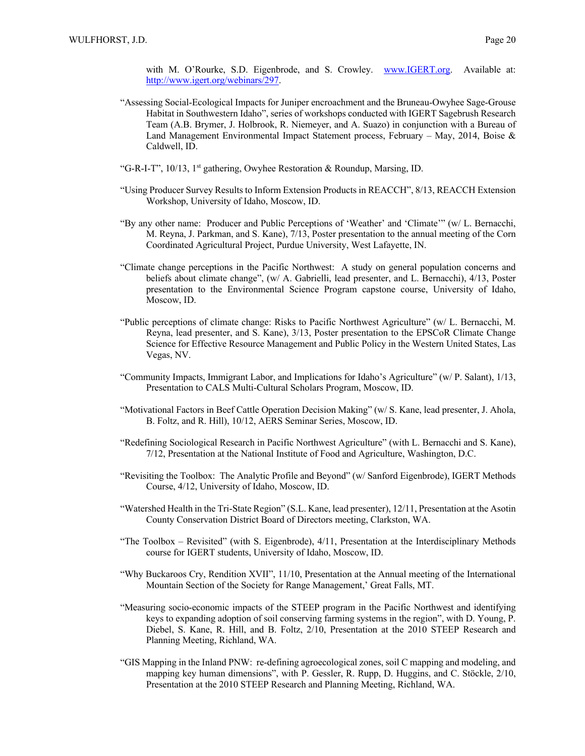with M. O'Rourke, S.D. Eigenbrode, and S. Crowley. www.IGERT.org. Available at: http://www.igert.org/webinars/297.

- "Assessing Social-Ecological Impacts for Juniper encroachment and the Bruneau-Owyhee Sage-Grouse Habitat in Southwestern Idaho", series of workshops conducted with IGERT Sagebrush Research Team (A.B. Brymer, J. Holbrook, R. Niemeyer, and A. Suazo) in conjunction with a Bureau of Land Management Environmental Impact Statement process, February – May, 2014, Boise & Caldwell, ID.
- "G-R-I-T", 10/13, 1st gathering, Owyhee Restoration & Roundup, Marsing, ID.
- "Using Producer Survey Results to Inform Extension Products in REACCH", 8/13, REACCH Extension Workshop, University of Idaho, Moscow, ID.
- "By any other name: Producer and Public Perceptions of 'Weather' and 'Climate'" (w/ L. Bernacchi, M. Reyna, J. Parkman, and S. Kane), 7/13, Poster presentation to the annual meeting of the Corn Coordinated Agricultural Project, Purdue University, West Lafayette, IN.
- "Climate change perceptions in the Pacific Northwest: A study on general population concerns and beliefs about climate change", (w/ A. Gabrielli, lead presenter, and L. Bernacchi), 4/13, Poster presentation to the Environmental Science Program capstone course, University of Idaho, Moscow, ID.
- "Public perceptions of climate change: Risks to Pacific Northwest Agriculture" (w/ L. Bernacchi, M. Reyna, lead presenter, and S. Kane), 3/13, Poster presentation to the EPSCoR Climate Change Science for Effective Resource Management and Public Policy in the Western United States, Las Vegas, NV.
- "Community Impacts, Immigrant Labor, and Implications for Idaho's Agriculture" (w/ P. Salant), 1/13, Presentation to CALS Multi-Cultural Scholars Program, Moscow, ID.
- "Motivational Factors in Beef Cattle Operation Decision Making" (w/ S. Kane, lead presenter, J. Ahola, B. Foltz, and R. Hill), 10/12, AERS Seminar Series, Moscow, ID.
- "Redefining Sociological Research in Pacific Northwest Agriculture" (with L. Bernacchi and S. Kane), 7/12, Presentation at the National Institute of Food and Agriculture, Washington, D.C.
- "Revisiting the Toolbox: The Analytic Profile and Beyond" (w/ Sanford Eigenbrode), IGERT Methods Course, 4/12, University of Idaho, Moscow, ID.
- "Watershed Health in the Tri-State Region" (S.L. Kane, lead presenter), 12/11, Presentation at the Asotin County Conservation District Board of Directors meeting, Clarkston, WA.
- "The Toolbox Revisited" (with S. Eigenbrode), 4/11, Presentation at the Interdisciplinary Methods course for IGERT students, University of Idaho, Moscow, ID.
- "Why Buckaroos Cry, Rendition XVII", 11/10, Presentation at the Annual meeting of the International Mountain Section of the Society for Range Management,' Great Falls, MT.
- "Measuring socio-economic impacts of the STEEP program in the Pacific Northwest and identifying keys to expanding adoption of soil conserving farming systems in the region", with D. Young, P. Diebel, S. Kane, R. Hill, and B. Foltz, 2/10, Presentation at the 2010 STEEP Research and Planning Meeting, Richland, WA.
- "GIS Mapping in the Inland PNW: re-defining agroecological zones, soil C mapping and modeling, and mapping key human dimensions", with P. Gessler, R. Rupp, D. Huggins, and C. Stöckle, 2/10, Presentation at the 2010 STEEP Research and Planning Meeting, Richland, WA.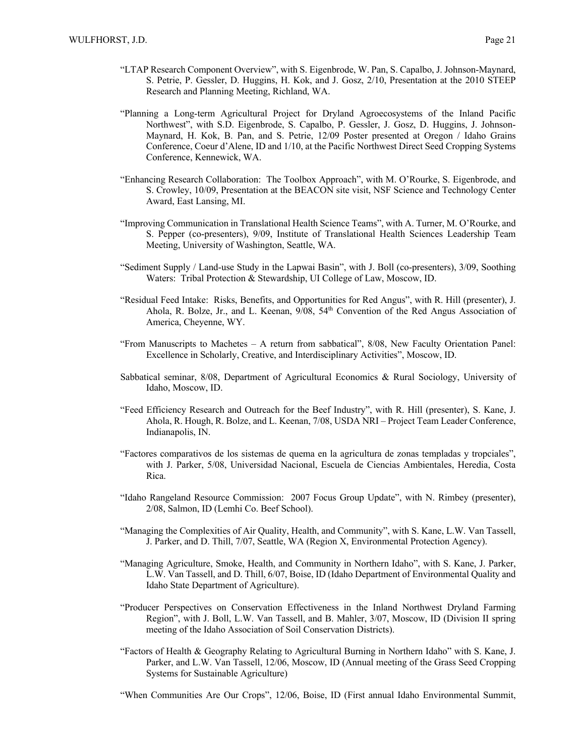- "LTAP Research Component Overview", with S. Eigenbrode, W. Pan, S. Capalbo, J. Johnson-Maynard, S. Petrie, P. Gessler, D. Huggins, H. Kok, and J. Gosz, 2/10, Presentation at the 2010 STEEP Research and Planning Meeting, Richland, WA.
- "Planning a Long-term Agricultural Project for Dryland Agroecosystems of the Inland Pacific Northwest", with S.D. Eigenbrode, S. Capalbo, P. Gessler, J. Gosz, D. Huggins, J. Johnson-Maynard, H. Kok, B. Pan, and S. Petrie, 12/09 Poster presented at Oregon / Idaho Grains Conference, Coeur d'Alene, ID and 1/10, at the Pacific Northwest Direct Seed Cropping Systems Conference, Kennewick, WA.
- "Enhancing Research Collaboration: The Toolbox Approach", with M. O'Rourke, S. Eigenbrode, and S. Crowley, 10/09, Presentation at the BEACON site visit, NSF Science and Technology Center Award, East Lansing, MI.
- "Improving Communication in Translational Health Science Teams", with A. Turner, M. O'Rourke, and S. Pepper (co-presenters), 9/09, Institute of Translational Health Sciences Leadership Team Meeting, University of Washington, Seattle, WA.
- "Sediment Supply / Land-use Study in the Lapwai Basin", with J. Boll (co-presenters), 3/09, Soothing Waters: Tribal Protection & Stewardship, UI College of Law, Moscow, ID.
- "Residual Feed Intake: Risks, Benefits, and Opportunities for Red Angus", with R. Hill (presenter), J. Ahola, R. Bolze, Jr., and L. Keenan, 9/08, 54th Convention of the Red Angus Association of America, Cheyenne, WY.
- "From Manuscripts to Machetes A return from sabbatical", 8/08, New Faculty Orientation Panel: Excellence in Scholarly, Creative, and Interdisciplinary Activities", Moscow, ID.
- Sabbatical seminar, 8/08, Department of Agricultural Economics & Rural Sociology, University of Idaho, Moscow, ID.
- "Feed Efficiency Research and Outreach for the Beef Industry", with R. Hill (presenter), S. Kane, J. Ahola, R. Hough, R. Bolze, and L. Keenan, 7/08, USDA NRI – Project Team Leader Conference, Indianapolis, IN.
- "Factores comparativos de los sistemas de quema en la agricultura de zonas templadas y tropciales", with J. Parker, 5/08, Universidad Nacional, Escuela de Ciencias Ambientales, Heredia, Costa Rica.
- "Idaho Rangeland Resource Commission: 2007 Focus Group Update", with N. Rimbey (presenter), 2/08, Salmon, ID (Lemhi Co. Beef School).
- "Managing the Complexities of Air Quality, Health, and Community", with S. Kane, L.W. Van Tassell, J. Parker, and D. Thill, 7/07, Seattle, WA (Region X, Environmental Protection Agency).
- "Managing Agriculture, Smoke, Health, and Community in Northern Idaho", with S. Kane, J. Parker, L.W. Van Tassell, and D. Thill, 6/07, Boise, ID (Idaho Department of Environmental Quality and Idaho State Department of Agriculture).
- "Producer Perspectives on Conservation Effectiveness in the Inland Northwest Dryland Farming Region", with J. Boll, L.W. Van Tassell, and B. Mahler, 3/07, Moscow, ID (Division II spring meeting of the Idaho Association of Soil Conservation Districts).
- "Factors of Health & Geography Relating to Agricultural Burning in Northern Idaho" with S. Kane, J. Parker, and L.W. Van Tassell, 12/06, Moscow, ID (Annual meeting of the Grass Seed Cropping Systems for Sustainable Agriculture)
- "When Communities Are Our Crops", 12/06, Boise, ID (First annual Idaho Environmental Summit,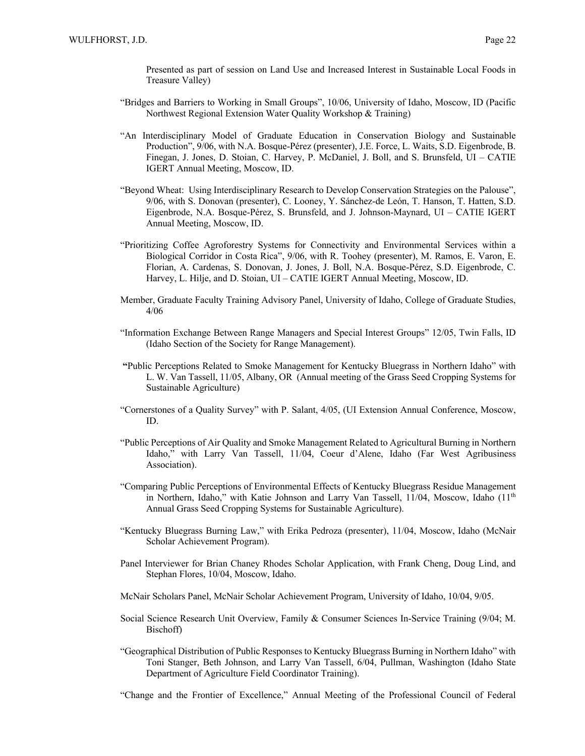Presented as part of session on Land Use and Increased Interest in Sustainable Local Foods in Treasure Valley)

- "Bridges and Barriers to Working in Small Groups", 10/06, University of Idaho, Moscow, ID (Pacific Northwest Regional Extension Water Quality Workshop & Training)
- "An Interdisciplinary Model of Graduate Education in Conservation Biology and Sustainable Production", 9/06, with N.A. Bosque-Pérez (presenter), J.E. Force, L. Waits, S.D. Eigenbrode, B. Finegan, J. Jones, D. Stoian, C. Harvey, P. McDaniel, J. Boll, and S. Brunsfeld, UI – CATIE IGERT Annual Meeting, Moscow, ID.
- "Beyond Wheat: Using Interdisciplinary Research to Develop Conservation Strategies on the Palouse", 9/06, with S. Donovan (presenter), C. Looney, Y. Sánchez-de León, T. Hanson, T. Hatten, S.D. Eigenbrode, N.A. Bosque-Pérez, S. Brunsfeld, and J. Johnson-Maynard, UI – CATIE IGERT Annual Meeting, Moscow, ID.
- "Prioritizing Coffee Agroforestry Systems for Connectivity and Environmental Services within a Biological Corridor in Costa Rica", 9/06, with R. Toohey (presenter), M. Ramos, E. Varon, E. Florian, A. Cardenas, S. Donovan, J. Jones, J. Boll, N.A. Bosque-Pérez, S.D. Eigenbrode, C. Harvey, L. Hilje, and D. Stoian, UI – CATIE IGERT Annual Meeting, Moscow, ID.
- Member, Graduate Faculty Training Advisory Panel, University of Idaho, College of Graduate Studies, 4/06
- "Information Exchange Between Range Managers and Special Interest Groups" 12/05, Twin Falls, ID (Idaho Section of the Society for Range Management).
- **"**Public Perceptions Related to Smoke Management for Kentucky Bluegrass in Northern Idaho" with L. W. Van Tassell, 11/05, Albany, OR (Annual meeting of the Grass Seed Cropping Systems for Sustainable Agriculture)
- "Cornerstones of a Quality Survey" with P. Salant, 4/05, (UI Extension Annual Conference, Moscow, ID.
- "Public Perceptions of Air Quality and Smoke Management Related to Agricultural Burning in Northern Idaho," with Larry Van Tassell, 11/04, Coeur d'Alene, Idaho (Far West Agribusiness Association).
- "Comparing Public Perceptions of Environmental Effects of Kentucky Bluegrass Residue Management in Northern, Idaho," with Katie Johnson and Larry Van Tassell,  $11/04$ , Moscow, Idaho  $(11<sup>th</sup>$ Annual Grass Seed Cropping Systems for Sustainable Agriculture).
- "Kentucky Bluegrass Burning Law," with Erika Pedroza (presenter), 11/04, Moscow, Idaho (McNair Scholar Achievement Program).
- Panel Interviewer for Brian Chaney Rhodes Scholar Application, with Frank Cheng, Doug Lind, and Stephan Flores, 10/04, Moscow, Idaho.
- McNair Scholars Panel, McNair Scholar Achievement Program, University of Idaho, 10/04, 9/05.
- Social Science Research Unit Overview, Family & Consumer Sciences In-Service Training (9/04; M. Bischoff)
- "Geographical Distribution of Public Responses to Kentucky Bluegrass Burning in Northern Idaho" with Toni Stanger, Beth Johnson, and Larry Van Tassell, 6/04, Pullman, Washington (Idaho State Department of Agriculture Field Coordinator Training).

"Change and the Frontier of Excellence," Annual Meeting of the Professional Council of Federal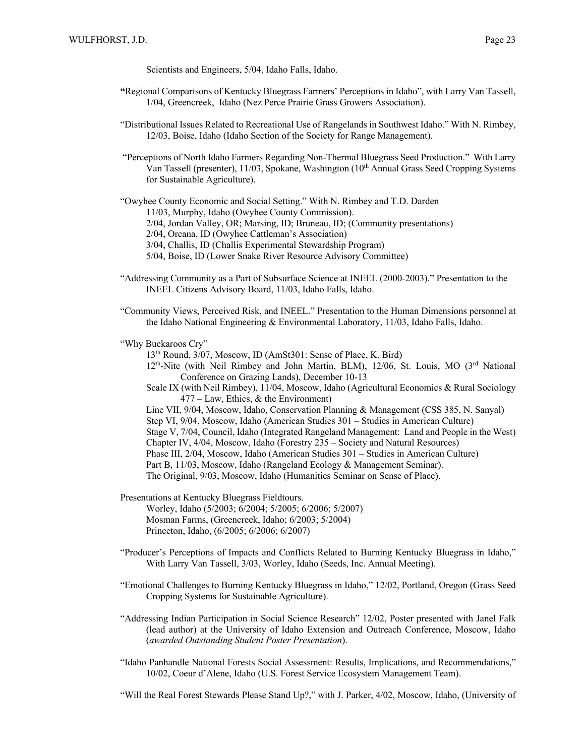Scientists and Engineers, 5/04, Idaho Falls, Idaho.

- **"**Regional Comparisons of Kentucky Bluegrass Farmers' Perceptions in Idaho", with Larry Van Tassell, 1/04, Greencreek, Idaho (Nez Perce Prairie Grass Growers Association).
- "Distributional Issues Related to Recreational Use of Rangelands in Southwest Idaho." With N. Rimbey, 12/03, Boise, Idaho (Idaho Section of the Society for Range Management).
- "Perceptions of North Idaho Farmers Regarding Non-Thermal Bluegrass Seed Production." With Larry Van Tassell (presenter), 11/03, Spokane, Washington (10<sup>th</sup> Annual Grass Seed Cropping Systems for Sustainable Agriculture).

"Owyhee County Economic and Social Setting." With N. Rimbey and T.D. Darden

11/03, Murphy, Idaho (Owyhee County Commission).

2/04, Jordan Valley, OR; Marsing, ID; Bruneau, ID; (Community presentations)

2/04, Oreana, ID (Owyhee Cattleman's Association)

3/04, Challis, ID (Challis Experimental Stewardship Program)

5/04, Boise, ID (Lower Snake River Resource Advisory Committee)

- "Addressing Community as a Part of Subsurface Science at INEEL (2000-2003)." Presentation to the INEEL Citizens Advisory Board, 11/03, Idaho Falls, Idaho.
- "Community Views, Perceived Risk, and INEEL." Presentation to the Human Dimensions personnel at the Idaho National Engineering & Environmental Laboratory, 11/03, Idaho Falls, Idaho.

"Why Buckaroos Cry"

13th Round, 3/07, Moscow, ID (AmSt301: Sense of Place, K. Bird)

- $12<sup>th</sup>$ -Nite (with Neil Rimbey and John Martin, BLM), 12/06, St. Louis, MO ( $3<sup>rd</sup>$  National Conference on Grazing Lands), December 10-13
- Scale IX (with Neil Rimbey), 11/04, Moscow, Idaho (Agricultural Economics & Rural Sociology 477 – Law, Ethics, & the Environment)
- Line VII, 9/04, Moscow, Idaho, Conservation Planning & Management (CSS 385, N. Sanyal)

Step VI, 9/04, Moscow, Idaho (American Studies 301 – Studies in American Culture)

Stage V, 7/04, Council, Idaho (Integrated Rangeland Management: Land and People in the West)

Chapter IV, 4/04, Moscow, Idaho (Forestry 235 – Society and Natural Resources)

Phase III, 2/04, Moscow, Idaho (American Studies 301 – Studies in American Culture)

Part B, 11/03, Moscow, Idaho (Rangeland Ecology & Management Seminar).

The Original, 9/03, Moscow, Idaho (Humanities Seminar on Sense of Place).

Presentations at Kentucky Bluegrass Fieldtours.

Worley, Idaho (5/2003; 6/2004; 5/2005; 6/2006; 5/2007) Mosman Farms, (Greencreek, Idaho; 6/2003; 5/2004) Princeton, Idaho, (6/2005; 6/2006; 6/2007)

- "Producer's Perceptions of Impacts and Conflicts Related to Burning Kentucky Bluegrass in Idaho," With Larry Van Tassell, 3/03, Worley, Idaho (Seeds, Inc. Annual Meeting).
- "Emotional Challenges to Burning Kentucky Bluegrass in Idaho," 12/02, Portland, Oregon (Grass Seed Cropping Systems for Sustainable Agriculture).
- "Addressing Indian Participation in Social Science Research" 12/02, Poster presented with Janel Falk (lead author) at the University of Idaho Extension and Outreach Conference, Moscow, Idaho (*awarded Outstanding Student Poster Presentation*).
- "Idaho Panhandle National Forests Social Assessment: Results, Implications, and Recommendations," 10/02, Coeur d'Alene, Idaho (U.S. Forest Service Ecosystem Management Team).

"Will the Real Forest Stewards Please Stand Up?," with J. Parker, 4/02, Moscow, Idaho, (University of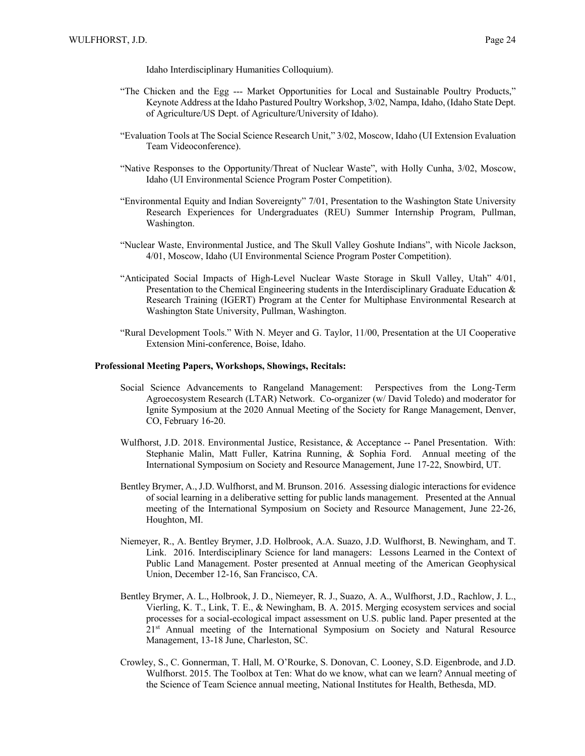- "The Chicken and the Egg --- Market Opportunities for Local and Sustainable Poultry Products," Keynote Address at the Idaho Pastured Poultry Workshop, 3/02, Nampa, Idaho, (Idaho State Dept. of Agriculture/US Dept. of Agriculture/University of Idaho).
- "Evaluation Tools at The Social Science Research Unit," 3/02, Moscow, Idaho (UI Extension Evaluation Team Videoconference).
- "Native Responses to the Opportunity/Threat of Nuclear Waste", with Holly Cunha, 3/02, Moscow, Idaho (UI Environmental Science Program Poster Competition).
- "Environmental Equity and Indian Sovereignty" 7/01, Presentation to the Washington State University Research Experiences for Undergraduates (REU) Summer Internship Program, Pullman, Washington.
- "Nuclear Waste, Environmental Justice, and The Skull Valley Goshute Indians", with Nicole Jackson, 4/01, Moscow, Idaho (UI Environmental Science Program Poster Competition).
- "Anticipated Social Impacts of High-Level Nuclear Waste Storage in Skull Valley, Utah" 4/01, Presentation to the Chemical Engineering students in the Interdisciplinary Graduate Education & Research Training (IGERT) Program at the Center for Multiphase Environmental Research at Washington State University, Pullman, Washington.
- "Rural Development Tools." With N. Meyer and G. Taylor, 11/00, Presentation at the UI Cooperative Extension Mini-conference, Boise, Idaho.

#### **Professional Meeting Papers, Workshops, Showings, Recitals:**

- Social Science Advancements to Rangeland Management: Perspectives from the Long-Term Agroecosystem Research (LTAR) Network. Co-organizer (w/ David Toledo) and moderator for Ignite Symposium at the 2020 Annual Meeting of the Society for Range Management, Denver, CO, February 16-20.
- Wulfhorst, J.D. 2018. Environmental Justice, Resistance, & Acceptance -- Panel Presentation. With: Stephanie Malin, Matt Fuller, Katrina Running, & Sophia Ford. Annual meeting of the International Symposium on Society and Resource Management, June 17-22, Snowbird, UT.
- Bentley Brymer, A., J.D. Wulfhorst, and M. Brunson. 2016. Assessing dialogic interactions for evidence of social learning in a deliberative setting for public lands management. Presented at the Annual meeting of the International Symposium on Society and Resource Management, June 22-26, Houghton, MI.
- Niemeyer, R., A. Bentley Brymer, J.D. Holbrook, A.A. Suazo, J.D. Wulfhorst, B. Newingham, and T. Link. 2016. Interdisciplinary Science for land managers: Lessons Learned in the Context of Public Land Management. Poster presented at Annual meeting of the American Geophysical Union, December 12-16, San Francisco, CA.
- Bentley Brymer, A. L., Holbrook, J. D., Niemeyer, R. J., Suazo, A. A., Wulfhorst, J.D., Rachlow, J. L., Vierling, K. T., Link, T. E., & Newingham, B. A. 2015. Merging ecosystem services and social processes for a social-ecological impact assessment on U.S. public land. Paper presented at the 21<sup>st</sup> Annual meeting of the International Symposium on Society and Natural Resource Management, 13-18 June, Charleston, SC.
- Crowley, S., C. Gonnerman, T. Hall, M. O'Rourke, S. Donovan, C. Looney, S.D. Eigenbrode, and J.D. Wulfhorst. 2015. The Toolbox at Ten: What do we know, what can we learn? Annual meeting of the Science of Team Science annual meeting, National Institutes for Health, Bethesda, MD.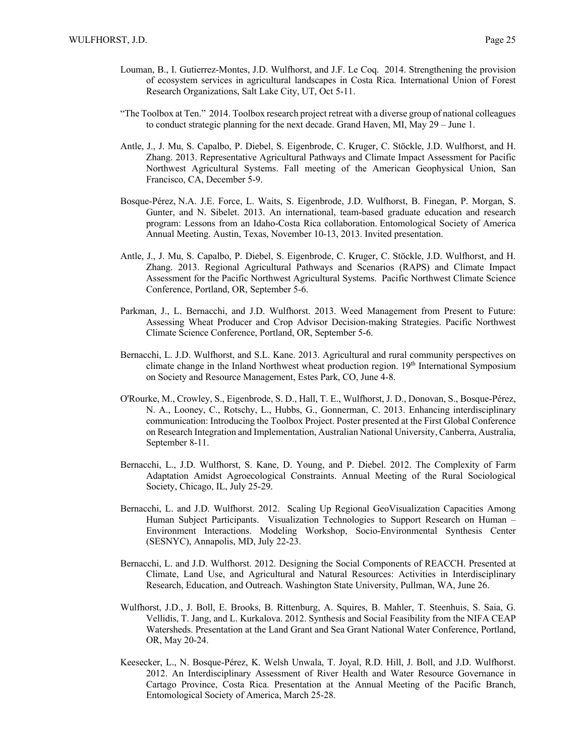- Louman, B., I. Gutierrez-Montes, J.D. Wulfhorst, and J.F. Le Coq. 2014. Strengthening the provision of ecosystem services in agricultural landscapes in Costa Rica. International Union of Forest Research Organizations, Salt Lake City, UT, Oct 5-11.
- "The Toolbox at Ten." 2014. Toolbox research project retreat with a diverse group of national colleagues to conduct strategic planning for the next decade. Grand Haven, MI, May 29 – June 1.
- Antle, J., J. Mu, S. Capalbo, P. Diebel, S. Eigenbrode, C. Kruger, C. Stöckle, J.D. Wulfhorst, and H. Zhang. 2013. Representative Agricultural Pathways and Climate Impact Assessment for Pacific Northwest Agricultural Systems. Fall meeting of the American Geophysical Union, San Francisco, CA, December 5-9.
- Bosque-Pérez, N.A. J.E. Force, L. Waits, S. Eigenbrode, J.D. Wulfhorst, B. Finegan, P. Morgan, S. Gunter, and N. Sibelet. 2013. An international, team-based graduate education and research program: Lessons from an Idaho-Costa Rica collaboration. Entomological Society of America Annual Meeting. Austin, Texas, November 10-13, 2013. Invited presentation.
- Antle, J., J. Mu, S. Capalbo, P. Diebel, S. Eigenbrode, C. Kruger, C. Stöckle, J.D. Wulfhorst, and H. Zhang. 2013. Regional Agricultural Pathways and Scenarios (RAPS) and Climate Impact Assessment for the Pacific Northwest Agricultural Systems. Pacific Northwest Climate Science Conference, Portland, OR, September 5-6.
- Parkman, J., L. Bernacchi, and J.D. Wulfhorst. 2013. Weed Management from Present to Future: Assessing Wheat Producer and Crop Advisor Decision-making Strategies. Pacific Northwest Climate Science Conference, Portland, OR, September 5-6.
- Bernacchi, L. J.D. Wulfhorst, and S.L. Kane. 2013. Agricultural and rural community perspectives on climate change in the Inland Northwest wheat production region. 19th International Symposium on Society and Resource Management, Estes Park, CO, June 4-8.
- O'Rourke, M., Crowley, S., Eigenbrode, S. D., Hall, T. E., Wulfhorst, J. D., Donovan, S., Bosque-Pérez, N. A., Looney, C., Rotschy, L., Hubbs, G., Gonnerman, C. 2013. Enhancing interdisciplinary communication: Introducing the Toolbox Project. Poster presented at the First Global Conference on Research Integration and Implementation, Australian National University, Canberra, Australia, September 8-11.
- Bernacchi, L., J.D. Wulfhorst, S. Kane, D. Young, and P. Diebel. 2012. The Complexity of Farm Adaptation Amidst Agroecological Constraints. Annual Meeting of the Rural Sociological Society, Chicago, IL, July 25-29.
- Bernacchi, L. and J.D. Wulfhorst. 2012. Scaling Up Regional GeoVisualization Capacities Among Human Subject Participants. Visualization Technologies to Support Research on Human – Environment Interactions. Modeling Workshop, Socio-Environmental Synthesis Center (SESNYC), Annapolis, MD, July 22-23.
- Bernacchi, L. and J.D. Wulfhorst. 2012. Designing the Social Components of REACCH. Presented at Climate, Land Use, and Agricultural and Natural Resources: Activities in Interdisciplinary Research, Education, and Outreach. Washington State University, Pullman, WA, June 26.
- Wulfhorst, J.D., J. Boll, E. Brooks, B. Rittenburg, A. Squires, B. Mahler, T. Steenhuis, S. Saia, G. Vellidis, T. Jang, and L. Kurkalova. 2012. Synthesis and Social Feasibility from the NIFA CEAP Watersheds. Presentation at the Land Grant and Sea Grant National Water Conference, Portland, OR, May 20-24.
- Keesecker, L., N. Bosque-Pérez, K. Welsh Unwala, T. Joyal, R.D. Hill, J. Boll, and J.D. Wulfhorst. 2012. An Interdisciplinary Assessment of River Health and Water Resource Governance in Cartago Province, Costa Rica. Presentation at the Annual Meeting of the Pacific Branch, Entomological Society of America, March 25-28.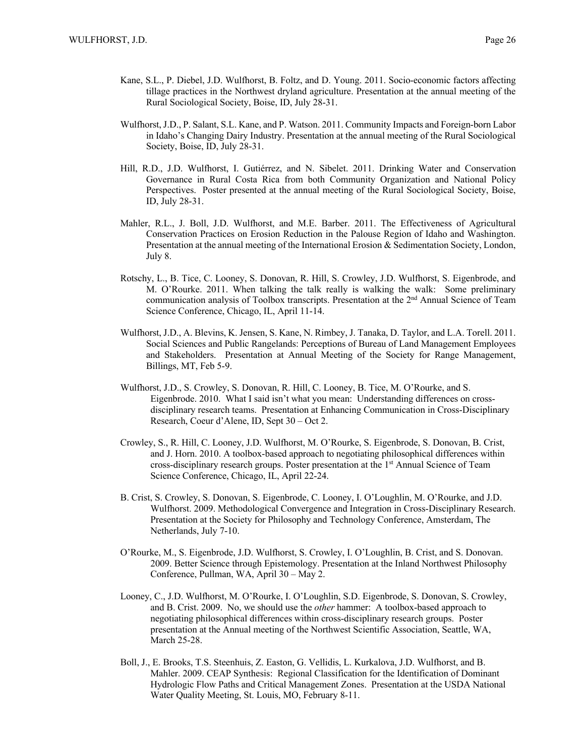- Kane, S.L., P. Diebel, J.D. Wulfhorst, B. Foltz, and D. Young. 2011. Socio-economic factors affecting tillage practices in the Northwest dryland agriculture. Presentation at the annual meeting of the Rural Sociological Society, Boise, ID, July 28-31.
- Wulfhorst, J.D., P. Salant, S.L. Kane, and P. Watson. 2011. Community Impacts and Foreign-born Labor in Idaho's Changing Dairy Industry. Presentation at the annual meeting of the Rural Sociological Society, Boise, ID, July 28-31.
- Hill, R.D., J.D. Wulfhorst, I. Gutiérrez, and N. Sibelet. 2011. Drinking Water and Conservation Governance in Rural Costa Rica from both Community Organization and National Policy Perspectives. Poster presented at the annual meeting of the Rural Sociological Society, Boise, ID, July 28-31.
- Mahler, R.L., J. Boll, J.D. Wulfhorst, and M.E. Barber. 2011. The Effectiveness of Agricultural Conservation Practices on Erosion Reduction in the Palouse Region of Idaho and Washington. Presentation at the annual meeting of the International Erosion & Sedimentation Society, London, July 8.
- Rotschy, L., B. Tice, C. Looney, S. Donovan, R. Hill, S. Crowley, J.D. Wulfhorst, S. Eigenbrode, and M. O'Rourke. 2011. When talking the talk really is walking the walk: Some preliminary communication analysis of Toolbox transcripts. Presentation at the 2<sup>nd</sup> Annual Science of Team Science Conference, Chicago, IL, April 11-14.
- Wulfhorst, J.D., A. Blevins, K. Jensen, S. Kane, N. Rimbey, J. Tanaka, D. Taylor, and L.A. Torell. 2011. Social Sciences and Public Rangelands: Perceptions of Bureau of Land Management Employees and Stakeholders. Presentation at Annual Meeting of the Society for Range Management, Billings, MT, Feb 5-9.
- Wulfhorst, J.D., S. Crowley, S. Donovan, R. Hill, C. Looney, B. Tice, M. O'Rourke, and S. Eigenbrode. 2010. What I said isn't what you mean: Understanding differences on crossdisciplinary research teams. Presentation at Enhancing Communication in Cross-Disciplinary Research, Coeur d'Alene, ID, Sept 30 – Oct 2.
- Crowley, S., R. Hill, C. Looney, J.D. Wulfhorst, M. O'Rourke, S. Eigenbrode, S. Donovan, B. Crist, and J. Horn. 2010. A toolbox-based approach to negotiating philosophical differences within cross-disciplinary research groups. Poster presentation at the 1st Annual Science of Team Science Conference, Chicago, IL, April 22-24.
- B. Crist, S. Crowley, S. Donovan, S. Eigenbrode, C. Looney, I. O'Loughlin, M. O'Rourke, and J.D. Wulfhorst. 2009. Methodological Convergence and Integration in Cross-Disciplinary Research. Presentation at the Society for Philosophy and Technology Conference, Amsterdam, The Netherlands, July 7-10.
- O'Rourke, M., S. Eigenbrode, J.D. Wulfhorst, S. Crowley, I. O'Loughlin, B. Crist, and S. Donovan. 2009. Better Science through Epistemology. Presentation at the Inland Northwest Philosophy Conference, Pullman, WA, April 30 – May 2.
- Looney, C., J.D. Wulfhorst, M. O'Rourke, I. O'Loughlin, S.D. Eigenbrode, S. Donovan, S. Crowley, and B. Crist. 2009. No, we should use the *other* hammer: A toolbox-based approach to negotiating philosophical differences within cross-disciplinary research groups. Poster presentation at the Annual meeting of the Northwest Scientific Association, Seattle, WA, March 25-28.
- Boll, J., E. Brooks, T.S. Steenhuis, Z. Easton, G. Vellidis, L. Kurkalova, J.D. Wulfhorst, and B. Mahler. 2009. CEAP Synthesis: Regional Classification for the Identification of Dominant Hydrologic Flow Paths and Critical Management Zones. Presentation at the USDA National Water Quality Meeting, St. Louis, MO, February 8-11.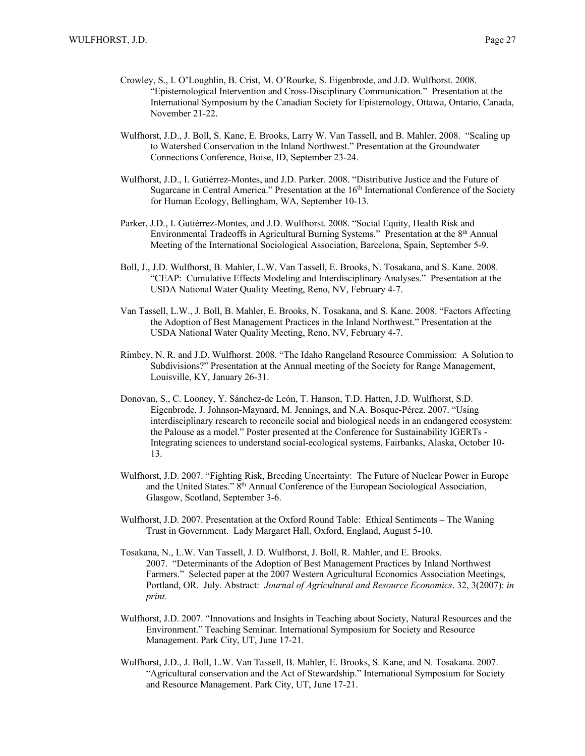- Crowley, S., I. O'Loughlin, B. Crist, M. O'Rourke, S. Eigenbrode, and J.D. Wulfhorst. 2008. "Epistemological Intervention and Cross-Disciplinary Communication." Presentation at the International Symposium by the Canadian Society for Epistemology, Ottawa, Ontario, Canada, November 21-22.
- Wulfhorst, J.D., J. Boll, S. Kane, E. Brooks, Larry W. Van Tassell, and B. Mahler. 2008. "Scaling up to Watershed Conservation in the Inland Northwest." Presentation at the Groundwater Connections Conference, Boise, ID, September 23-24.
- Wulfhorst, J.D., I. Gutiérrez-Montes, and J.D. Parker. 2008. "Distributive Justice and the Future of Sugarcane in Central America." Presentation at the 16<sup>th</sup> International Conference of the Society for Human Ecology, Bellingham, WA, September 10-13.
- Parker, J.D., I. Gutiérrez-Montes, and J.D. Wulfhorst. 2008. "Social Equity, Health Risk and Environmental Tradeoffs in Agricultural Burning Systems." Presentation at the 8<sup>th</sup> Annual Meeting of the International Sociological Association, Barcelona, Spain, September 5-9.
- Boll, J., J.D. Wulfhorst, B. Mahler, L.W. Van Tassell, E. Brooks, N. Tosakana, and S. Kane. 2008. "CEAP: Cumulative Effects Modeling and Interdisciplinary Analyses." Presentation at the USDA National Water Quality Meeting, Reno, NV, February 4-7.
- Van Tassell, L.W., J. Boll, B. Mahler, E. Brooks, N. Tosakana, and S. Kane. 2008. "Factors Affecting the Adoption of Best Management Practices in the Inland Northwest." Presentation at the USDA National Water Quality Meeting, Reno, NV, February 4-7.
- Rimbey, N. R. and J.D. Wulfhorst. 2008. "The Idaho Rangeland Resource Commission: A Solution to Subdivisions?" Presentation at the Annual meeting of the Society for Range Management, Louisville, KY, January 26-31.
- Donovan, S., C. Looney, Y. Sánchez-de León, T. Hanson, T.D. Hatten, J.D. Wulfhorst, S.D. Eigenbrode, J. Johnson-Maynard, M. Jennings, and N.A. Bosque-Pérez. 2007. "Using interdisciplinary research to reconcile social and biological needs in an endangered ecosystem: the Palouse as a model." Poster presented at the Conference for Sustainability IGERTs - Integrating sciences to understand social-ecological systems, Fairbanks, Alaska, October 10- 13.
- Wulfhorst, J.D. 2007. "Fighting Risk, Breeding Uncertainty: The Future of Nuclear Power in Europe and the United States." 8<sup>th</sup> Annual Conference of the European Sociological Association, Glasgow, Scotland, September 3-6.
- Wulfhorst, J.D. 2007. Presentation at the Oxford Round Table: Ethical Sentiments The Waning Trust in Government. Lady Margaret Hall, Oxford, England, August 5-10.
- Tosakana, N., L.W. Van Tassell, J. D. Wulfhorst, J. Boll, R. Mahler, and E. Brooks. 2007. "Determinants of the Adoption of Best Management Practices by Inland Northwest Farmers." Selected paper at the 2007 Western Agricultural Economics Association Meetings, Portland, OR. July. Abstract: *Journal of Agricultural and Resource Economics*. 32, 3(2007): *in print.*
- Wulfhorst, J.D. 2007. "Innovations and Insights in Teaching about Society, Natural Resources and the Environment." Teaching Seminar. International Symposium for Society and Resource Management. Park City, UT, June 17-21.
- Wulfhorst, J.D., J. Boll, L.W. Van Tassell, B. Mahler, E. Brooks, S. Kane, and N. Tosakana. 2007. "Agricultural conservation and the Act of Stewardship." International Symposium for Society and Resource Management. Park City, UT, June 17-21.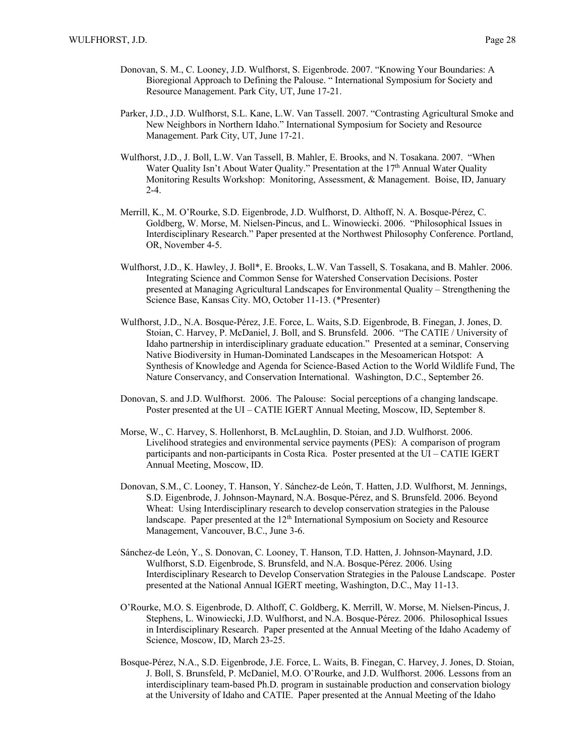- Donovan, S. M., C. Looney, J.D. Wulfhorst, S. Eigenbrode. 2007. "Knowing Your Boundaries: A Bioregional Approach to Defining the Palouse. " International Symposium for Society and Resource Management. Park City, UT, June 17-21.
- Parker, J.D., J.D. Wulfhorst, S.L. Kane, L.W. Van Tassell. 2007. "Contrasting Agricultural Smoke and New Neighbors in Northern Idaho." International Symposium for Society and Resource Management. Park City, UT, June 17-21.
- Wulfhorst, J.D., J. Boll, L.W. Van Tassell, B. Mahler, E. Brooks, and N. Tosakana. 2007. "When Water Quality Isn't About Water Quality." Presentation at the 17<sup>th</sup> Annual Water Quality Monitoring Results Workshop: Monitoring, Assessment, & Management. Boise, ID, January 2-4.
- Merrill, K., M. O'Rourke, S.D. Eigenbrode, J.D. Wulfhorst, D. Althoff, N. A. Bosque-Pérez, C. Goldberg, W. Morse, M. Nielsen-Pincus, and L. Winowiecki. 2006. "Philosophical Issues in Interdisciplinary Research." Paper presented at the Northwest Philosophy Conference. Portland, OR, November 4-5.
- Wulfhorst, J.D., K. Hawley, J. Boll\*, E. Brooks, L.W. Van Tassell, S. Tosakana, and B. Mahler. 2006. Integrating Science and Common Sense for Watershed Conservation Decisions. Poster presented at Managing Agricultural Landscapes for Environmental Quality – Strengthening the Science Base, Kansas City. MO, October 11-13. (\*Presenter)
- Wulfhorst, J.D., N.A. Bosque-Pérez, J.E. Force, L. Waits, S.D. Eigenbrode, B. Finegan, J. Jones, D. Stoian, C. Harvey, P. McDaniel, J. Boll, and S. Brunsfeld. 2006. "The CATIE / University of Idaho partnership in interdisciplinary graduate education." Presented at a seminar, Conserving Native Biodiversity in Human-Dominated Landscapes in the Mesoamerican Hotspot: A Synthesis of Knowledge and Agenda for Science-Based Action to the World Wildlife Fund, The Nature Conservancy, and Conservation International. Washington, D.C., September 26.
- Donovan, S. and J.D. Wulfhorst. 2006. The Palouse: Social perceptions of a changing landscape. Poster presented at the UI – CATIE IGERT Annual Meeting, Moscow, ID, September 8.
- Morse, W., C. Harvey, S. Hollenhorst, B. McLaughlin, D. Stoian, and J.D. Wulfhorst. 2006. Livelihood strategies and environmental service payments (PES): A comparison of program participants and non-participants in Costa Rica. Poster presented at the UI – CATIE IGERT Annual Meeting, Moscow, ID.
- Donovan, S.M., C. Looney, T. Hanson, Y. Sánchez-de León, T. Hatten, J.D. Wulfhorst, M. Jennings, S.D. Eigenbrode, J. Johnson-Maynard, N.A. Bosque-Pérez, and S. Brunsfeld. 2006. Beyond Wheat: Using Interdisciplinary research to develop conservation strategies in the Palouse landscape. Paper presented at the  $12<sup>th</sup>$  International Symposium on Society and Resource Management, Vancouver, B.C., June 3-6.
- Sánchez-de León, Y., S. Donovan, C. Looney, T. Hanson, T.D. Hatten, J. Johnson-Maynard, J.D. Wulfhorst, S.D. Eigenbrode, S. Brunsfeld, and N.A. Bosque-Pérez. 2006. Using Interdisciplinary Research to Develop Conservation Strategies in the Palouse Landscape. Poster presented at the National Annual IGERT meeting, Washington, D.C., May 11-13.
- O'Rourke, M.O. S. Eigenbrode, D. Althoff, C. Goldberg, K. Merrill, W. Morse, M. Nielsen-Pincus, J. Stephens, L. Winowiecki, J.D. Wulfhorst, and N.A. Bosque-Pérez. 2006. Philosophical Issues in Interdisciplinary Research. Paper presented at the Annual Meeting of the Idaho Academy of Science, Moscow, ID, March 23-25.
- Bosque-Pérez, N.A., S.D. Eigenbrode, J.E. Force, L. Waits, B. Finegan, C. Harvey, J. Jones, D. Stoian, J. Boll, S. Brunsfeld, P. McDaniel, M.O. O'Rourke, and J.D. Wulfhorst. 2006. Lessons from an interdisciplinary team-based Ph.D. program in sustainable production and conservation biology at the University of Idaho and CATIE. Paper presented at the Annual Meeting of the Idaho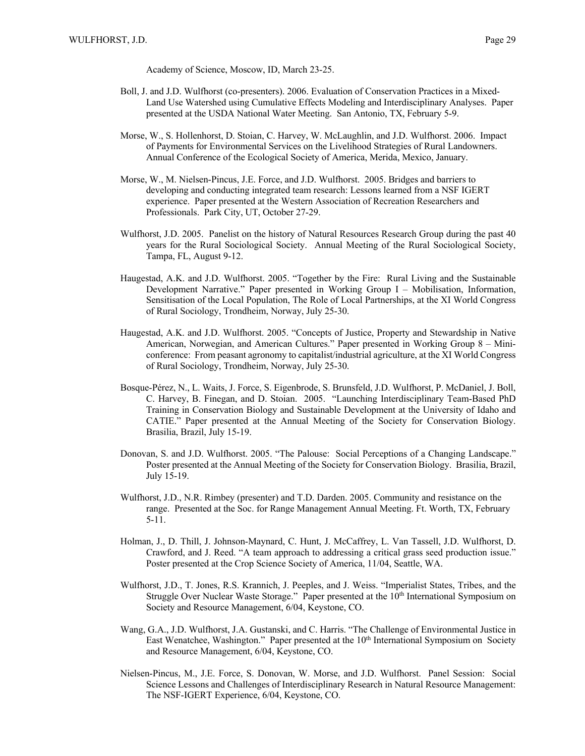- Boll, J. and J.D. Wulfhorst (co-presenters). 2006. Evaluation of Conservation Practices in a Mixed-Land Use Watershed using Cumulative Effects Modeling and Interdisciplinary Analyses. Paper presented at the USDA National Water Meeting. San Antonio, TX, February 5-9.
- Morse, W., S. Hollenhorst, D. Stoian, C. Harvey, W. McLaughlin, and J.D. Wulfhorst. 2006. Impact of Payments for Environmental Services on the Livelihood Strategies of Rural Landowners. Annual Conference of the Ecological Society of America, Merida, Mexico, January.
- Morse, W., M. Nielsen-Pincus, J.E. Force, and J.D. Wulfhorst. 2005. Bridges and barriers to developing and conducting integrated team research: Lessons learned from a NSF IGERT experience. Paper presented at the Western Association of Recreation Researchers and Professionals. Park City, UT, October 27-29.
- Wulfhorst, J.D. 2005. Panelist on the history of Natural Resources Research Group during the past 40 years for the Rural Sociological Society. Annual Meeting of the Rural Sociological Society, Tampa, FL, August 9-12.
- Haugestad, A.K. and J.D. Wulfhorst. 2005. "Together by the Fire: Rural Living and the Sustainable Development Narrative." Paper presented in Working Group I – Mobilisation, Information, Sensitisation of the Local Population, The Role of Local Partnerships, at the XI World Congress of Rural Sociology, Trondheim, Norway, July 25-30.
- Haugestad, A.K. and J.D. Wulfhorst. 2005. "Concepts of Justice, Property and Stewardship in Native American, Norwegian, and American Cultures." Paper presented in Working Group 8 – Miniconference: From peasant agronomy to capitalist/industrial agriculture, at the XI World Congress of Rural Sociology, Trondheim, Norway, July 25-30.
- Bosque-Pérez, N., L. Waits, J. Force, S. Eigenbrode, S. Brunsfeld, J.D. Wulfhorst, P. McDaniel, J. Boll, C. Harvey, B. Finegan, and D. Stoian. 2005. "Launching Interdisciplinary Team-Based PhD Training in Conservation Biology and Sustainable Development at the University of Idaho and CATIE." Paper presented at the Annual Meeting of the Society for Conservation Biology. Brasilia, Brazil, July 15-19.
- Donovan, S. and J.D. Wulfhorst. 2005. "The Palouse: Social Perceptions of a Changing Landscape." Poster presented at the Annual Meeting of the Society for Conservation Biology. Brasilia, Brazil, July 15-19.
- Wulfhorst, J.D., N.R. Rimbey (presenter) and T.D. Darden. 2005. Community and resistance on the range. Presented at the Soc. for Range Management Annual Meeting. Ft. Worth, TX, February 5-11.
- Holman, J., D. Thill, J. Johnson-Maynard, C. Hunt, J. McCaffrey, L. Van Tassell, J.D. Wulfhorst, D. Crawford, and J. Reed. "A team approach to addressing a critical grass seed production issue." Poster presented at the Crop Science Society of America, 11/04, Seattle, WA.
- Wulfhorst, J.D., T. Jones, R.S. Krannich, J. Peeples, and J. Weiss. "Imperialist States, Tribes, and the Struggle Over Nuclear Waste Storage." Paper presented at the  $10<sup>th</sup>$  International Symposium on Society and Resource Management, 6/04, Keystone, CO.
- Wang, G.A., J.D. Wulfhorst, J.A. Gustanski, and C. Harris. "The Challenge of Environmental Justice in East Wenatchee, Washington." Paper presented at the 10<sup>th</sup> International Symposium on Society and Resource Management, 6/04, Keystone, CO.
- Nielsen-Pincus, M., J.E. Force, S. Donovan, W. Morse, and J.D. Wulfhorst. Panel Session: Social Science Lessons and Challenges of Interdisciplinary Research in Natural Resource Management: The NSF-IGERT Experience, 6/04, Keystone, CO.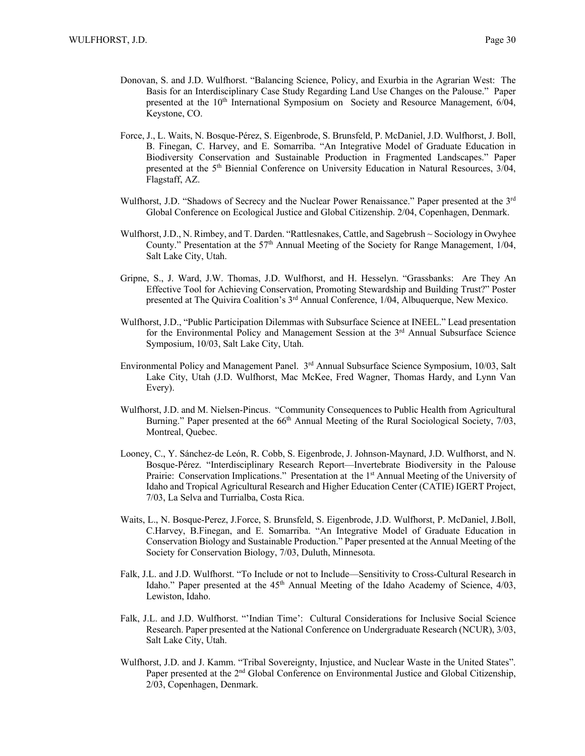- Donovan, S. and J.D. Wulfhorst. "Balancing Science, Policy, and Exurbia in the Agrarian West: The Basis for an Interdisciplinary Case Study Regarding Land Use Changes on the Palouse." Paper presented at the  $10<sup>th</sup>$  International Symposium on Society and Resource Management,  $6/04$ , Keystone, CO.
- Force, J., L. Waits, N. Bosque-Pérez, S. Eigenbrode, S. Brunsfeld, P. McDaniel, J.D. Wulfhorst, J. Boll, B. Finegan, C. Harvey, and E. Somarriba. "An Integrative Model of Graduate Education in Biodiversity Conservation and Sustainable Production in Fragmented Landscapes." Paper presented at the 5th Biennial Conference on University Education in Natural Resources, 3/04, Flagstaff, AZ.
- Wulfhorst, J.D. "Shadows of Secrecy and the Nuclear Power Renaissance." Paper presented at the 3<sup>rd</sup> Global Conference on Ecological Justice and Global Citizenship. 2/04, Copenhagen, Denmark.
- Wulfhorst, J.D., N. Rimbey, and T. Darden. "Rattlesnakes, Cattle, and Sagebrush ~ Sociology in Owyhee County." Presentation at the  $57<sup>th</sup>$  Annual Meeting of the Society for Range Management, 1/04, Salt Lake City, Utah.
- Gripne, S., J. Ward, J.W. Thomas, J.D. Wulfhorst, and H. Hesselyn. "Grassbanks: Are They An Effective Tool for Achieving Conservation, Promoting Stewardship and Building Trust?" Poster presented at The Quivira Coalition's 3<sup>rd</sup> Annual Conference, 1/04, Albuquerque, New Mexico.
- Wulfhorst, J.D., "Public Participation Dilemmas with Subsurface Science at INEEL." Lead presentation for the Environmental Policy and Management Session at the  $3<sup>rd</sup>$  Annual Subsurface Science Symposium, 10/03, Salt Lake City, Utah.
- Environmental Policy and Management Panel. 3<sup>rd</sup> Annual Subsurface Science Symposium, 10/03, Salt Lake City, Utah (J.D. Wulfhorst, Mac McKee, Fred Wagner, Thomas Hardy, and Lynn Van Every).
- Wulfhorst, J.D. and M. Nielsen-Pincus. "Community Consequences to Public Health from Agricultural Burning." Paper presented at the  $66<sup>th</sup>$  Annual Meeting of the Rural Sociological Society, 7/03, Montreal, Quebec.
- Looney, C., Y. Sánchez-de León, R. Cobb, S. Eigenbrode, J. Johnson-Maynard, J.D. Wulfhorst, and N. Bosque-Pérez. "Interdisciplinary Research Report—Invertebrate Biodiversity in the Palouse Prairie: Conservation Implications." Presentation at the 1<sup>st</sup> Annual Meeting of the University of Idaho and Tropical Agricultural Research and Higher Education Center (CATIE) IGERT Project, 7/03, La Selva and Turrialba, Costa Rica.
- Waits, L., N. Bosque-Perez, J.Force, S. Brunsfeld, S. Eigenbrode, J.D. Wulfhorst, P. McDaniel, J.Boll, C.Harvey, B.Finegan, and E. Somarriba. "An Integrative Model of Graduate Education in Conservation Biology and Sustainable Production." Paper presented at the Annual Meeting of the Society for Conservation Biology, 7/03, Duluth, Minnesota.
- Falk, J.L. and J.D. Wulfhorst. "To Include or not to Include—Sensitivity to Cross-Cultural Research in Idaho." Paper presented at the  $45<sup>th</sup>$  Annual Meeting of the Idaho Academy of Science,  $4/03$ , Lewiston, Idaho.
- Falk, J.L. and J.D. Wulfhorst. "'Indian Time': Cultural Considerations for Inclusive Social Science Research. Paper presented at the National Conference on Undergraduate Research (NCUR), 3/03, Salt Lake City, Utah.
- Wulfhorst, J.D. and J. Kamm. "Tribal Sovereignty, Injustice, and Nuclear Waste in the United States". Paper presented at the  $2<sup>nd</sup>$  Global Conference on Environmental Justice and Global Citizenship, 2/03, Copenhagen, Denmark.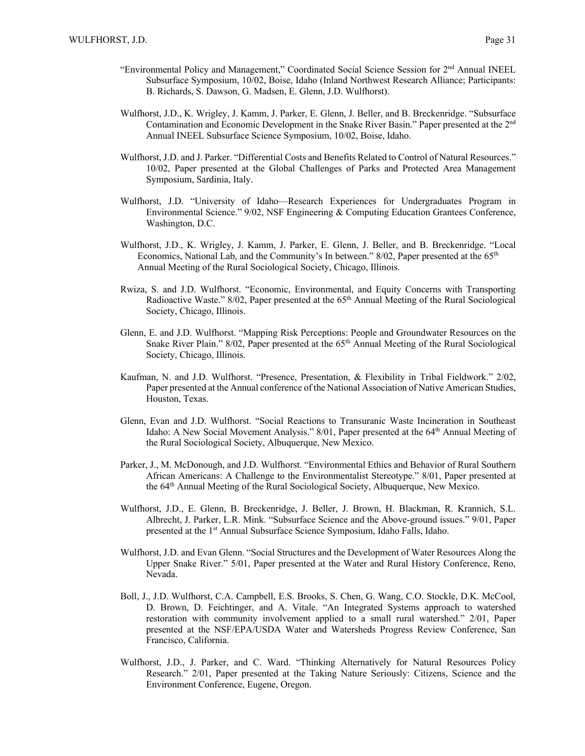- "Environmental Policy and Management," Coordinated Social Science Session for 2nd Annual INEEL Subsurface Symposium, 10/02, Boise, Idaho (Inland Northwest Research Alliance; Participants: B. Richards, S. Dawson, G. Madsen, E. Glenn, J.D. Wulfhorst).
- Wulfhorst, J.D., K. Wrigley, J. Kamm, J. Parker, E. Glenn, J. Beller, and B. Breckenridge. "Subsurface Contamination and Economic Development in the Snake River Basin." Paper presented at the 2nd Annual INEEL Subsurface Science Symposium, 10/02, Boise, Idaho.
- Wulfhorst, J.D. and J. Parker. "Differential Costs and Benefits Related to Control of Natural Resources." 10/02, Paper presented at the Global Challenges of Parks and Protected Area Management Symposium, Sardinia, Italy.
- Wulfhorst, J.D. "University of Idaho—Research Experiences for Undergraduates Program in Environmental Science." 9/02, NSF Engineering & Computing Education Grantees Conference, Washington, D.C.
- Wulfhorst, J.D., K. Wrigley, J. Kamm, J. Parker, E. Glenn, J. Beller, and B. Breckenridge. "Local Economics, National Lab, and the Community's In between." 8/02, Paper presented at the 65th Annual Meeting of the Rural Sociological Society, Chicago, Illinois.
- Rwiza, S. and J.D. Wulfhorst. "Economic, Environmental, and Equity Concerns with Transporting Radioactive Waste." 8/02, Paper presented at the 65<sup>th</sup> Annual Meeting of the Rural Sociological Society, Chicago, Illinois.
- Glenn, E. and J.D. Wulfhorst. "Mapping Risk Perceptions: People and Groundwater Resources on the Snake River Plain."  $8/02$ , Paper presented at the  $65<sup>th</sup>$  Annual Meeting of the Rural Sociological Society, Chicago, Illinois.
- Kaufman, N. and J.D. Wulfhorst. "Presence, Presentation, & Flexibility in Tribal Fieldwork." 2/02, Paper presented at the Annual conference of the National Association of Native American Studies, Houston, Texas.
- Glenn, Evan and J.D. Wulfhorst. "Social Reactions to Transuranic Waste Incineration in Southeast Idaho: A New Social Movement Analysis." 8/01, Paper presented at the 64<sup>th</sup> Annual Meeting of the Rural Sociological Society, Albuquerque, New Mexico.
- Parker, J., M. McDonough, and J.D. Wulfhorst. "Environmental Ethics and Behavior of Rural Southern African Americans: A Challenge to the Environmentalist Stereotype." 8/01, Paper presented at the 64th Annual Meeting of the Rural Sociological Society, Albuquerque, New Mexico.
- Wulfhorst, J.D., E. Glenn, B. Breckenridge, J. Beller, J. Brown, H. Blackman, R. Krannich, S.L. Albrecht, J. Parker, L.R. Mink. "Subsurface Science and the Above-ground issues." 9/01, Paper presented at the 1<sup>st</sup> Annual Subsurface Science Symposium, Idaho Falls, Idaho.
- Wulfhorst, J.D. and Evan Glenn. "Social Structures and the Development of Water Resources Along the Upper Snake River." 5/01, Paper presented at the Water and Rural History Conference, Reno, Nevada.
- Boll, J., J.D. Wulfhorst, C.A. Campbell, E.S. Brooks, S. Chen, G. Wang, C.O. Stockle, D.K. McCool, D. Brown, D. Feichtinger, and A. Vitale. "An Integrated Systems approach to watershed restoration with community involvement applied to a small rural watershed." 2/01, Paper presented at the NSF/EPA/USDA Water and Watersheds Progress Review Conference, San Francisco, California.
- Wulfhorst, J.D., J. Parker, and C. Ward. "Thinking Alternatively for Natural Resources Policy Research." 2/01, Paper presented at the Taking Nature Seriously: Citizens, Science and the Environment Conference, Eugene, Oregon.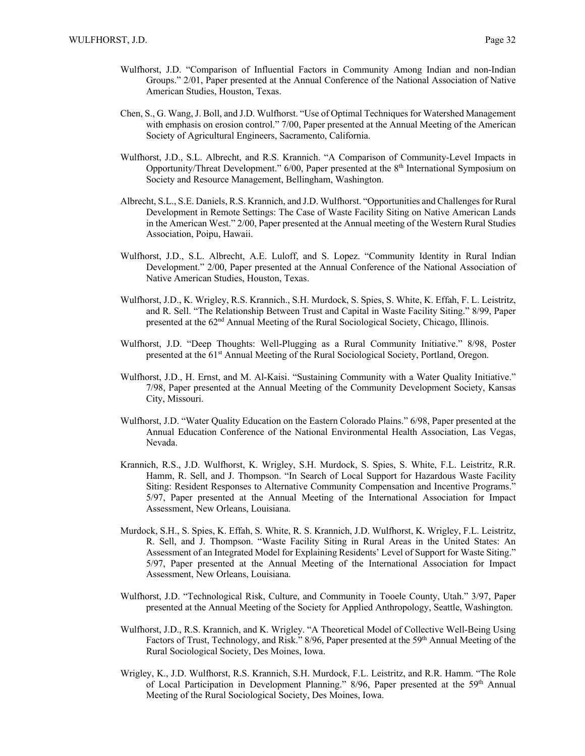- Wulfhorst, J.D. "Comparison of Influential Factors in Community Among Indian and non-Indian Groups." 2/01, Paper presented at the Annual Conference of the National Association of Native American Studies, Houston, Texas.
- Chen, S., G. Wang, J. Boll, and J.D. Wulfhorst. "Use of Optimal Techniques for Watershed Management with emphasis on erosion control." 7/00, Paper presented at the Annual Meeting of the American Society of Agricultural Engineers, Sacramento, California.
- Wulfhorst, J.D., S.L. Albrecht, and R.S. Krannich. "A Comparison of Community-Level Impacts in Opportunity/Threat Development." 6/00, Paper presented at the 8th International Symposium on Society and Resource Management, Bellingham, Washington.
- Albrecht, S.L., S.E. Daniels, R.S. Krannich, and J.D. Wulfhorst. "Opportunities and Challenges for Rural Development in Remote Settings: The Case of Waste Facility Siting on Native American Lands in the American West." 2/00, Paper presented at the Annual meeting of the Western Rural Studies Association, Poipu, Hawaii.
- Wulfhorst, J.D., S.L. Albrecht, A.E. Luloff, and S. Lopez. "Community Identity in Rural Indian Development." 2/00, Paper presented at the Annual Conference of the National Association of Native American Studies, Houston, Texas.
- Wulfhorst, J.D., K. Wrigley, R.S. Krannich., S.H. Murdock, S. Spies, S. White, K. Effah, F. L. Leistritz, and R. Sell. "The Relationship Between Trust and Capital in Waste Facility Siting." 8/99, Paper presented at the 62nd Annual Meeting of the Rural Sociological Society, Chicago, Illinois.
- Wulfhorst, J.D. "Deep Thoughts: Well-Plugging as a Rural Community Initiative." 8/98, Poster presented at the 61st Annual Meeting of the Rural Sociological Society, Portland, Oregon.
- Wulfhorst, J.D., H. Ernst, and M. Al-Kaisi. "Sustaining Community with a Water Quality Initiative." 7/98, Paper presented at the Annual Meeting of the Community Development Society, Kansas City, Missouri.
- Wulfhorst, J.D. "Water Quality Education on the Eastern Colorado Plains." 6/98, Paper presented at the Annual Education Conference of the National Environmental Health Association, Las Vegas, Nevada.
- Krannich, R.S., J.D. Wulfhorst, K. Wrigley, S.H. Murdock, S. Spies, S. White, F.L. Leistritz, R.R. Hamm, R. Sell, and J. Thompson. "In Search of Local Support for Hazardous Waste Facility Siting: Resident Responses to Alternative Community Compensation and Incentive Programs." 5/97, Paper presented at the Annual Meeting of the International Association for Impact Assessment, New Orleans, Louisiana.
- Murdock, S.H., S. Spies, K. Effah, S. White, R. S. Krannich, J.D. Wulfhorst, K. Wrigley, F.L. Leistritz, R. Sell, and J. Thompson. "Waste Facility Siting in Rural Areas in the United States: An Assessment of an Integrated Model for Explaining Residents' Level of Support for Waste Siting." 5/97, Paper presented at the Annual Meeting of the International Association for Impact Assessment, New Orleans, Louisiana.
- Wulfhorst, J.D. "Technological Risk, Culture, and Community in Tooele County, Utah." 3/97, Paper presented at the Annual Meeting of the Society for Applied Anthropology, Seattle, Washington.
- Wulfhorst, J.D., R.S. Krannich, and K. Wrigley. "A Theoretical Model of Collective Well-Being Using Factors of Trust, Technology, and Risk." 8/96, Paper presented at the 59<sup>th</sup> Annual Meeting of the Rural Sociological Society, Des Moines, Iowa.
- Wrigley, K., J.D. Wulfhorst, R.S. Krannich, S.H. Murdock, F.L. Leistritz, and R.R. Hamm. "The Role of Local Participation in Development Planning."  $8/96$ , Paper presented at the 59<sup>th</sup> Annual Meeting of the Rural Sociological Society, Des Moines, Iowa.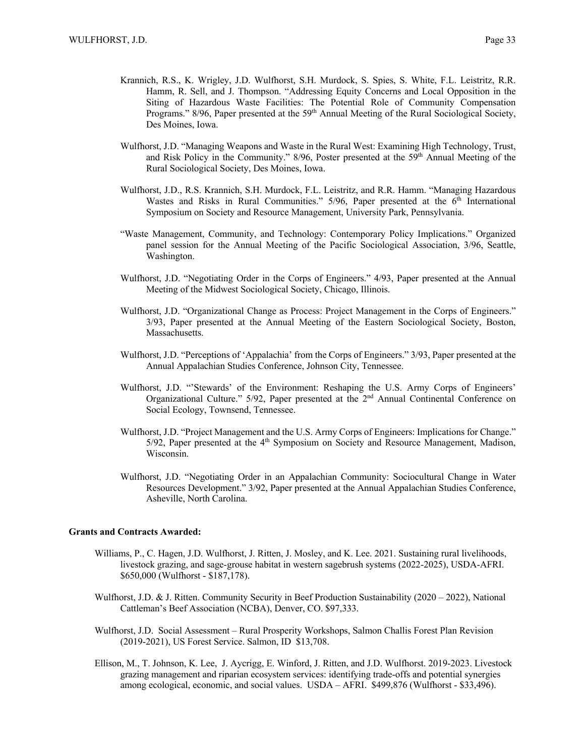- Krannich, R.S., K. Wrigley, J.D. Wulfhorst, S.H. Murdock, S. Spies, S. White, F.L. Leistritz, R.R. Hamm, R. Sell, and J. Thompson. "Addressing Equity Concerns and Local Opposition in the Siting of Hazardous Waste Facilities: The Potential Role of Community Compensation Programs." 8/96, Paper presented at the 59<sup>th</sup> Annual Meeting of the Rural Sociological Society, Des Moines, Iowa.
- Wulfhorst, J.D. "Managing Weapons and Waste in the Rural West: Examining High Technology, Trust, and Risk Policy in the Community."  $8/96$ , Poster presented at the  $59<sup>th</sup>$  Annual Meeting of the Rural Sociological Society, Des Moines, Iowa.
- Wulfhorst, J.D., R.S. Krannich, S.H. Murdock, F.L. Leistritz, and R.R. Hamm. "Managing Hazardous Wastes and Risks in Rural Communities."  $5/96$ , Paper presented at the  $6<sup>th</sup>$  International Symposium on Society and Resource Management, University Park, Pennsylvania.
- "Waste Management, Community, and Technology: Contemporary Policy Implications." Organized panel session for the Annual Meeting of the Pacific Sociological Association, 3/96, Seattle, Washington.
- Wulfhorst, J.D. "Negotiating Order in the Corps of Engineers." 4/93, Paper presented at the Annual Meeting of the Midwest Sociological Society, Chicago, Illinois.
- Wulfhorst, J.D. "Organizational Change as Process: Project Management in the Corps of Engineers." 3/93, Paper presented at the Annual Meeting of the Eastern Sociological Society, Boston, Massachusetts.
- Wulfhorst, J.D. "Perceptions of 'Appalachia' from the Corps of Engineers." 3/93, Paper presented at the Annual Appalachian Studies Conference, Johnson City, Tennessee.
- Wulfhorst, J.D. "'Stewards' of the Environment: Reshaping the U.S. Army Corps of Engineers' Organizational Culture." 5/92, Paper presented at the 2nd Annual Continental Conference on Social Ecology, Townsend, Tennessee.
- Wulfhorst, J.D. "Project Management and the U.S. Army Corps of Engineers: Implications for Change."  $5/92$ , Paper presented at the  $4<sup>th</sup>$  Symposium on Society and Resource Management, Madison, Wisconsin.
- Wulfhorst, J.D. "Negotiating Order in an Appalachian Community: Sociocultural Change in Water Resources Development." 3/92, Paper presented at the Annual Appalachian Studies Conference, Asheville, North Carolina.

#### **Grants and Contracts Awarded:**

- Williams, P., C. Hagen, J.D. Wulfhorst, J. Ritten, J. Mosley, and K. Lee. 2021. Sustaining rural livelihoods, livestock grazing, and sage-grouse habitat in western sagebrush systems (2022-2025), USDA-AFRI. \$650,000 (Wulfhorst - \$187,178).
- Wulfhorst, J.D. & J. Ritten. Community Security in Beef Production Sustainability (2020 2022), National Cattleman's Beef Association (NCBA), Denver, CO. \$97,333.
- Wulfhorst, J.D. Social Assessment Rural Prosperity Workshops, Salmon Challis Forest Plan Revision (2019-2021), US Forest Service. Salmon, ID \$13,708.
- Ellison, M., T. Johnson, K. Lee, J. Aycrigg, E. Winford, J. Ritten, and J.D. Wulfhorst. 2019-2023. Livestock grazing management and riparian ecosystem services: identifying trade-offs and potential synergies among ecological, economic, and social values. USDA – AFRI. \$499,876 (Wulfhorst - \$33,496).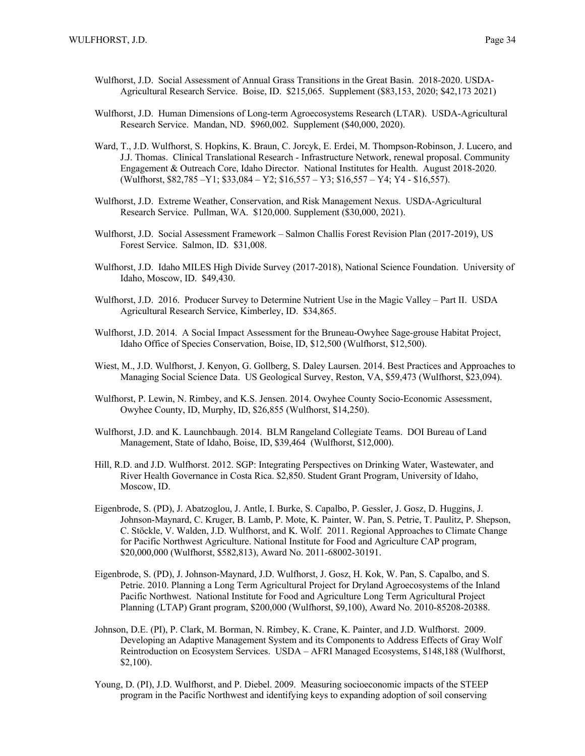- Wulfhorst, J.D. Social Assessment of Annual Grass Transitions in the Great Basin. 2018-2020. USDA-Agricultural Research Service. Boise, ID. \$215,065. Supplement (\$83,153, 2020; \$42,173 2021)
- Wulfhorst, J.D. Human Dimensions of Long-term Agroecosystems Research (LTAR). USDA-Agricultural Research Service. Mandan, ND. \$960,002. Supplement (\$40,000, 2020).
- Ward, T., J.D. Wulfhorst, S. Hopkins, K. Braun, C. Jorcyk, E. Erdei, M. Thompson-Robinson, J. Lucero, and J.J. Thomas. Clinical Translational Research - Infrastructure Network, renewal proposal. Community Engagement & Outreach Core, Idaho Director. National Institutes for Health. August 2018-2020. (Wulfhorst, \$82,785 –Y1; \$33,084 – Y2; \$16,557 – Y3; \$16,557 – Y4; Y4 - \$16,557).
- Wulfhorst, J.D. Extreme Weather, Conservation, and Risk Management Nexus. USDA-Agricultural Research Service. Pullman, WA. \$120,000. Supplement (\$30,000, 2021).
- Wulfhorst, J.D. Social Assessment Framework Salmon Challis Forest Revision Plan (2017-2019), US Forest Service. Salmon, ID. \$31,008.
- Wulfhorst, J.D. Idaho MILES High Divide Survey (2017-2018), National Science Foundation. University of Idaho, Moscow, ID. \$49,430.
- Wulfhorst, J.D. 2016. Producer Survey to Determine Nutrient Use in the Magic Valley Part II. USDA Agricultural Research Service, Kimberley, ID. \$34,865.
- Wulfhorst, J.D. 2014. A Social Impact Assessment for the Bruneau-Owyhee Sage-grouse Habitat Project, Idaho Office of Species Conservation, Boise, ID, \$12,500 (Wulfhorst, \$12,500).
- Wiest, M., J.D. Wulfhorst, J. Kenyon, G. Gollberg, S. Daley Laursen. 2014. Best Practices and Approaches to Managing Social Science Data. US Geological Survey, Reston, VA, \$59,473 (Wulfhorst, \$23,094).
- Wulfhorst, P. Lewin, N. Rimbey, and K.S. Jensen. 2014. Owyhee County Socio-Economic Assessment, Owyhee County, ID, Murphy, ID, \$26,855 (Wulfhorst, \$14,250).
- Wulfhorst, J.D. and K. Launchbaugh. 2014. BLM Rangeland Collegiate Teams. DOI Bureau of Land Management, State of Idaho, Boise, ID, \$39,464 (Wulfhorst, \$12,000).
- Hill, R.D. and J.D. Wulfhorst. 2012. SGP: Integrating Perspectives on Drinking Water, Wastewater, and River Health Governance in Costa Rica. \$2,850. Student Grant Program, University of Idaho, Moscow, ID.
- Eigenbrode, S. (PD), J. Abatzoglou, J. Antle, I. Burke, S. Capalbo, P. Gessler, J. Gosz, D. Huggins, J. Johnson-Maynard, C. Kruger, B. Lamb, P. Mote, K. Painter, W. Pan, S. Petrie, T. Paulitz, P. Shepson, C. Stöckle, V. Walden, J.D. Wulfhorst, and K. Wolf. 2011. Regional Approaches to Climate Change for Pacific Northwest Agriculture. National Institute for Food and Agriculture CAP program, \$20,000,000 (Wulfhorst, \$582,813), Award No. 2011-68002-30191.
- Eigenbrode, S. (PD), J. Johnson-Maynard, J.D. Wulfhorst, J. Gosz, H. Kok, W. Pan, S. Capalbo, and S. Petrie. 2010. Planning a Long Term Agricultural Project for Dryland Agroecosystems of the Inland Pacific Northwest. National Institute for Food and Agriculture Long Term Agricultural Project Planning (LTAP) Grant program, \$200,000 (Wulfhorst, \$9,100), Award No. 2010-85208-20388.
- Johnson, D.E. (PI), P. Clark, M. Borman, N. Rimbey, K. Crane, K. Painter, and J.D. Wulfhorst. 2009. Developing an Adaptive Management System and its Components to Address Effects of Gray Wolf Reintroduction on Ecosystem Services. USDA – AFRI Managed Ecosystems, \$148,188 (Wulfhorst, \$2,100).
- Young, D. (PI), J.D. Wulfhorst, and P. Diebel. 2009. Measuring socioeconomic impacts of the STEEP program in the Pacific Northwest and identifying keys to expanding adoption of soil conserving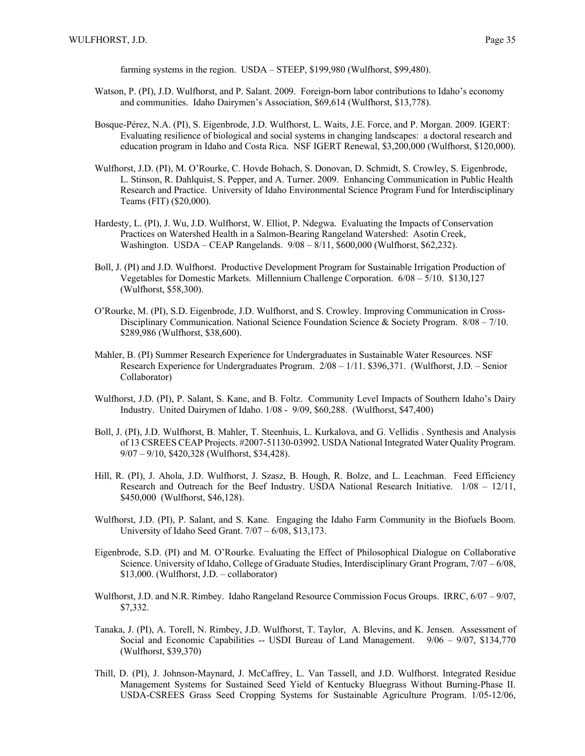farming systems in the region. USDA – STEEP, \$199,980 (Wulfhorst, \$99,480).

- Watson, P. (PI), J.D. Wulfhorst, and P. Salant. 2009. Foreign-born labor contributions to Idaho's economy and communities. Idaho Dairymen's Association, \$69,614 (Wulfhorst, \$13,778).
- Bosque-Pérez, N.A. (PI), S. Eigenbrode, J.D. Wulfhorst, L. Waits, J.E. Force, and P. Morgan. 2009. IGERT: Evaluating resilience of biological and social systems in changing landscapes: a doctoral research and education program in Idaho and Costa Rica. NSF IGERT Renewal, \$3,200,000 (Wulfhorst, \$120,000).
- Wulfhorst, J.D. (PI), M. O'Rourke, C. Hovde Bohach, S. Donovan, D. Schmidt, S. Crowley, S. Eigenbrode, L. Stinson, R. Dahlquist, S. Pepper, and A. Turner. 2009. Enhancing Communication in Public Health Research and Practice. University of Idaho Environmental Science Program Fund for Interdisciplinary Teams (FIT) (\$20,000).
- Hardesty, L. (PI), J. Wu, J.D. Wulfhorst, W. Elliot, P. Ndegwa. Evaluating the Impacts of Conservation Practices on Watershed Health in a Salmon-Bearing Rangeland Watershed: Asotin Creek, Washington. USDA – CEAP Rangelands. 9/08 – 8/11, \$600,000 (Wulfhorst, \$62,232).
- Boll, J. (PI) and J.D. Wulfhorst. Productive Development Program for Sustainable Irrigation Production of Vegetables for Domestic Markets. Millennium Challenge Corporation. 6/08 – 5/10. \$130,127 (Wulfhorst, \$58,300).
- O'Rourke, M. (PI), S.D. Eigenbrode, J.D. Wulfhorst, and S. Crowley. Improving Communication in Cross-Disciplinary Communication. National Science Foundation Science & Society Program.  $8/08 - 7/10$ . \$289,986 (Wulfhorst, \$38,600).
- Mahler, B. (PI) Summer Research Experience for Undergraduates in Sustainable Water Resources. NSF Research Experience for Undergraduates Program. 2/08 – 1/11. \$396,371. (Wulfhorst, J.D. – Senior Collaborator)
- Wulfhorst, J.D. (PI), P. Salant, S. Kane, and B. Foltz. Community Level Impacts of Southern Idaho's Dairy Industry. United Dairymen of Idaho. 1/08 - 9/09, \$60,288. (Wulfhorst, \$47,400)
- Boll, J. (PI), J.D. Wulfhorst, B. Mahler, T. Steenhuis, L. Kurkalova, and G. Vellidis . Synthesis and Analysis of 13 CSREES CEAP Projects. #2007-51130-03992. USDA National Integrated Water Quality Program. 9/07 – 9/10, \$420,328 (Wulfhorst, \$34,428).
- Hill, R. (PI), J. Ahola, J.D. Wulfhorst, J. Szasz, B. Hough, R. Bolze, and L. Leachman. Feed Efficiency Research and Outreach for the Beef Industry. USDA National Research Initiative. 1/08 – 12/11, \$450,000 (Wulfhorst, \$46,128).
- Wulfhorst, J.D. (PI), P. Salant, and S. Kane. Engaging the Idaho Farm Community in the Biofuels Boom. University of Idaho Seed Grant. 7/07 – 6/08, \$13,173.
- Eigenbrode, S.D. (PI) and M. O'Rourke. Evaluating the Effect of Philosophical Dialogue on Collaborative Science. University of Idaho, College of Graduate Studies, Interdisciplinary Grant Program, 7/07 – 6/08, \$13,000. (Wulfhorst, J.D. – collaborator)
- Wulfhorst, J.D. and N.R. Rimbey. Idaho Rangeland Resource Commission Focus Groups. IRRC, 6/07 9/07, \$7,332.
- Tanaka, J. (PI), A. Torell, N. Rimbey, J.D. Wulfhorst, T. Taylor, A. Blevins, and K. Jensen. Assessment of Social and Economic Capabilities -- USDI Bureau of Land Management. 9/06 – 9/07, \$134,770 (Wulfhorst, \$39,370)
- Thill, D. (PI), J. Johnson-Maynard, J. McCaffrey, L. Van Tassell, and J.D. Wulfhorst. Integrated Residue Management Systems for Sustained Seed Yield of Kentucky Bluegrass Without Burning-Phase II. USDA-CSREES Grass Seed Cropping Systems for Sustainable Agriculture Program. 1/05-12/06,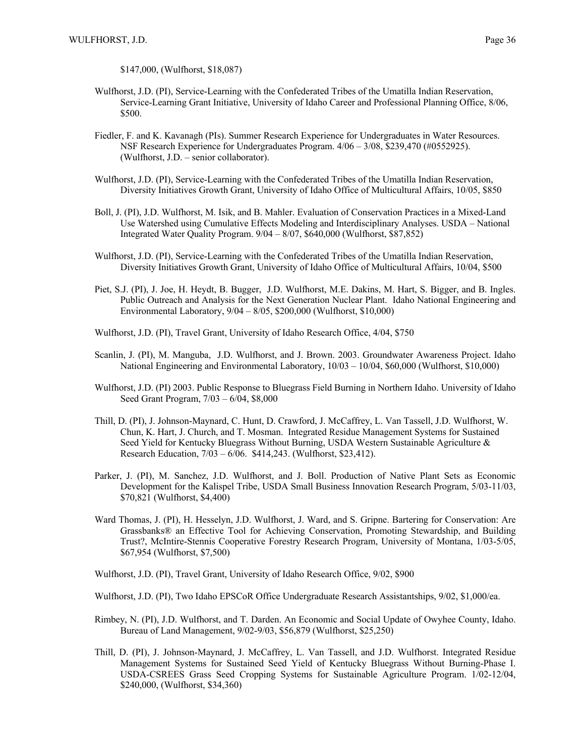\$147,000, (Wulfhorst, \$18,087)

- Wulfhorst, J.D. (PI), Service-Learning with the Confederated Tribes of the Umatilla Indian Reservation, Service-Learning Grant Initiative, University of Idaho Career and Professional Planning Office, 8/06, \$500.
- Fiedler, F. and K. Kavanagh (PIs). Summer Research Experience for Undergraduates in Water Resources. NSF Research Experience for Undergraduates Program. 4/06 – 3/08, \$239,470 (#0552925). (Wulfhorst, J.D. – senior collaborator).
- Wulfhorst, J.D. (PI), Service-Learning with the Confederated Tribes of the Umatilla Indian Reservation, Diversity Initiatives Growth Grant, University of Idaho Office of Multicultural Affairs, 10/05, \$850
- Boll, J. (PI), J.D. Wulfhorst, M. Isik, and B. Mahler. Evaluation of Conservation Practices in a Mixed-Land Use Watershed using Cumulative Effects Modeling and Interdisciplinary Analyses. USDA – National Integrated Water Quality Program. 9/04 – 8/07, \$640,000 (Wulfhorst, \$87,852)
- Wulfhorst, J.D. (PI), Service-Learning with the Confederated Tribes of the Umatilla Indian Reservation, Diversity Initiatives Growth Grant, University of Idaho Office of Multicultural Affairs, 10/04, \$500
- Piet, S.J. (PI), J. Joe, H. Heydt, B. Bugger, J.D. Wulfhorst, M.E. Dakins, M. Hart, S. Bigger, and B. Ingles. Public Outreach and Analysis for the Next Generation Nuclear Plant. Idaho National Engineering and Environmental Laboratory, 9/04 – 8/05, \$200,000 (Wulfhorst, \$10,000)
- Wulfhorst, J.D. (PI), Travel Grant, University of Idaho Research Office, 4/04, \$750
- Scanlin, J. (PI), M. Manguba, J.D. Wulfhorst, and J. Brown. 2003. Groundwater Awareness Project. Idaho National Engineering and Environmental Laboratory, 10/03 – 10/04, \$60,000 (Wulfhorst, \$10,000)
- Wulfhorst, J.D. (PI) 2003. Public Response to Bluegrass Field Burning in Northern Idaho. University of Idaho Seed Grant Program, 7/03 – 6/04, \$8,000
- Thill, D. (PI), J. Johnson-Maynard, C. Hunt, D. Crawford, J. McCaffrey, L. Van Tassell, J.D. Wulfhorst, W. Chun, K. Hart, J. Church, and T. Mosman. Integrated Residue Management Systems for Sustained Seed Yield for Kentucky Bluegrass Without Burning, USDA Western Sustainable Agriculture & Research Education, 7/03 – 6/06. \$414,243. (Wulfhorst, \$23,412).
- Parker, J. (PI), M. Sanchez, J.D. Wulfhorst, and J. Boll. Production of Native Plant Sets as Economic Development for the Kalispel Tribe, USDA Small Business Innovation Research Program, 5/03-11/03, \$70,821 (Wulfhorst, \$4,400)
- Ward Thomas, J. (PI), H. Hesselyn, J.D. Wulfhorst, J. Ward, and S. Gripne. Bartering for Conservation: Are Grassbanks® an Effective Tool for Achieving Conservation, Promoting Stewardship, and Building Trust?, McIntire-Stennis Cooperative Forestry Research Program, University of Montana, 1/03-5/05, \$67,954 (Wulfhorst, \$7,500)
- Wulfhorst, J.D. (PI), Travel Grant, University of Idaho Research Office, 9/02, \$900
- Wulfhorst, J.D. (PI), Two Idaho EPSCoR Office Undergraduate Research Assistantships, 9/02, \$1,000/ea.
- Rimbey, N. (PI), J.D. Wulfhorst, and T. Darden. An Economic and Social Update of Owyhee County, Idaho. Bureau of Land Management, 9/02-9/03, \$56,879 (Wulfhorst, \$25,250)
- Thill, D. (PI), J. Johnson-Maynard, J. McCaffrey, L. Van Tassell, and J.D. Wulfhorst. Integrated Residue Management Systems for Sustained Seed Yield of Kentucky Bluegrass Without Burning-Phase I. USDA-CSREES Grass Seed Cropping Systems for Sustainable Agriculture Program. 1/02-12/04, \$240,000, (Wulfhorst, \$34,360)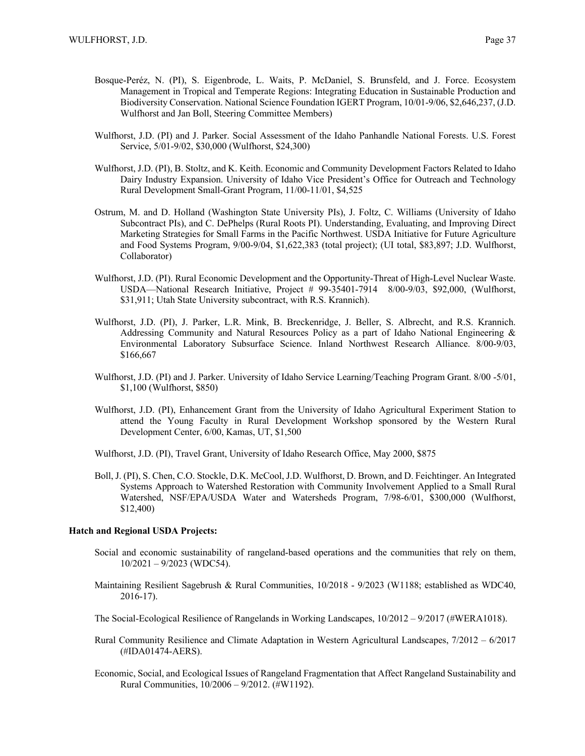- Bosque-Peréz, N. (PI), S. Eigenbrode, L. Waits, P. McDaniel, S. Brunsfeld, and J. Force. Ecosystem Management in Tropical and Temperate Regions: Integrating Education in Sustainable Production and Biodiversity Conservation. National Science Foundation IGERT Program, 10/01-9/06, \$2,646,237, (J.D. Wulfhorst and Jan Boll, Steering Committee Members)
- Wulfhorst, J.D. (PI) and J. Parker. Social Assessment of the Idaho Panhandle National Forests. U.S. Forest Service, 5/01-9/02, \$30,000 (Wulfhorst, \$24,300)
- Wulfhorst, J.D. (PI), B. Stoltz, and K. Keith. Economic and Community Development Factors Related to Idaho Dairy Industry Expansion. University of Idaho Vice President's Office for Outreach and Technology Rural Development Small-Grant Program, 11/00-11/01, \$4,525
- Ostrum, M. and D. Holland (Washington State University PIs), J. Foltz, C. Williams (University of Idaho Subcontract PIs), and C. DePhelps (Rural Roots PI). Understanding, Evaluating, and Improving Direct Marketing Strategies for Small Farms in the Pacific Northwest. USDA Initiative for Future Agriculture and Food Systems Program, 9/00-9/04, \$1,622,383 (total project); (UI total, \$83,897; J.D. Wulfhorst, Collaborator)
- Wulfhorst, J.D. (PI). Rural Economic Development and the Opportunity-Threat of High-Level Nuclear Waste. USDA—National Research Initiative, Project # 99-35401-7914 8/00-9/03, \$92,000, (Wulfhorst, \$31,911; Utah State University subcontract, with R.S. Krannich).
- Wulfhorst, J.D. (PI), J. Parker, L.R. Mink, B. Breckenridge, J. Beller, S. Albrecht, and R.S. Krannich. Addressing Community and Natural Resources Policy as a part of Idaho National Engineering & Environmental Laboratory Subsurface Science. Inland Northwest Research Alliance. 8/00-9/03, \$166,667
- Wulfhorst, J.D. (PI) and J. Parker. University of Idaho Service Learning/Teaching Program Grant. 8/00 -5/01, \$1,100 (Wulfhorst, \$850)
- Wulfhorst, J.D. (PI), Enhancement Grant from the University of Idaho Agricultural Experiment Station to attend the Young Faculty in Rural Development Workshop sponsored by the Western Rural Development Center, 6/00, Kamas, UT, \$1,500
- Wulfhorst, J.D. (PI), Travel Grant, University of Idaho Research Office, May 2000, \$875
- Boll, J. (PI), S. Chen, C.O. Stockle, D.K. McCool, J.D. Wulfhorst, D. Brown, and D. Feichtinger. An Integrated Systems Approach to Watershed Restoration with Community Involvement Applied to a Small Rural Watershed, NSF/EPA/USDA Water and Watersheds Program, 7/98-6/01, \$300,000 (Wulfhorst, \$12,400)

## **Hatch and Regional USDA Projects:**

- Social and economic sustainability of rangeland-based operations and the communities that rely on them,  $10/2021 - 9/2023$  (WDC54).
- Maintaining Resilient Sagebrush & Rural Communities, 10/2018 9/2023 (W1188; established as WDC40, 2016-17).
- The Social-Ecological Resilience of Rangelands in Working Landscapes, 10/2012 9/2017 (#WERA1018).
- Rural Community Resilience and Climate Adaptation in Western Agricultural Landscapes, 7/2012 6/2017 (#IDA01474-AERS).
- Economic, Social, and Ecological Issues of Rangeland Fragmentation that Affect Rangeland Sustainability and Rural Communities, 10/2006 – 9/2012. (#W1192).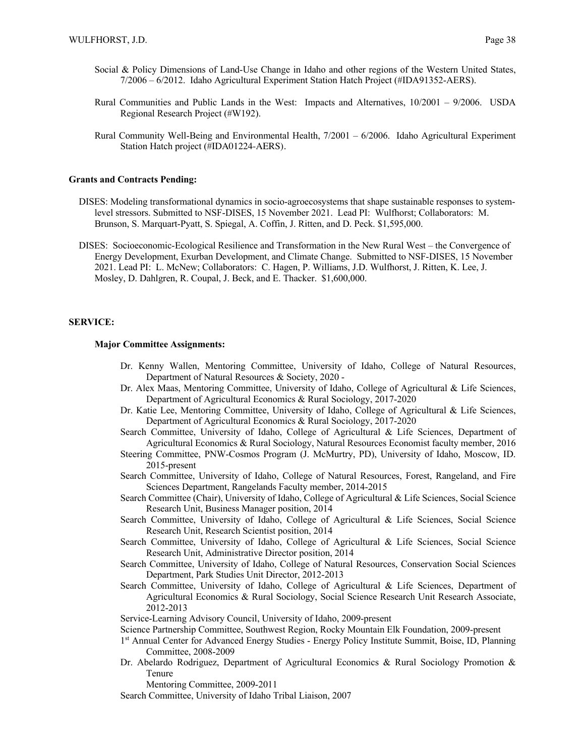- Social & Policy Dimensions of Land-Use Change in Idaho and other regions of the Western United States, 7/2006 – 6/2012. Idaho Agricultural Experiment Station Hatch Project (#IDA91352-AERS).
- Rural Communities and Public Lands in the West: Impacts and Alternatives, 10/2001 9/2006. USDA Regional Research Project (#W192).
- Rural Community Well-Being and Environmental Health, 7/2001 6/2006. Idaho Agricultural Experiment Station Hatch project (#IDA01224-AERS).

## **Grants and Contracts Pending:**

- DISES: Modeling transformational dynamics in socio-agroecosystems that shape sustainable responses to systemlevel stressors. Submitted to NSF-DISES, 15 November 2021. Lead PI: Wulfhorst; Collaborators: M. Brunson, S. Marquart-Pyatt, S. Spiegal, A. Coffin, J. Ritten, and D. Peck. \$1,595,000.
- DISES: Socioeconomic-Ecological Resilience and Transformation in the New Rural West the Convergence of Energy Development, Exurban Development, and Climate Change. Submitted to NSF-DISES, 15 November 2021. Lead PI: L. McNew; Collaborators: C. Hagen, P. Williams, J.D. Wulfhorst, J. Ritten, K. Lee, J. Mosley, D. Dahlgren, R. Coupal, J. Beck, and E. Thacker. \$1,600,000.

#### **SERVICE:**

#### **Major Committee Assignments:**

- Dr. Kenny Wallen, Mentoring Committee, University of Idaho, College of Natural Resources, Department of Natural Resources & Society, 2020 -
- Dr. Alex Maas, Mentoring Committee, University of Idaho, College of Agricultural & Life Sciences, Department of Agricultural Economics & Rural Sociology, 2017-2020
- Dr. Katie Lee, Mentoring Committee, University of Idaho, College of Agricultural & Life Sciences, Department of Agricultural Economics & Rural Sociology, 2017-2020
- Search Committee, University of Idaho, College of Agricultural & Life Sciences, Department of Agricultural Economics & Rural Sociology, Natural Resources Economist faculty member, 2016
- Steering Committee, PNW-Cosmos Program (J. McMurtry, PD), University of Idaho, Moscow, ID. 2015-present
- Search Committee, University of Idaho, College of Natural Resources, Forest, Rangeland, and Fire Sciences Department, Rangelands Faculty member, 2014-2015
- Search Committee (Chair), University of Idaho, College of Agricultural & Life Sciences, Social Science Research Unit, Business Manager position, 2014
- Search Committee, University of Idaho, College of Agricultural & Life Sciences, Social Science Research Unit, Research Scientist position, 2014
- Search Committee, University of Idaho, College of Agricultural & Life Sciences, Social Science Research Unit, Administrative Director position, 2014
- Search Committee, University of Idaho, College of Natural Resources, Conservation Social Sciences Department, Park Studies Unit Director, 2012-2013
- Search Committee, University of Idaho, College of Agricultural & Life Sciences, Department of Agricultural Economics & Rural Sociology, Social Science Research Unit Research Associate, 2012-2013
- Service-Learning Advisory Council, University of Idaho, 2009-present
- Science Partnership Committee, Southwest Region, Rocky Mountain Elk Foundation, 2009-present
- 1<sup>st</sup> Annual Center for Advanced Energy Studies Energy Policy Institute Summit, Boise, ID, Planning Committee, 2008-2009
- Dr. Abelardo Rodriguez, Department of Agricultural Economics & Rural Sociology Promotion & Tenure

Mentoring Committee, 2009-2011

Search Committee, University of Idaho Tribal Liaison, 2007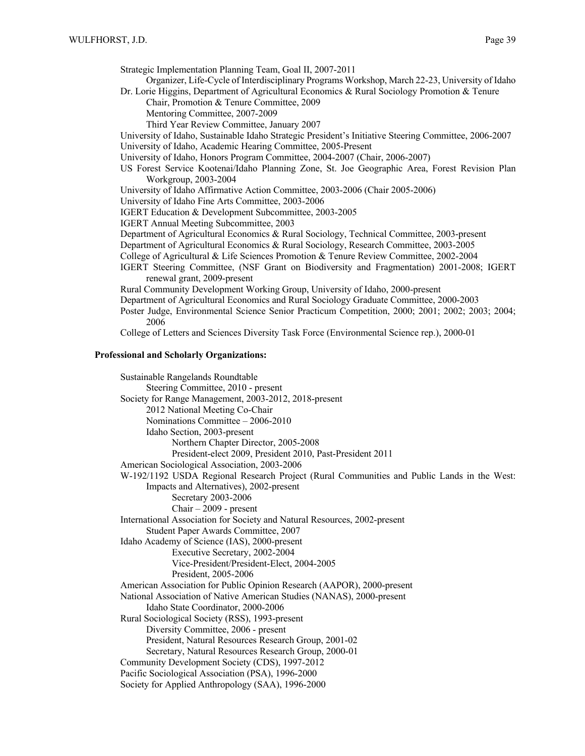Strategic Implementation Planning Team, Goal II, 2007-2011

Organizer, Life-Cycle of Interdisciplinary Programs Workshop, March 22-23, University of Idaho Dr. Lorie Higgins, Department of Agricultural Economics & Rural Sociology Promotion & Tenure

Chair, Promotion & Tenure Committee, 2009

Mentoring Committee, 2007-2009

Third Year Review Committee, January 2007

University of Idaho, Sustainable Idaho Strategic President's Initiative Steering Committee, 2006-2007 University of Idaho, Academic Hearing Committee, 2005-Present

University of Idaho, Honors Program Committee, 2004-2007 (Chair, 2006-2007)

US Forest Service Kootenai/Idaho Planning Zone, St. Joe Geographic Area, Forest Revision Plan Workgroup, 2003-2004

University of Idaho Affirmative Action Committee, 2003-2006 (Chair 2005-2006)

University of Idaho Fine Arts Committee, 2003-2006

IGERT Education & Development Subcommittee, 2003-2005

IGERT Annual Meeting Subcommittee, 2003

Department of Agricultural Economics & Rural Sociology, Technical Committee, 2003-present

Department of Agricultural Economics & Rural Sociology, Research Committee, 2003-2005

College of Agricultural & Life Sciences Promotion & Tenure Review Committee, 2002-2004

IGERT Steering Committee, (NSF Grant on Biodiversity and Fragmentation) 2001-2008; IGERT renewal grant, 2009-present

Rural Community Development Working Group, University of Idaho, 2000-present

Department of Agricultural Economics and Rural Sociology Graduate Committee, 2000-2003

Poster Judge, Environmental Science Senior Practicum Competition, 2000; 2001; 2002; 2003; 2004; 2006

College of Letters and Sciences Diversity Task Force (Environmental Science rep.), 2000-01

#### **Professional and Scholarly Organizations:**

Sustainable Rangelands Roundtable Steering Committee, 2010 - present Society for Range Management, 2003-2012, 2018-present 2012 National Meeting Co-Chair Nominations Committee – 2006-2010 Idaho Section, 2003-present Northern Chapter Director, 2005-2008 President-elect 2009, President 2010, Past-President 2011 American Sociological Association, 2003-2006 W-192/1192 USDA Regional Research Project (Rural Communities and Public Lands in the West: Impacts and Alternatives), 2002-present Secretary 2003-2006 Chair – 2009 - present International Association for Society and Natural Resources, 2002-present Student Paper Awards Committee, 2007 Idaho Academy of Science (IAS), 2000-present Executive Secretary, 2002-2004 Vice-President/President-Elect, 2004-2005 President, 2005-2006 American Association for Public Opinion Research (AAPOR), 2000-present National Association of Native American Studies (NANAS), 2000-present Idaho State Coordinator, 2000-2006 Rural Sociological Society (RSS), 1993-present Diversity Committee, 2006 - present President, Natural Resources Research Group, 2001-02 Secretary, Natural Resources Research Group, 2000-01 Community Development Society (CDS), 1997-2012 Pacific Sociological Association (PSA), 1996-2000 Society for Applied Anthropology (SAA), 1996-2000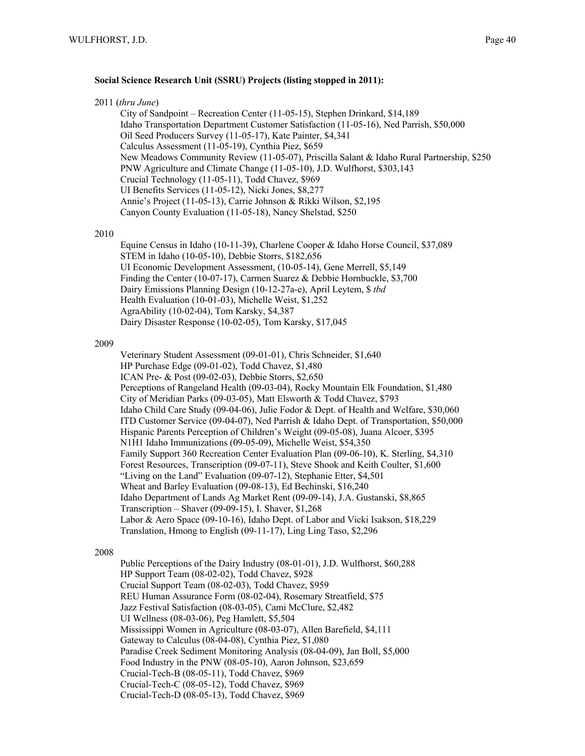## **Social Science Research Unit (SSRU) Projects (listing stopped in 2011):**

| 2011 (thru June) |
|------------------|
|------------------|

City of Sandpoint – Recreation Center (11-05-15), Stephen Drinkard, \$14,189 Idaho Transportation Department Customer Satisfaction (11-05-16), Ned Parrish, \$50,000 Oil Seed Producers Survey (11-05-17), Kate Painter, \$4,341 Calculus Assessment (11-05-19), Cynthia Piez, \$659 New Meadows Community Review (11-05-07), Priscilla Salant & Idaho Rural Partnership, \$250 PNW Agriculture and Climate Change (11-05-10), J.D. Wulfhorst, \$303,143 Crucial Technology (11-05-11), Todd Chavez, \$969 UI Benefits Services (11-05-12), Nicki Jones, \$8,277 Annie's Project (11-05-13), Carrie Johnson & Rikki Wilson, \$2,195 Canyon County Evaluation (11-05-18), Nancy Shelstad, \$250

#### 2010

Equine Census in Idaho (10-11-39), Charlene Cooper & Idaho Horse Council, \$37,089 STEM in Idaho (10-05-10), Debbie Storrs, \$182,656 UI Economic Development Assessment, (10-05-14), Gene Merrell, \$5,149 Finding the Center (10-07-17), Carmen Suarez & Debbie Hornbuckle, \$3,700 Dairy Emissions Planning Design (10-12-27a-e), April Leytem, \$ *tbd* Health Evaluation (10-01-03), Michelle Weist, \$1,252 AgraAbility (10-02-04), Tom Karsky, \$4,387 Dairy Disaster Response (10-02-05), Tom Karsky, \$17,045

#### 2009

Veterinary Student Assessment (09-01-01), Chris Schneider, \$1,640 HP Purchase Edge (09-01-02), Todd Chavez, \$1,480 ICAN Pre- & Post (09-02-03), Debbie Storrs, \$2,650 Perceptions of Rangeland Health (09-03-04), Rocky Mountain Elk Foundation, \$1,480 City of Meridian Parks (09-03-05), Matt Elsworth & Todd Chavez, \$793 Idaho Child Care Study (09-04-06), Julie Fodor & Dept. of Health and Welfare, \$30,060 ITD Customer Service (09-04-07), Ned Parrish & Idaho Dept. of Transportation, \$50,000 Hispanic Parents Perception of Children's Weight (09-05-08), Juana Alcoer, \$395 N1H1 Idaho Immunizations (09-05-09), Michelle Weist, \$54,350 Family Support 360 Recreation Center Evaluation Plan (09-06-10), K. Sterling, \$4,310 Forest Resources, Transcription (09-07-11), Steve Shook and Keith Coulter, \$1,600 "Living on the Land" Evaluation (09-07-12), Stephanie Etter, \$4,501 Wheat and Barley Evaluation (09-08-13), Ed Bechinski, \$16,240 Idaho Department of Lands Ag Market Rent (09-09-14), J.A. Gustanski, \$8,865 Transcription – Shaver (09-09-15), I. Shaver, \$1,268 Labor & Aero Space (09-10-16), Idaho Dept. of Labor and Vicki Isakson, \$18,229 Translation, Hmong to English (09-11-17), Ling Ling Taso, \$2,296

## 2008

Public Perceptions of the Dairy Industry (08-01-01), J.D. Wulfhorst, \$60,288 HP Support Team (08-02-02), Todd Chavez, \$928 Crucial Support Team (08-02-03), Todd Chavez, \$959 REU Human Assurance Form (08-02-04), Rosemary Streatfield, \$75 Jazz Festival Satisfaction (08-03-05), Cami McClure, \$2,482 UI Wellness (08-03-06), Peg Hamlett, \$5,504 Mississippi Women in Agriculture (08-03-07), Allen Barefield, \$4,111 Gateway to Calculus (08-04-08), Cynthia Piez, \$1,080 Paradise Creek Sediment Monitoring Analysis (08-04-09), Jan Boll, \$5,000 Food Industry in the PNW (08-05-10), Aaron Johnson, \$23,659 Crucial-Tech-B (08-05-11), Todd Chavez, \$969 Crucial-Tech-C (08-05-12), Todd Chavez, \$969 Crucial-Tech-D (08-05-13), Todd Chavez, \$969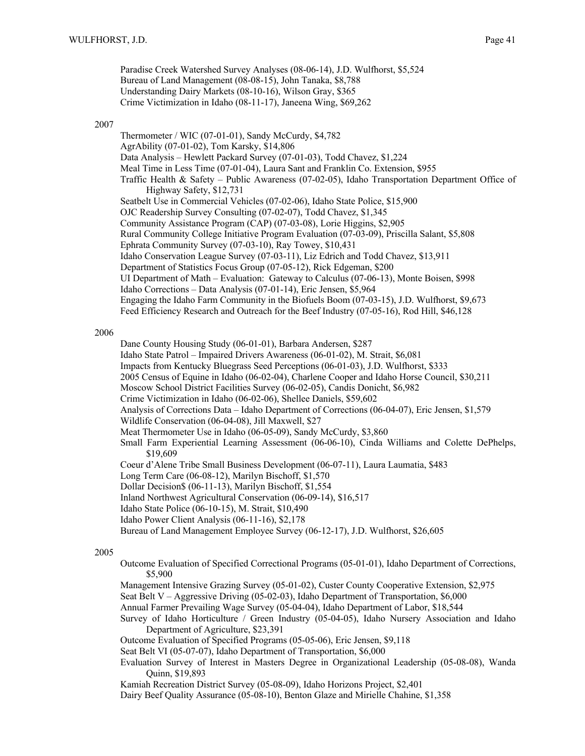Paradise Creek Watershed Survey Analyses (08-06-14), J.D. Wulfhorst, \$5,524 Bureau of Land Management (08-08-15), John Tanaka, \$8,788 Understanding Dairy Markets (08-10-16), Wilson Gray, \$365 Crime Victimization in Idaho (08-11-17), Janeena Wing, \$69,262

#### 2007

Thermometer / WIC (07-01-01), Sandy McCurdy, \$4,782 AgrAbility (07-01-02), Tom Karsky, \$14,806 Data Analysis – Hewlett Packard Survey (07-01-03), Todd Chavez, \$1,224 Meal Time in Less Time (07-01-04), Laura Sant and Franklin Co. Extension, \$955 Traffic Health & Safety – Public Awareness (07-02-05), Idaho Transportation Department Office of Highway Safety, \$12,731 Seatbelt Use in Commercial Vehicles (07-02-06), Idaho State Police, \$15,900 OJC Readership Survey Consulting (07-02-07), Todd Chavez, \$1,345 Community Assistance Program (CAP) (07-03-08), Lorie Higgins, \$2,905 Rural Community College Initiative Program Evaluation (07-03-09), Priscilla Salant, \$5,808 Ephrata Community Survey (07-03-10), Ray Towey, \$10,431 Idaho Conservation League Survey (07-03-11), Liz Edrich and Todd Chavez, \$13,911 Department of Statistics Focus Group (07-05-12), Rick Edgeman, \$200 UI Department of Math – Evaluation: Gateway to Calculus (07-06-13), Monte Boisen, \$998 Idaho Corrections – Data Analysis (07-01-14), Eric Jensen, \$5,964 Engaging the Idaho Farm Community in the Biofuels Boom (07-03-15), J.D. Wulfhorst, \$9,673 Feed Efficiency Research and Outreach for the Beef Industry (07-05-16), Rod Hill, \$46,128

## 2006

Dane County Housing Study (06-01-01), Barbara Andersen, \$287

- Idaho State Patrol Impaired Drivers Awareness (06-01-02), M. Strait, \$6,081
- Impacts from Kentucky Bluegrass Seed Perceptions (06-01-03), J.D. Wulfhorst, \$333
- 2005 Census of Equine in Idaho (06-02-04), Charlene Cooper and Idaho Horse Council, \$30,211
- Moscow School District Facilities Survey (06-02-05), Candis Donicht, \$6,982
- Crime Victimization in Idaho (06-02-06), Shellee Daniels, \$59,602

Analysis of Corrections Data – Idaho Department of Corrections (06-04-07), Eric Jensen, \$1,579

Wildlife Conservation (06-04-08), Jill Maxwell, \$27

- Meat Thermometer Use in Idaho (06-05-09), Sandy McCurdy, \$3,860
- Small Farm Experiential Learning Assessment (06-06-10), Cinda Williams and Colette DePhelps, \$19,609
- Coeur d'Alene Tribe Small Business Development (06-07-11), Laura Laumatia, \$483
- Long Term Care (06-08-12), Marilyn Bischoff, \$1,570
- Dollar Decision\$ (06-11-13), Marilyn Bischoff, \$1,554
- Inland Northwest Agricultural Conservation (06-09-14), \$16,517
- Idaho State Police (06-10-15), M. Strait, \$10,490
- Idaho Power Client Analysis (06-11-16), \$2,178
- Bureau of Land Management Employee Survey (06-12-17), J.D. Wulfhorst, \$26,605

#### 2005

- Outcome Evaluation of Specified Correctional Programs (05-01-01), Idaho Department of Corrections, \$5,900
- Management Intensive Grazing Survey (05-01-02), Custer County Cooperative Extension, \$2,975
- Seat Belt V Aggressive Driving (05-02-03), Idaho Department of Transportation, \$6,000
- Annual Farmer Prevailing Wage Survey (05-04-04), Idaho Department of Labor, \$18,544
- Survey of Idaho Horticulture / Green Industry (05-04-05), Idaho Nursery Association and Idaho Department of Agriculture, \$23,391
- Outcome Evaluation of Specified Programs (05-05-06), Eric Jensen, \$9,118
- Seat Belt VI (05-07-07), Idaho Department of Transportation, \$6,000
- Evaluation Survey of Interest in Masters Degree in Organizational Leadership (05-08-08), Wanda Quinn, \$19,893
- Kamiah Recreation District Survey (05-08-09), Idaho Horizons Project, \$2,401
- Dairy Beef Quality Assurance (05-08-10), Benton Glaze and Mirielle Chahine, \$1,358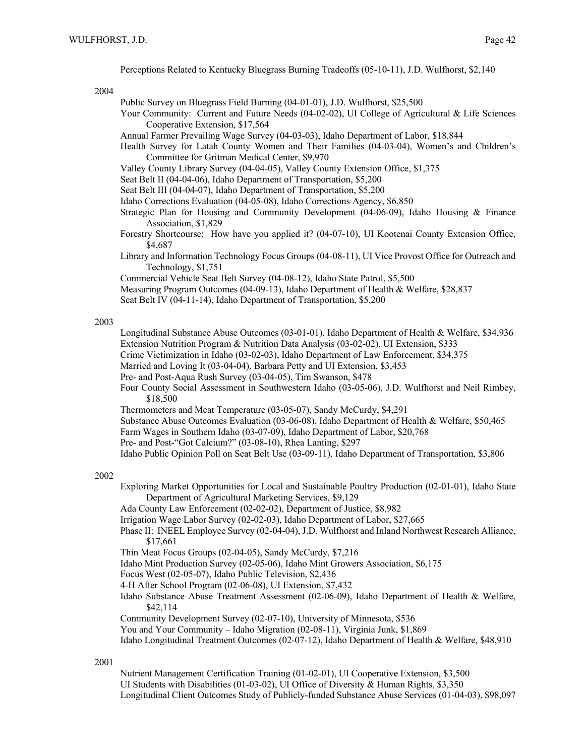Perceptions Related to Kentucky Bluegrass Burning Tradeoffs (05-10-11), J.D. Wulfhorst, \$2,140

2004

Public Survey on Bluegrass Field Burning (04-01-01), J.D. Wulfhorst, \$25,500

Your Community: Current and Future Needs (04-02-02), UI College of Agricultural & Life Sciences Cooperative Extension, \$17,564

Annual Farmer Prevailing Wage Survey (04-03-03), Idaho Department of Labor, \$18,844

- Health Survey for Latah County Women and Their Families (04-03-04), Women's and Children's Committee for Gritman Medical Center, \$9,970
- Valley County Library Survey (04-04-05), Valley County Extension Office, \$1,375
- Seat Belt II (04-04-06), Idaho Department of Transportation, \$5,200
- Seat Belt III (04-04-07), Idaho Department of Transportation, \$5,200
- Idaho Corrections Evaluation (04-05-08), Idaho Corrections Agency, \$6,850
- Strategic Plan for Housing and Community Development (04-06-09), Idaho Housing & Finance Association, \$1,829
- Forestry Shortcourse: How have you applied it? (04-07-10), UI Kootenai County Extension Office, \$4,687
- Library and Information Technology Focus Groups (04-08-11), UI Vice Provost Office for Outreach and Technology, \$1,751
- Commercial Vehicle Seat Belt Survey (04-08-12), Idaho State Patrol, \$5,500
- Measuring Program Outcomes (04-09-13), Idaho Department of Health & Welfare, \$28,837
- Seat Belt IV (04-11-14), Idaho Department of Transportation, \$5,200

#### 2003

- Longitudinal Substance Abuse Outcomes (03-01-01), Idaho Department of Health & Welfare, \$34,936 Extension Nutrition Program & Nutrition Data Analysis (03-02-02), UI Extension, \$333
- Crime Victimization in Idaho (03-02-03), Idaho Department of Law Enforcement, \$34,375
- Married and Loving It (03-04-04), Barbara Petty and UI Extension, \$3,453
- Pre- and Post-Aqua Rush Survey (03-04-05), Tim Swanson, \$478
- Four County Social Assessment in Southwestern Idaho (03-05-06), J.D. Wulfhorst and Neil Rimbey, \$18,500
- Thermometers and Meat Temperature (03-05-07), Sandy McCurdy, \$4,291
- Substance Abuse Outcomes Evaluation (03-06-08), Idaho Department of Health & Welfare, \$50,465
- Farm Wages in Southern Idaho (03-07-09), Idaho Department of Labor, \$20,768
- Pre- and Post-"Got Calcium?" (03-08-10), Rhea Lanting, \$297
- Idaho Public Opinion Poll on Seat Belt Use (03-09-11), Idaho Department of Transportation, \$3,806

#### 2002

- Exploring Market Opportunities for Local and Sustainable Poultry Production (02-01-01), Idaho State Department of Agricultural Marketing Services, \$9,129
- Ada County Law Enforcement (02-02-02), Department of Justice, \$8,982
- Irrigation Wage Labor Survey (02-02-03), Idaho Department of Labor, \$27,665
- Phase II: INEEL Employee Survey (02-04-04), J.D. Wulfhorst and Inland Northwest Research Alliance, \$17,661
- Thin Meat Focus Groups (02-04-05), Sandy McCurdy, \$7,216
- Idaho Mint Production Survey (02-05-06), Idaho Mint Growers Association, \$6,175
- Focus West (02-05-07), Idaho Public Television, \$2,436
- 4-H After School Program (02-06-08), UI Extension, \$7,432
- Idaho Substance Abuse Treatment Assessment (02-06-09), Idaho Department of Health & Welfare, \$42,114
- Community Development Survey (02-07-10), University of Minnesota, \$536
- You and Your Community Idaho Migration (02-08-11), Virginia Junk, \$1,869
- Idaho Longitudinal Treatment Outcomes (02-07-12), Idaho Department of Health & Welfare, \$48,910

#### 2001

Nutrient Management Certification Training (01-02-01), UI Cooperative Extension, \$3,500 UI Students with Disabilities (01-03-02), UI Office of Diversity & Human Rights, \$3,350 Longitudinal Client Outcomes Study of Publicly-funded Substance Abuse Services (01-04-03), \$98,097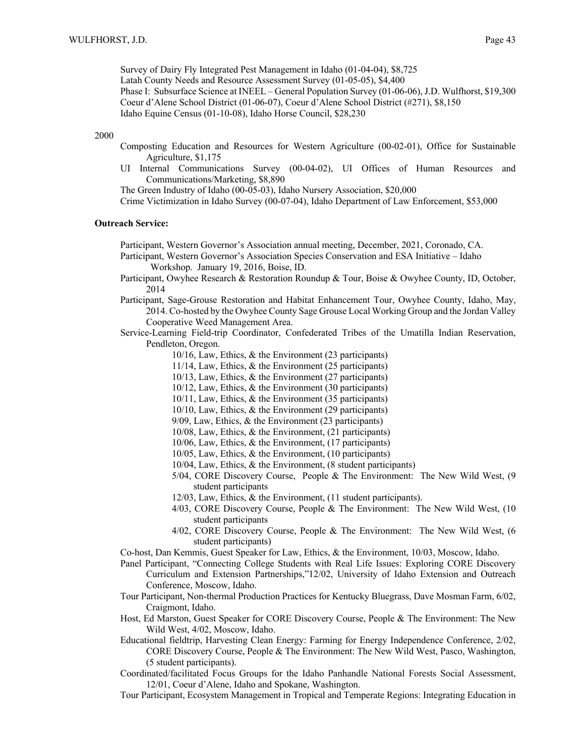Survey of Dairy Fly Integrated Pest Management in Idaho (01-04-04), \$8,725 Latah County Needs and Resource Assessment Survey (01-05-05), \$4,400 Phase I: Subsurface Science at INEEL – General Population Survey (01-06-06), J.D. Wulfhorst, \$19,300 Coeur d'Alene School District (01-06-07), Coeur d'Alene School District (#271), \$8,150 Idaho Equine Census (01-10-08), Idaho Horse Council, \$28,230

#### 2000

- Composting Education and Resources for Western Agriculture (00-02-01), Office for Sustainable Agriculture, \$1,175
- UI Internal Communications Survey (00-04-02), UI Offices of Human Resources and Communications/Marketing, \$8,890

The Green Industry of Idaho (00-05-03), Idaho Nursery Association, \$20,000

Crime Victimization in Idaho Survey (00-07-04), Idaho Department of Law Enforcement, \$53,000

#### **Outreach Service:**

Participant, Western Governor's Association annual meeting, December, 2021, Coronado, CA.

Participant, Western Governor's Association Species Conservation and ESA Initiative – Idaho Workshop. January 19, 2016, Boise, ID.

- Participant, Owyhee Research & Restoration Roundup & Tour, Boise & Owyhee County, ID, October, 2014
- Participant, Sage-Grouse Restoration and Habitat Enhancement Tour, Owyhee County, Idaho, May, 2014. Co-hosted by the Owyhee County Sage Grouse Local Working Group and the Jordan Valley Cooperative Weed Management Area.
- Service-Learning Field-trip Coordinator, Confederated Tribes of the Umatilla Indian Reservation, Pendleton, Oregon.
	- 10/16, Law, Ethics, & the Environment (23 participants)
	- 11/14, Law, Ethics, & the Environment (25 participants)
	- 10/13, Law, Ethics, & the Environment (27 participants)
	- 10/12, Law, Ethics, & the Environment (30 participants)
	- 10/11, Law, Ethics, & the Environment (35 participants)
	- 10/10, Law, Ethics, & the Environment (29 participants)
	- 9/09, Law, Ethics, & the Environment (23 participants)
	- 10/08, Law, Ethics, & the Environment, (21 participants)
	- 10/06, Law, Ethics, & the Environment, (17 participants)
	- 10/05, Law, Ethics, & the Environment, (10 participants)
	- 10/04, Law, Ethics, & the Environment, (8 student participants)
	- 5/04, CORE Discovery Course, People & The Environment: The New Wild West, (9 student participants
	- 12/03, Law, Ethics, & the Environment, (11 student participants).
	- 4/03, CORE Discovery Course, People & The Environment: The New Wild West, (10 student participants
	- 4/02, CORE Discovery Course, People & The Environment: The New Wild West, (6 student participants)
- Co-host, Dan Kemmis, Guest Speaker for Law, Ethics, & the Environment, 10/03, Moscow, Idaho.
- Panel Participant, "Connecting College Students with Real Life Issues: Exploring CORE Discovery Curriculum and Extension Partnerships,"12/02, University of Idaho Extension and Outreach Conference, Moscow, Idaho.
- Tour Participant, Non-thermal Production Practices for Kentucky Bluegrass, Dave Mosman Farm, 6/02, Craigmont, Idaho.
- Host, Ed Marston, Guest Speaker for CORE Discovery Course, People & The Environment: The New Wild West, 4/02, Moscow, Idaho.
- Educational fieldtrip, Harvesting Clean Energy: Farming for Energy Independence Conference, 2/02, CORE Discovery Course, People & The Environment: The New Wild West, Pasco, Washington, (5 student participants).
- Coordinated/facilitated Focus Groups for the Idaho Panhandle National Forests Social Assessment, 12/01, Coeur d'Alene, Idaho and Spokane, Washington.
- Tour Participant, Ecosystem Management in Tropical and Temperate Regions: Integrating Education in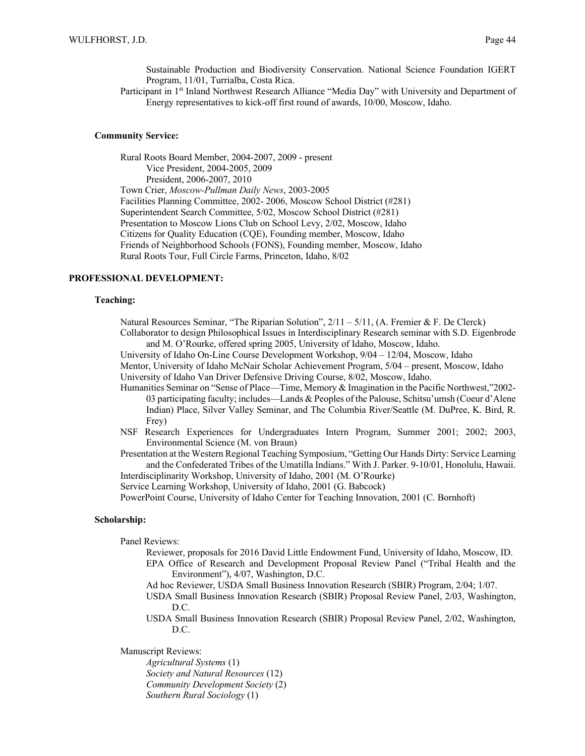Sustainable Production and Biodiversity Conservation. National Science Foundation IGERT Program, 11/01, Turrialba, Costa Rica.

Participant in 1<sup>st</sup> Inland Northwest Research Alliance "Media Day" with University and Department of Energy representatives to kick-off first round of awards, 10/00, Moscow, Idaho.

#### **Community Service:**

Rural Roots Board Member, 2004-2007, 2009 - present Vice President, 2004-2005, 2009 President, 2006-2007, 2010 Town Crier, *Moscow-Pullman Daily News*, 2003-2005 Facilities Planning Committee, 2002- 2006, Moscow School District (#281) Superintendent Search Committee, 5/02, Moscow School District (#281) Presentation to Moscow Lions Club on School Levy, 2/02, Moscow, Idaho Citizens for Quality Education (CQE), Founding member, Moscow, Idaho Friends of Neighborhood Schools (FONS), Founding member, Moscow, Idaho Rural Roots Tour, Full Circle Farms, Princeton, Idaho, 8/02

## **PROFESSIONAL DEVELOPMENT:**

## **Teaching:**

Natural Resources Seminar, "The Riparian Solution",  $2/11 - 5/11$ , (A. Fremier & F. De Clerck)

Collaborator to design Philosophical Issues in Interdisciplinary Research seminar with S.D. Eigenbrode and M. O'Rourke, offered spring 2005, University of Idaho, Moscow, Idaho.

University of Idaho On-Line Course Development Workshop, 9/04 – 12/04, Moscow, Idaho

Mentor, University of Idaho McNair Scholar Achievement Program, 5/04 – present, Moscow, Idaho University of Idaho Van Driver Defensive Driving Course, 8/02, Moscow, Idaho.

- Humanities Seminar on "Sense of Place—Time, Memory & Imagination in the Pacific Northwest,"2002- 03 participating faculty; includes—Lands & Peoples of the Palouse, Schitsu'umsh (Coeur d'Alene Indian) Place, Silver Valley Seminar, and The Columbia River/Seattle (M. DuPree, K. Bird, R. Frey)
- NSF Research Experiences for Undergraduates Intern Program, Summer 2001; 2002; 2003, Environmental Science (M. von Braun)
- Presentation at the Western Regional Teaching Symposium, "Getting Our Hands Dirty: Service Learning and the Confederated Tribes of the Umatilla Indians." With J. Parker. 9-10/01, Honolulu, Hawaii. Interdisciplinarity Workshop, University of Idaho, 2001 (M. O'Rourke)

Service Learning Workshop, University of Idaho, 2001 (G. Babcock)

PowerPoint Course, University of Idaho Center for Teaching Innovation, 2001 (C. Bornhoft)

## **Scholarship:**

Panel Reviews:

- Reviewer, proposals for 2016 David Little Endowment Fund, University of Idaho, Moscow, ID. EPA Office of Research and Development Proposal Review Panel ("Tribal Health and the Environment"), 4/07, Washington, D.C.
- Ad hoc Reviewer, USDA Small Business Innovation Research (SBIR) Program, 2/04; 1/07.

USDA Small Business Innovation Research (SBIR) Proposal Review Panel, 2/03, Washington, D.C.

USDA Small Business Innovation Research (SBIR) Proposal Review Panel, 2/02, Washington, D.C.

Manuscript Reviews:

*Agricultural Systems* (1) *Society and Natural Resources* (12) *Community Development Society* (2) *Southern Rural Sociology* (1)